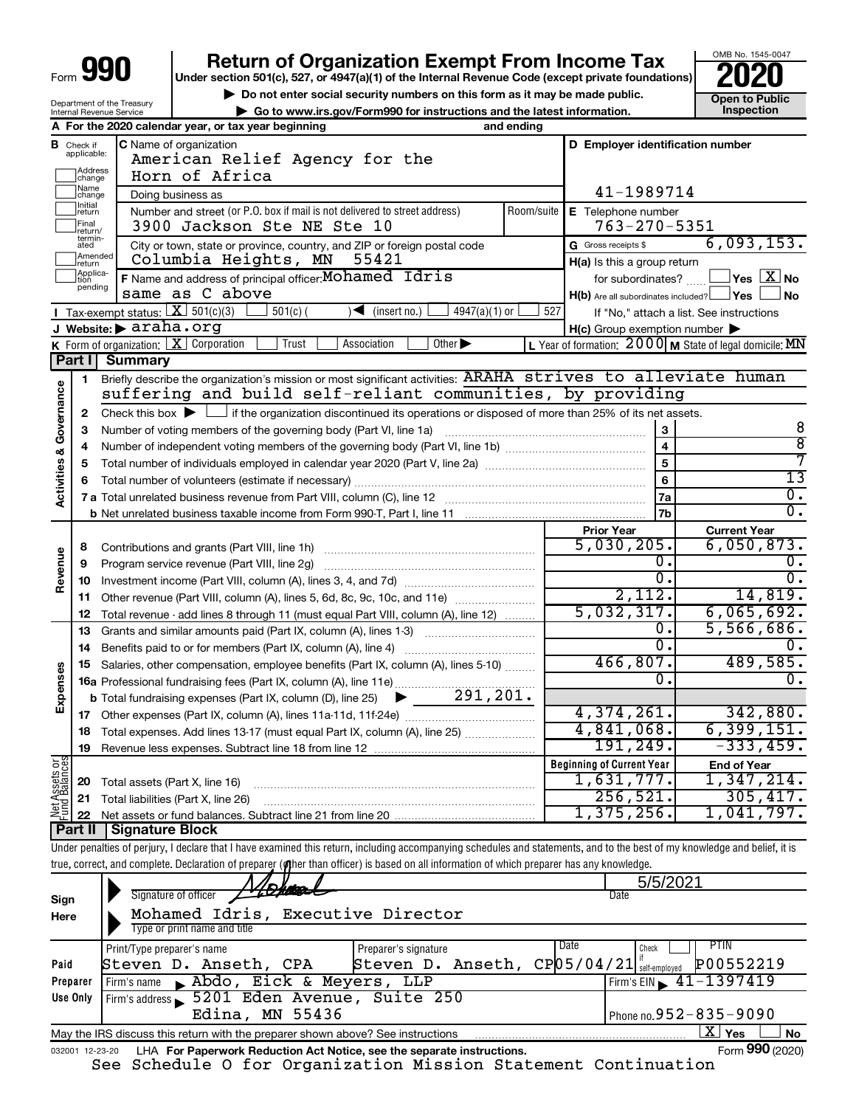| Form | n |  |
|------|---|--|
|      |   |  |

Department of the Treasury Internal Revenue Service

## **Return of Organization Exempt From Income Tax**<br>r section 501(c), 527, or 4947(a)(1) of the Internal Revenue Code (except private foundations)

**Under section 501(c), 527, or 4947(a)(1) of the Internal Revenue Code (except private foundations)**



**but the Social security numbers on this form as it may be made public.** The only one to Public **Depending to Public and the latest information.** This pection **| Go to www.irs.gov/Form990 for instructions and the latest information. Inspection**

|                                    |                               | A For the 2020 calendar year, or tax year beginning                                                                                                | and ending         |                                                     |                                                           |
|------------------------------------|-------------------------------|----------------------------------------------------------------------------------------------------------------------------------------------------|--------------------|-----------------------------------------------------|-----------------------------------------------------------|
|                                    | <b>B</b> Check if applicable: | C Name of organization<br>American Relief Agency for the                                                                                           |                    | D Employer identification number                    |                                                           |
|                                    | Address<br> change            | Horn of Africa                                                                                                                                     |                    |                                                     |                                                           |
|                                    | Name<br>change                | Doing business as                                                                                                                                  | 41-1989714         |                                                     |                                                           |
|                                    | Initial<br> return            | Number and street (or P.O. box if mail is not delivered to street address)<br>Room/suite                                                           | E Telephone number |                                                     |                                                           |
|                                    | Final<br>return/              | 3900 Jackson Ste NE Ste 10                                                                                                                         |                    | $763 - 270 - 5351$                                  |                                                           |
|                                    | termin-<br>ated               | City or town, state or province, country, and ZIP or foreign postal code                                                                           |                    | G Gross receipts \$                                 | 6,093,153.                                                |
|                                    | Amended<br>return             | Columbia Heights, MN<br>55421                                                                                                                      |                    | $H(a)$ is this a group return                       |                                                           |
|                                    | Applica-<br>Ition<br>pending  | F Name and address of principal officer: Mohamed Idris                                                                                             |                    | for subordinates?                                   | $ {\mathsf Y}\mathsf{es}\ \boxed{{\mathsf X}}$ No         |
|                                    |                               | same as C above                                                                                                                                    |                    | $H(b)$ Are all subordinates included? $\Box$ Yes    | <b>No</b>                                                 |
|                                    |                               | <b>I</b> Tax-exempt status: $\boxed{\mathbf{X}}$ 501(c)(3)<br>$4947(a)(1)$ or<br>$501(c)$ (<br>$\sqrt{\frac{1}{1}}$ (insert no.)                   | 527                |                                                     | If "No," attach a list. See instructions                  |
|                                    |                               | J Website:▶ araha.org<br>Other $\blacktriangleright$<br><b>K</b> Form of organization: $X$ Corporation<br>Trust<br>Association                     |                    | $H(c)$ Group exemption number $\blacktriangleright$ | L Year of formation: $2000$ M State of legal domicile: MN |
|                                    | Part I                        | Summary                                                                                                                                            |                    |                                                     |                                                           |
|                                    | 1                             | Briefly describe the organization's mission or most significant activities: ARAHA strives to alleviate human                                       |                    |                                                     |                                                           |
| <b>Activities &amp; Governance</b> |                               | suffering and build self-reliant communities, by providing                                                                                         |                    |                                                     |                                                           |
|                                    | 2                             | Check this box $\blacktriangleright$ $\Box$ if the organization discontinued its operations or disposed of more than 25% of its net assets.        |                    |                                                     |                                                           |
|                                    | 3                             | Number of voting members of the governing body (Part VI, line 1a)                                                                                  |                    | 3                                                   | 8                                                         |
|                                    | 4                             |                                                                                                                                                    |                    | $\overline{\mathbf{4}}$                             | $\overline{8}$                                            |
|                                    | 5                             |                                                                                                                                                    |                    | 5                                                   | 7                                                         |
|                                    | 6                             |                                                                                                                                                    |                    | 6                                                   | $\overline{13}$                                           |
|                                    |                               |                                                                                                                                                    |                    | 7a                                                  | $\overline{0}$ .                                          |
|                                    |                               |                                                                                                                                                    |                    | 7b                                                  | $\overline{0}$ .                                          |
|                                    |                               |                                                                                                                                                    |                    | <b>Prior Year</b>                                   | <b>Current Year</b>                                       |
|                                    | 8                             | Contributions and grants (Part VIII, line 1h)                                                                                                      |                    | 5,030,205.                                          | 6,050,873.                                                |
| Revenue                            | 9                             | Program service revenue (Part VIII, line 2g)                                                                                                       |                    | Ο.                                                  | 0.                                                        |
|                                    | 10                            |                                                                                                                                                    |                    | Ο.                                                  | σ.                                                        |
|                                    | 11                            | Other revenue (Part VIII, column (A), lines 5, 6d, 8c, 9c, 10c, and 11e)                                                                           |                    | 2,112.                                              | 14,819.                                                   |
|                                    | 12                            | Total revenue - add lines 8 through 11 (must equal Part VIII, column (A), line 12)                                                                 |                    | 5,032,317.<br>о.                                    | 6,065,692.<br>5,566,686.                                  |
|                                    | 13                            | Grants and similar amounts paid (Part IX, column (A), lines 1-3)                                                                                   |                    | $\overline{0}$ .                                    | 0.                                                        |
|                                    | 14<br>15                      | Benefits paid to or for members (Part IX, column (A), line 4)<br>Salaries, other compensation, employee benefits (Part IX, column (A), lines 5-10) |                    | 466,807.                                            | 489,585.                                                  |
| Expenses                           |                               | 16a Professional fundraising fees (Part IX, column (A), line 11e)                                                                                  |                    | 0.                                                  | $\overline{0}$ .                                          |
|                                    |                               | 291, 201.<br><b>b</b> Total fundraising expenses (Part IX, column (D), line 25)<br>▶                                                               |                    |                                                     |                                                           |
|                                    | 17                            |                                                                                                                                                    |                    | 4,374,261.                                          | 342,880.                                                  |
|                                    | 18                            | Total expenses. Add lines 13-17 (must equal Part IX, column (A), line 25)                                                                          |                    | 4,841,068.                                          | 6, 399, 151.                                              |
|                                    | 19                            |                                                                                                                                                    |                    | 191,249.                                            | $-333, 459.$                                              |
|                                    |                               |                                                                                                                                                    |                    | <b>Beginning of Current Year</b>                    | <b>End of Year</b>                                        |
| Net Assets or<br>Fund Balances     | 20                            | Total assets (Part X, line 16)                                                                                                                     |                    | 1,631,777.                                          | 1,347,214.                                                |
|                                    | 21                            | Total liabilities (Part X, line 26)                                                                                                                |                    | 256, 521.                                           | 305,417.                                                  |
|                                    | 22                            |                                                                                                                                                    |                    | 1,375,256.                                          | 1,041,797.                                                |
|                                    | Part II                       | Signature Block                                                                                                                                    |                    |                                                     |                                                           |

Under penalties of perjury, I declare that I have examined this return, including accompanying schedules and statements, and to the best of my knowledge and belief, it is true, correct, and complete. Declaration of preparer (*o*ther than officer) is based on all information of which preparer has any knowledge.

|          | Dien                                                                                                             |                      | 5/5/2021                                               |  |  |  |  |
|----------|------------------------------------------------------------------------------------------------------------------|----------------------|--------------------------------------------------------|--|--|--|--|
| Sign     | Signature of officer                                                                                             |                      | Date                                                   |  |  |  |  |
| Here     | Mohamed Idris, Executive Director                                                                                |                      |                                                        |  |  |  |  |
|          | Type or print name and title                                                                                     |                      |                                                        |  |  |  |  |
|          | Print/Type preparer's name                                                                                       | Preparer's signature | Date<br>PIIN<br>Check                                  |  |  |  |  |
| Paid     | Steven D. Anseth, CPA                                                                                            | Steven D. Anseth,    | $CP$ 05/04/21 $\frac{1}{5}$ self-employed<br>P00552219 |  |  |  |  |
| Preparer | Abdo, Eick & Meyers, LLP<br>Firm's name                                                                          |                      | $1$ Firm's EIN $\geq 41 - 1397419$                     |  |  |  |  |
| Use Only | Firm's address 5201 Eden Avenue, Suite 250                                                                       |                      |                                                        |  |  |  |  |
|          | $\vert$ Phone no. 952 – 835 – 9090<br>Edina, MN 55436                                                            |                      |                                                        |  |  |  |  |
|          | $\mathbf{X}$ Yes<br><b>No</b><br>May the IRS discuss this return with the preparer shown above? See instructions |                      |                                                        |  |  |  |  |
|          | Form 990 (2020)<br>LHA For Paperwork Reduction Act Notice, see the separate instructions.<br>032001 12-23-20     |                      |                                                        |  |  |  |  |

See Schedule O for Organization Mission Statement Continuation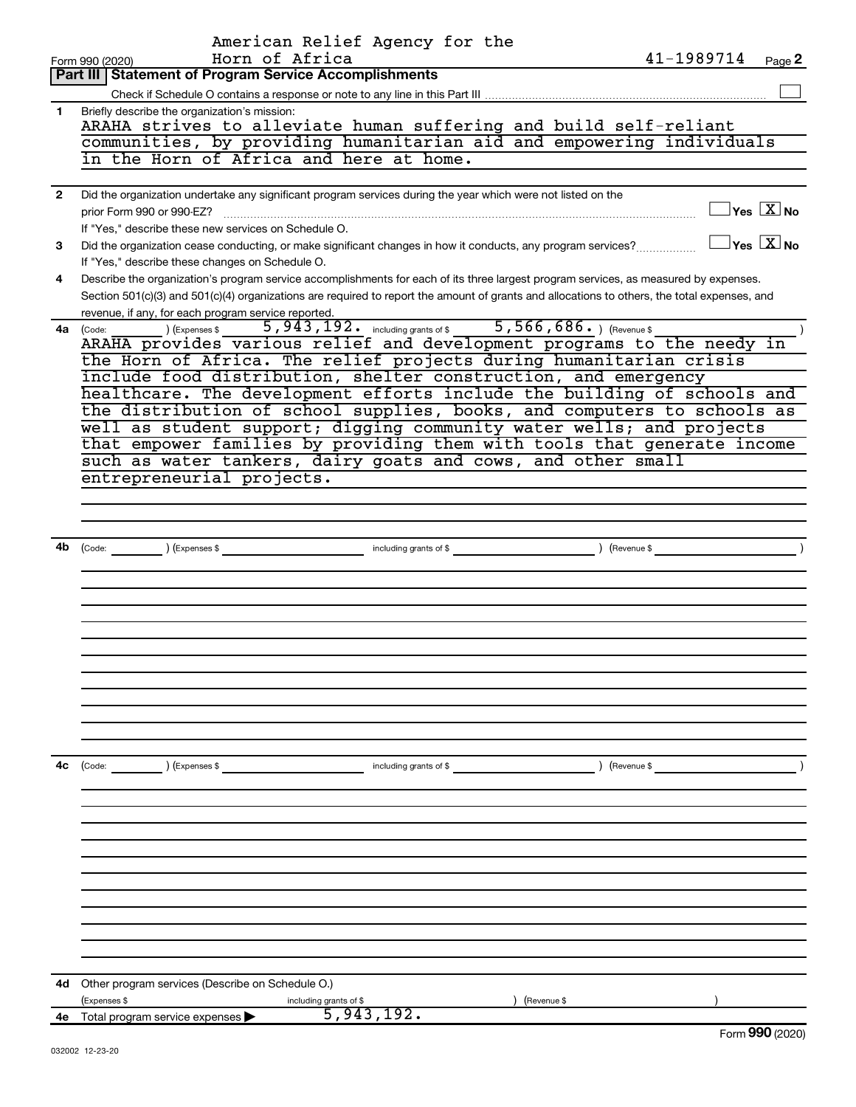|              | American Relief Agency for the                                                                                                                                                          |
|--------------|-----------------------------------------------------------------------------------------------------------------------------------------------------------------------------------------|
|              | Horn of Africa<br>41-1989714<br>Page 2<br>Form 990 (2020)                                                                                                                               |
|              | <b>Part III Statement of Program Service Accomplishments</b>                                                                                                                            |
|              | Briefly describe the organization's mission:                                                                                                                                            |
| 1.           | ARAHA strives to alleviate human suffering and build self-reliant                                                                                                                       |
|              | communities, by providing humanitarian aid and empowering individuals                                                                                                                   |
|              | in the Horn of Africa and here at home.                                                                                                                                                 |
|              |                                                                                                                                                                                         |
| $\mathbf{2}$ | Did the organization undertake any significant program services during the year which were not listed on the                                                                            |
|              | $\square$ Yes $\boxed{\text{X}}$ No<br>prior Form 990 or 990-EZ?                                                                                                                        |
|              | If "Yes," describe these new services on Schedule O.<br>$\Box$ Yes $[\overline{\mathrm{X}}]$ No                                                                                         |
| 3            | Did the organization cease conducting, or make significant changes in how it conducts, any program services?                                                                            |
| 4            | If "Yes," describe these changes on Schedule O.<br>Describe the organization's program service accomplishments for each of its three largest program services, as measured by expenses. |
|              | Section 501(c)(3) and 501(c)(4) organizations are required to report the amount of grants and allocations to others, the total expenses, and                                            |
|              | revenue, if any, for each program service reported.                                                                                                                                     |
|              | 5,943,192. including grants of \$ 5,566,686. ) (Revenue \$<br>(Expenses \$<br>4a (Code:                                                                                                 |
|              | ARAHA provides various relief and development programs to the needy in                                                                                                                  |
|              | the Horn of Africa. The relief projects during humanitarian crisis                                                                                                                      |
|              | include food distribution, shelter construction, and emergency                                                                                                                          |
|              | healthcare. The development efforts include the building of schools and                                                                                                                 |
|              | the distribution of school supplies, books, and computers to schools as                                                                                                                 |
|              | well as student support; digging community water wells; and projects                                                                                                                    |
|              | that empower families by providing them with tools that generate income                                                                                                                 |
|              | such as water tankers, dairy goats and cows, and other small<br>entrepreneurial projects.                                                                                               |
|              |                                                                                                                                                                                         |
|              |                                                                                                                                                                                         |
|              |                                                                                                                                                                                         |
| 4b           |                                                                                                                                                                                         |
|              |                                                                                                                                                                                         |
|              |                                                                                                                                                                                         |
|              |                                                                                                                                                                                         |
|              |                                                                                                                                                                                         |
|              |                                                                                                                                                                                         |
|              |                                                                                                                                                                                         |
|              |                                                                                                                                                                                         |
|              |                                                                                                                                                                                         |
|              |                                                                                                                                                                                         |
|              |                                                                                                                                                                                         |
|              |                                                                                                                                                                                         |
| 4c           | (Code: ) (Expenses \$<br>) (Revenue \$<br>including grants of \$                                                                                                                        |
|              |                                                                                                                                                                                         |
|              |                                                                                                                                                                                         |
|              |                                                                                                                                                                                         |
|              |                                                                                                                                                                                         |
|              |                                                                                                                                                                                         |
|              |                                                                                                                                                                                         |
|              |                                                                                                                                                                                         |
|              |                                                                                                                                                                                         |
|              |                                                                                                                                                                                         |
|              |                                                                                                                                                                                         |
|              |                                                                                                                                                                                         |
| 4d           | Other program services (Describe on Schedule O.)                                                                                                                                        |
|              | (Expenses \$<br>(Revenue \$<br>including grants of \$                                                                                                                                   |
| 4е           | 5,943,192.<br>Total program service expenses<br><b>000</b>                                                                                                                              |
|              |                                                                                                                                                                                         |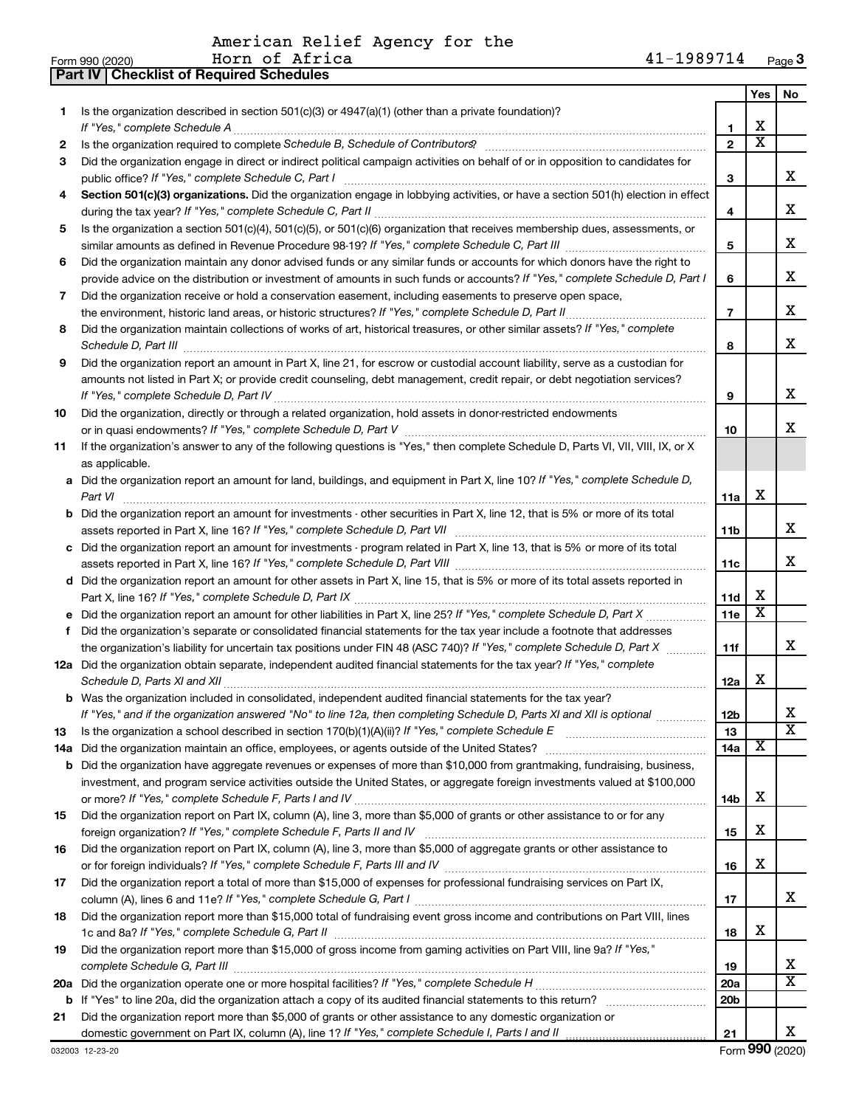American Relief Agency for the<br>Form 990 (2020) Horn of Africa<br>Part IV | Checklist of Required Schedules

|     |                                                                                                                                                                                                                                 |                 | Yes                     | No                      |
|-----|---------------------------------------------------------------------------------------------------------------------------------------------------------------------------------------------------------------------------------|-----------------|-------------------------|-------------------------|
| 1.  | Is the organization described in section $501(c)(3)$ or $4947(a)(1)$ (other than a private foundation)?                                                                                                                         |                 |                         |                         |
|     | If "Yes," complete Schedule A                                                                                                                                                                                                   | 1               | х                       |                         |
| 2   |                                                                                                                                                                                                                                 | $\mathbf{2}$    | $\overline{\textbf{x}}$ |                         |
| 3   | Did the organization engage in direct or indirect political campaign activities on behalf of or in opposition to candidates for                                                                                                 |                 |                         |                         |
|     | public office? If "Yes," complete Schedule C, Part I                                                                                                                                                                            | 3               |                         | x                       |
| 4   | Section 501(c)(3) organizations. Did the organization engage in lobbying activities, or have a section 501(h) election in effect                                                                                                |                 |                         | x                       |
|     |                                                                                                                                                                                                                                 | 4               |                         |                         |
| 5   | Is the organization a section 501(c)(4), 501(c)(5), or 501(c)(6) organization that receives membership dues, assessments, or                                                                                                    | 5               |                         | x                       |
| 6   | Did the organization maintain any donor advised funds or any similar funds or accounts for which donors have the right to                                                                                                       |                 |                         |                         |
|     | provide advice on the distribution or investment of amounts in such funds or accounts? If "Yes," complete Schedule D, Part I                                                                                                    | 6               |                         | x                       |
| 7   | Did the organization receive or hold a conservation easement, including easements to preserve open space,                                                                                                                       |                 |                         |                         |
|     | the environment, historic land areas, or historic structures? If "Yes," complete Schedule D, Part II                                                                                                                            | $\overline{7}$  |                         | x                       |
| 8   | Did the organization maintain collections of works of art, historical treasures, or other similar assets? If "Yes," complete                                                                                                    |                 |                         |                         |
|     |                                                                                                                                                                                                                                 | 8               |                         | x                       |
| 9   | Did the organization report an amount in Part X, line 21, for escrow or custodial account liability, serve as a custodian for                                                                                                   |                 |                         |                         |
|     | amounts not listed in Part X; or provide credit counseling, debt management, credit repair, or debt negotiation services?                                                                                                       |                 |                         |                         |
|     | If "Yes," complete Schedule D, Part IV.                                                                                                                                                                                         | 9               |                         | х                       |
| 10  | Did the organization, directly or through a related organization, hold assets in donor-restricted endowments                                                                                                                    |                 |                         |                         |
|     |                                                                                                                                                                                                                                 | 10              |                         | x.                      |
| 11  | If the organization's answer to any of the following questions is "Yes," then complete Schedule D, Parts VI, VII, VIII, IX, or X                                                                                                |                 |                         |                         |
|     | as applicable.                                                                                                                                                                                                                  |                 |                         |                         |
|     | a Did the organization report an amount for land, buildings, and equipment in Part X, line 10? If "Yes," complete Schedule D,<br>Part VI                                                                                        | 11a             | х                       |                         |
|     | <b>b</b> Did the organization report an amount for investments - other securities in Part X, line 12, that is 5% or more of its total                                                                                           |                 |                         |                         |
|     |                                                                                                                                                                                                                                 | 11 <sub>b</sub> |                         | x                       |
|     | c Did the organization report an amount for investments - program related in Part X, line 13, that is 5% or more of its total                                                                                                   |                 |                         |                         |
|     |                                                                                                                                                                                                                                 | 11c             |                         | X.                      |
|     | d Did the organization report an amount for other assets in Part X, line 15, that is 5% or more of its total assets reported in                                                                                                 |                 |                         |                         |
|     |                                                                                                                                                                                                                                 | 11d             | х                       |                         |
|     |                                                                                                                                                                                                                                 | 11e             | X                       |                         |
| f.  | Did the organization's separate or consolidated financial statements for the tax year include a footnote that addresses                                                                                                         |                 |                         |                         |
|     | the organization's liability for uncertain tax positions under FIN 48 (ASC 740)? If "Yes," complete Schedule D, Part X                                                                                                          | 11f             |                         | x.                      |
|     | 12a Did the organization obtain separate, independent audited financial statements for the tax year? If "Yes," complete                                                                                                         |                 |                         |                         |
|     | Schedule D, Parts XI and XII                                                                                                                                                                                                    | 12a             | х                       |                         |
|     | b Was the organization included in consolidated, independent audited financial statements for the tax year?                                                                                                                     |                 |                         |                         |
|     | If "Yes," and if the organization answered "No" to line 12a, then completing Schedule D, Parts XI and XII is optional                                                                                                           | 12 <sub>b</sub> |                         | $\overline{\texttt{x}}$ |
| 13  |                                                                                                                                                                                                                                 | 13              | X                       |                         |
| 14a | Did the organization maintain an office, employees, or agents outside of the United States?<br><b>b</b> Did the organization have aggregate revenues or expenses of more than \$10,000 from grantmaking, fundraising, business, | 14a             |                         |                         |
|     | investment, and program service activities outside the United States, or aggregate foreign investments valued at \$100,000                                                                                                      |                 |                         |                         |
|     |                                                                                                                                                                                                                                 | 14b             | х                       |                         |
| 15  | Did the organization report on Part IX, column (A), line 3, more than \$5,000 of grants or other assistance to or for any                                                                                                       |                 |                         |                         |
|     |                                                                                                                                                                                                                                 | 15              | х                       |                         |
| 16  | Did the organization report on Part IX, column (A), line 3, more than \$5,000 of aggregate grants or other assistance to                                                                                                        |                 |                         |                         |
|     |                                                                                                                                                                                                                                 | 16              | х                       |                         |
| 17  | Did the organization report a total of more than \$15,000 of expenses for professional fundraising services on Part IX,                                                                                                         |                 |                         |                         |
|     |                                                                                                                                                                                                                                 | 17              |                         | x                       |
| 18  | Did the organization report more than \$15,000 total of fundraising event gross income and contributions on Part VIII, lines                                                                                                    |                 |                         |                         |
|     |                                                                                                                                                                                                                                 | 18              | х                       |                         |
| 19  | Did the organization report more than \$15,000 of gross income from gaming activities on Part VIII, line 9a? If "Yes,"                                                                                                          |                 |                         | X                       |
|     |                                                                                                                                                                                                                                 | 19<br>20a       |                         | $\overline{\mathtt{x}}$ |
|     |                                                                                                                                                                                                                                 | 20b             |                         |                         |
| 21  | Did the organization report more than \$5,000 of grants or other assistance to any domestic organization or                                                                                                                     |                 |                         |                         |
|     |                                                                                                                                                                                                                                 | 21              |                         | X.                      |
|     |                                                                                                                                                                                                                                 |                 |                         |                         |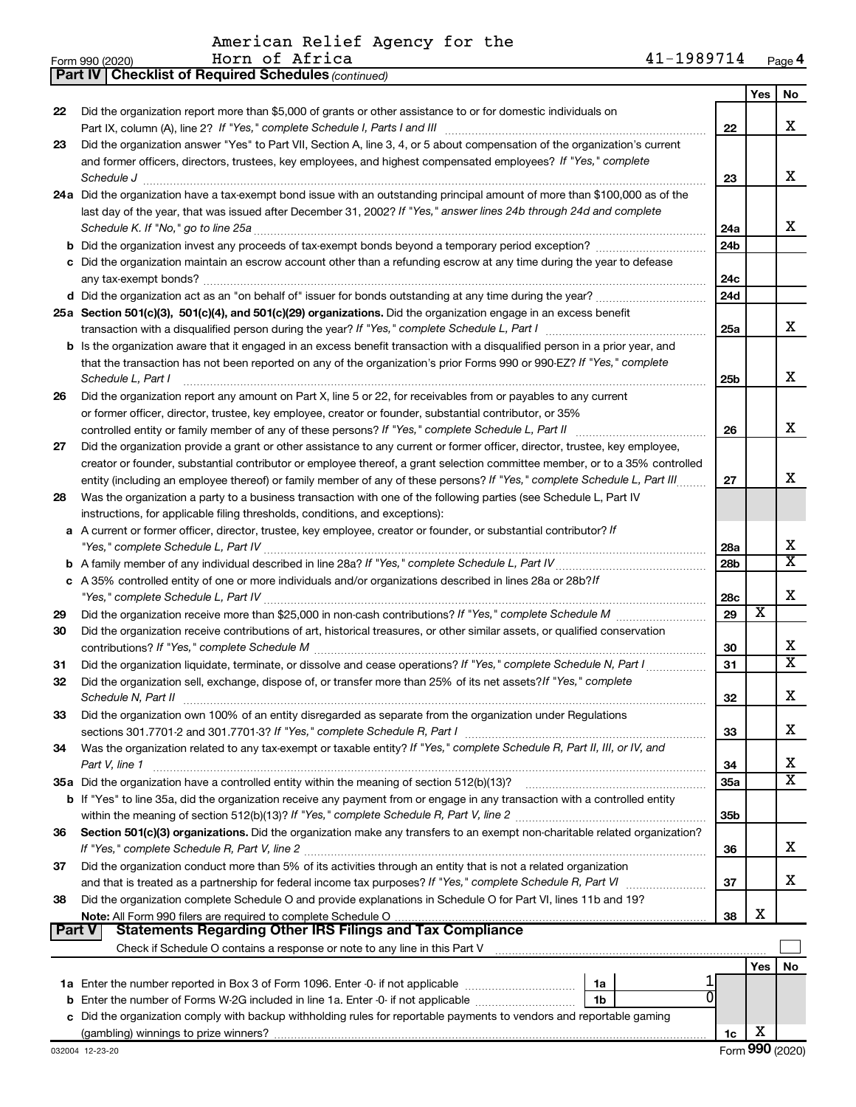American Relief Agency for the n of Africa

|               | 41-1989714<br>Horn of Africa<br>Form 990 (2020)                                                                                                                 |                 |                         | Page 4                  |
|---------------|-----------------------------------------------------------------------------------------------------------------------------------------------------------------|-----------------|-------------------------|-------------------------|
|               | <b>Part IV   Checklist of Required Schedules (continued)</b>                                                                                                    |                 |                         |                         |
|               |                                                                                                                                                                 |                 | Yes                     | No                      |
| 22            | Did the organization report more than \$5,000 of grants or other assistance to or for domestic individuals on                                                   |                 |                         |                         |
|               |                                                                                                                                                                 | 22              |                         | x                       |
| 23            | Did the organization answer "Yes" to Part VII, Section A, line 3, 4, or 5 about compensation of the organization's current                                      |                 |                         |                         |
|               | and former officers, directors, trustees, key employees, and highest compensated employees? If "Yes," complete                                                  |                 |                         |                         |
|               |                                                                                                                                                                 | 23              |                         | x                       |
|               | Schedule J                                                                                                                                                      |                 |                         |                         |
|               | 24a Did the organization have a tax-exempt bond issue with an outstanding principal amount of more than \$100,000 as of the                                     |                 |                         |                         |
|               | last day of the year, that was issued after December 31, 2002? If "Yes," answer lines 24b through 24d and complete                                              |                 |                         |                         |
|               | Schedule K. If "No," go to line 25a                                                                                                                             | 24a             |                         | x                       |
|               | <b>b</b> Did the organization invest any proceeds of tax-exempt bonds beyond a temporary period exception?                                                      | 24b             |                         |                         |
|               | c Did the organization maintain an escrow account other than a refunding escrow at any time during the year to defease                                          |                 |                         |                         |
|               |                                                                                                                                                                 | 24c             |                         |                         |
|               |                                                                                                                                                                 | 24d             |                         |                         |
|               | 25a Section 501(c)(3), 501(c)(4), and 501(c)(29) organizations. Did the organization engage in an excess benefit                                                |                 |                         |                         |
|               |                                                                                                                                                                 | 25a             |                         | X                       |
|               | <b>b</b> Is the organization aware that it engaged in an excess benefit transaction with a disqualified person in a prior year, and                             |                 |                         |                         |
|               | that the transaction has not been reported on any of the organization's prior Forms 990 or 990-EZ? If "Yes," complete                                           |                 |                         |                         |
|               | Schedule L, Part I                                                                                                                                              | 25b             |                         | x                       |
|               | Did the organization report any amount on Part X, line 5 or 22, for receivables from or payables to any current                                                 |                 |                         |                         |
| 26            |                                                                                                                                                                 |                 |                         |                         |
|               | or former officer, director, trustee, key employee, creator or founder, substantial contributor, or 35%                                                         |                 |                         |                         |
|               | controlled entity or family member of any of these persons? If "Yes," complete Schedule L, Part II                                                              | 26              |                         | x                       |
| 27            | Did the organization provide a grant or other assistance to any current or former officer, director, trustee, key employee,                                     |                 |                         |                         |
|               | creator or founder, substantial contributor or employee thereof, a grant selection committee member, or to a 35% controlled                                     |                 |                         |                         |
|               | entity (including an employee thereof) or family member of any of these persons? If "Yes," complete Schedule L, Part III.                                       | 27              |                         | X                       |
| 28            | Was the organization a party to a business transaction with one of the following parties (see Schedule L, Part IV                                               |                 |                         |                         |
|               | instructions, for applicable filing thresholds, conditions, and exceptions):                                                                                    |                 |                         |                         |
|               | a A current or former officer, director, trustee, key employee, creator or founder, or substantial contributor? If                                              |                 |                         |                         |
|               |                                                                                                                                                                 | 28a             |                         | X                       |
|               |                                                                                                                                                                 | 28b             |                         | $\overline{\mathtt{x}}$ |
|               | c A 35% controlled entity of one or more individuals and/or organizations described in lines 28a or 28b?/f                                                      |                 |                         |                         |
|               |                                                                                                                                                                 | 28c             |                         | x                       |
| 29            |                                                                                                                                                                 | 29              | $\overline{\textbf{x}}$ |                         |
|               |                                                                                                                                                                 |                 |                         |                         |
| 30            | Did the organization receive contributions of art, historical treasures, or other similar assets, or qualified conservation                                     |                 |                         | x                       |
|               |                                                                                                                                                                 | 30              |                         | $\overline{\mathtt{x}}$ |
| 31            |                                                                                                                                                                 | 31              |                         |                         |
|               | Did the organization sell, exchange, dispose of, or transfer more than 25% of its net assets? If "Yes," complete                                                |                 |                         |                         |
|               | Schedule N, Part II                                                                                                                                             | 32              |                         | x                       |
| 33            | Did the organization own 100% of an entity disregarded as separate from the organization under Regulations                                                      |                 |                         |                         |
|               |                                                                                                                                                                 | 33              |                         | x                       |
| 34            | Was the organization related to any tax-exempt or taxable entity? If "Yes," complete Schedule R, Part II, III, or IV, and                                       |                 |                         |                         |
|               | Part V, line 1                                                                                                                                                  | 34              |                         | х                       |
|               | 35a Did the organization have a controlled entity within the meaning of section 512(b)(13)?                                                                     | 35a             |                         | $\overline{\texttt{x}}$ |
|               | b If "Yes" to line 35a, did the organization receive any payment from or engage in any transaction with a controlled entity                                     |                 |                         |                         |
|               |                                                                                                                                                                 | 35 <sub>b</sub> |                         |                         |
| 36            | Section 501(c)(3) organizations. Did the organization make any transfers to an exempt non-charitable related organization?                                      |                 |                         |                         |
|               |                                                                                                                                                                 |                 |                         | x                       |
|               |                                                                                                                                                                 | 36              |                         |                         |
| 37            | Did the organization conduct more than 5% of its activities through an entity that is not a related organization                                                |                 |                         |                         |
|               |                                                                                                                                                                 | 37              |                         | x                       |
| 38            | Did the organization complete Schedule O and provide explanations in Schedule O for Part VI, lines 11b and 19?                                                  |                 |                         |                         |
|               |                                                                                                                                                                 | 38              | х                       |                         |
| <b>Part V</b> | <b>Statements Regarding Other IRS Filings and Tax Compliance</b>                                                                                                |                 |                         |                         |
|               | Check if Schedule O contains a response or note to any line in this Part V [11] [12] Check if Schedule O contains a response or note to any line in this Part V |                 |                         |                         |
|               |                                                                                                                                                                 |                 | Yes                     | No                      |
|               | 1a                                                                                                                                                              |                 |                         |                         |
|               | 1 <sub>b</sub>                                                                                                                                                  |                 |                         |                         |
|               | c Did the organization comply with backup withholding rules for reportable payments to vendors and reportable gaming                                            |                 |                         |                         |

 $1<sub>c</sub>$ 

Form 990 (20)  $\overline{Pa}$ 

| (20 | Hor |
|-----|-----|
|     |     |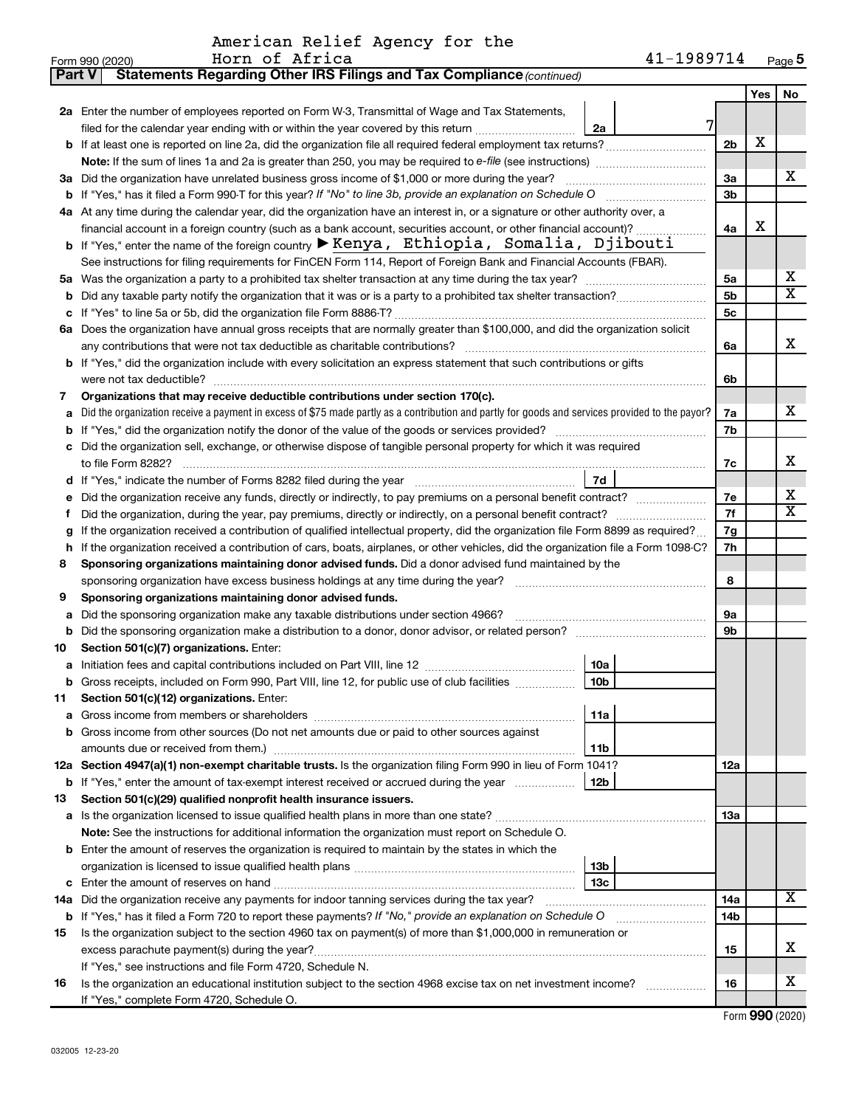American Relief Agency for the<br>Form 990 (2020) Horn of Africa<br>**Part V** Statements Regarding Other IRS Filings and Tax Compliance (continued)

|    | ratemento riegaranty other mo rimnyo ana rax comphanoc <sub>leonalidea</sub>                                                                                                              |                |     |                       |  |
|----|-------------------------------------------------------------------------------------------------------------------------------------------------------------------------------------------|----------------|-----|-----------------------|--|
|    |                                                                                                                                                                                           |                | Yes | No                    |  |
|    | 2a Enter the number of employees reported on Form W-3, Transmittal of Wage and Tax Statements,<br>filed for the calendar year ending with or within the year covered by this return<br>2a | 7              |     |                       |  |
|    | b If at least one is reported on line 2a, did the organization file all required federal employment tax returns?                                                                          | 2 <sub>b</sub> | х   |                       |  |
|    |                                                                                                                                                                                           |                |     |                       |  |
|    | 3a Did the organization have unrelated business gross income of \$1,000 or more during the year?                                                                                          | За             |     | x                     |  |
|    | <b>b</b> If "Yes," has it filed a Form 990-T for this year? If "No" to line 3b, provide an explanation on Schedule O                                                                      | 3 <sub>b</sub> |     |                       |  |
|    | 4a At any time during the calendar year, did the organization have an interest in, or a signature or other authority over, a                                                              |                |     |                       |  |
|    | financial account in a foreign country (such as a bank account, securities account, or other financial account)?                                                                          | 4a             | х   |                       |  |
|    | b If "Yes," enter the name of the foreign country $\blacktriangleright$ Kenya, Ethiopia, Somalia, Djibouti                                                                                |                |     |                       |  |
|    | See instructions for filing requirements for FinCEN Form 114, Report of Foreign Bank and Financial Accounts (FBAR).                                                                       |                |     |                       |  |
| 5а | Was the organization a party to a prohibited tax shelter transaction at any time during the tax year?                                                                                     | 5a             |     | х                     |  |
| b  |                                                                                                                                                                                           | 5 <sub>b</sub> |     | $\overline{\text{X}}$ |  |
| с  | If "Yes" to line 5a or 5b, did the organization file Form 8886-T?                                                                                                                         | 5c             |     |                       |  |
|    | 6a Does the organization have annual gross receipts that are normally greater than \$100,000, and did the organization solicit                                                            |                |     |                       |  |
|    | any contributions that were not tax deductible as charitable contributions?                                                                                                               | 6a             |     | x                     |  |
|    | b If "Yes," did the organization include with every solicitation an express statement that such contributions or gifts                                                                    |                |     |                       |  |
|    | were not tax deductible?                                                                                                                                                                  | 6b             |     |                       |  |
| 7  | Organizations that may receive deductible contributions under section 170(c).                                                                                                             |                |     |                       |  |
| a  | Did the organization receive a payment in excess of \$75 made partly as a contribution and partly for goods and services provided to the payor?                                           | 7a             |     | x                     |  |
| b  | If "Yes," did the organization notify the donor of the value of the goods or services provided?                                                                                           | 7b             |     |                       |  |
|    | Did the organization sell, exchange, or otherwise dispose of tangible personal property for which it was required<br>to file Form 8282?                                                   | 7с             |     | x                     |  |
| d  | If "Yes," indicate the number of Forms 8282 filed during the year<br>7d                                                                                                                   |                |     |                       |  |
| е  | Did the organization receive any funds, directly or indirectly, to pay premiums on a personal benefit contract?                                                                           | 7е             |     | х                     |  |
| f  | Did the organization, during the year, pay premiums, directly or indirectly, on a personal benefit contract?                                                                              |                |     |                       |  |
| g  | If the organization received a contribution of qualified intellectual property, did the organization file Form 8899 as required?                                                          |                |     |                       |  |
| h  | If the organization received a contribution of cars, boats, airplanes, or other vehicles, did the organization file a Form 1098-C?                                                        |                |     |                       |  |
| 8  | Sponsoring organizations maintaining donor advised funds. Did a donor advised fund maintained by the                                                                                      |                |     |                       |  |
|    | sponsoring organization have excess business holdings at any time during the year?                                                                                                        |                |     |                       |  |
| 9  | Sponsoring organizations maintaining donor advised funds.                                                                                                                                 |                |     |                       |  |
| a  | Did the sponsoring organization make any taxable distributions under section 4966?                                                                                                        | 9а             |     |                       |  |
| b  | Did the sponsoring organization make a distribution to a donor, donor advisor, or related person?                                                                                         | 9b             |     |                       |  |
| 10 | Section 501(c)(7) organizations. Enter:                                                                                                                                                   |                |     |                       |  |
| a  | 10a                                                                                                                                                                                       |                |     |                       |  |
| b  | 10 <sub>b</sub><br>Gross receipts, included on Form 990, Part VIII, line 12, for public use of club facilities                                                                            |                |     |                       |  |
| 11 | Section 501(c)(12) organizations. Enter:                                                                                                                                                  |                |     |                       |  |
|    | 11a<br>Gross income from other sources (Do not net amounts due or paid to other sources against                                                                                           |                |     |                       |  |
|    | 11 <sub>b</sub>                                                                                                                                                                           |                |     |                       |  |
|    | 12a Section 4947(a)(1) non-exempt charitable trusts. Is the organization filing Form 990 in lieu of Form 1041?                                                                            | 12a            |     |                       |  |
|    | 12b<br><b>b</b> If "Yes," enter the amount of tax-exempt interest received or accrued during the year                                                                                     |                |     |                       |  |
| 13 | Section 501(c)(29) qualified nonprofit health insurance issuers.                                                                                                                          |                |     |                       |  |
| а  |                                                                                                                                                                                           | 13a            |     |                       |  |
|    | Note: See the instructions for additional information the organization must report on Schedule O.                                                                                         |                |     |                       |  |
|    | <b>b</b> Enter the amount of reserves the organization is required to maintain by the states in which the                                                                                 |                |     |                       |  |
|    | 13b                                                                                                                                                                                       |                |     |                       |  |
|    | 13 <sub>c</sub>                                                                                                                                                                           |                |     |                       |  |
|    | 14a Did the organization receive any payments for indoor tanning services during the tax year?                                                                                            | 14a            |     | х                     |  |
|    | <b>b</b> If "Yes," has it filed a Form 720 to report these payments? If "No," provide an explanation on Schedule O                                                                        | 14b            |     |                       |  |
| 15 | Is the organization subject to the section 4960 tax on payment(s) of more than \$1,000,000 in remuneration or                                                                             |                |     |                       |  |
|    |                                                                                                                                                                                           | 15             |     | x                     |  |
|    | If "Yes," see instructions and file Form 4720, Schedule N.                                                                                                                                |                |     | х                     |  |
| 16 | Is the organization an educational institution subject to the section 4968 excise tax on net investment income?                                                                           | 16             |     |                       |  |
|    | If "Yes," complete Form 4720, Schedule O.                                                                                                                                                 |                |     |                       |  |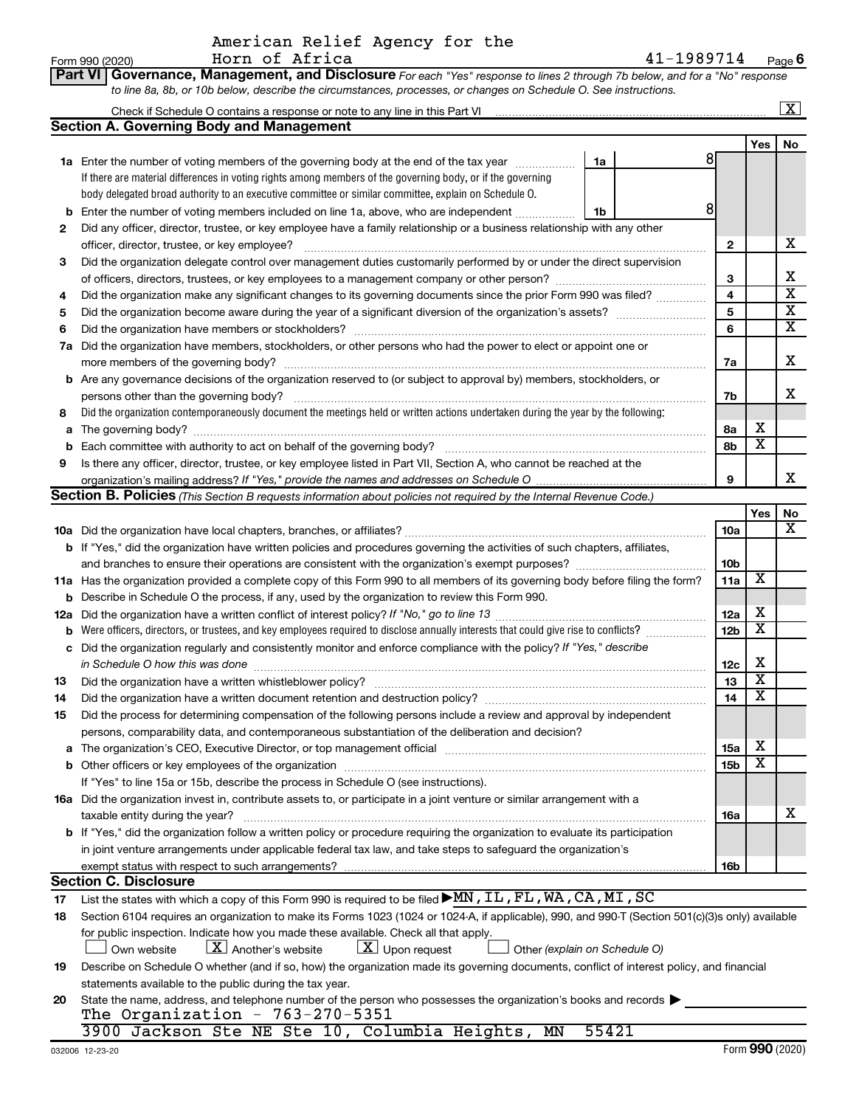|  | American Relief Agency for the |  |  |
|--|--------------------------------|--|--|
|  | Horn of Africa                 |  |  |

 $41 - 1989714$ Page  $6$ 

| <b>Part VI Governance, Management, and Disclosure</b> For each "Yes" response to lines 2 through 7b below, and for a "No" response |
|------------------------------------------------------------------------------------------------------------------------------------|
| to line 8a, 8b, or 10b below, describe the circumstances, processes, or changes on Schedule O. See instructions.                   |

|         |                                                                                                                                                                                                                                                                                                                                                                                                                                                                                                   |                              |                                                    | $\overline{\mathbf{x}}$ |
|---------|---------------------------------------------------------------------------------------------------------------------------------------------------------------------------------------------------------------------------------------------------------------------------------------------------------------------------------------------------------------------------------------------------------------------------------------------------------------------------------------------------|------------------------------|----------------------------------------------------|-------------------------|
|         | <b>Section A. Governing Body and Management</b>                                                                                                                                                                                                                                                                                                                                                                                                                                                   |                              |                                                    |                         |
|         |                                                                                                                                                                                                                                                                                                                                                                                                                                                                                                   |                              | Yes                                                | No                      |
|         | 1a Enter the number of voting members of the governing body at the end of the tax year<br>1a                                                                                                                                                                                                                                                                                                                                                                                                      | 8                            |                                                    |                         |
|         | If there are material differences in voting rights among members of the governing body, or if the governing                                                                                                                                                                                                                                                                                                                                                                                       |                              |                                                    |                         |
|         | body delegated broad authority to an executive committee or similar committee, explain on Schedule O.                                                                                                                                                                                                                                                                                                                                                                                             |                              |                                                    |                         |
| b       | 8<br>Enter the number of voting members included on line 1a, above, who are independent<br>1b                                                                                                                                                                                                                                                                                                                                                                                                     |                              |                                                    |                         |
| 2       | Did any officer, director, trustee, or key employee have a family relationship or a business relationship with any other                                                                                                                                                                                                                                                                                                                                                                          |                              |                                                    |                         |
|         | officer, director, trustee, or key employee?<br>$\begin{minipage}[b]{0.5\textwidth} \centering \begin{tabular}{ c c c c c } \hline \multicolumn{1}{ c }{\textbf{1}} & \multicolumn{1}{ c }{\textbf{1}} & \multicolumn{1}{ c }{\textbf{1}} & \multicolumn{1}{ c }{\textbf{1}} & \multicolumn{1}{ c }{\textbf{1}} & \multicolumn{1}{ c }{\textbf{1}} & \multicolumn{1}{ c }{\textbf{1}} & \multicolumn{1}{ c }{\textbf{1}} & \multicolumn{1}{ c }{\textbf{1}} & \multicolumn{1}{ c }{\textbf{1}} &$ | $\mathbf{2}$                 |                                                    | х                       |
| З       | Did the organization delegate control over management duties customarily performed by or under the direct supervision                                                                                                                                                                                                                                                                                                                                                                             |                              |                                                    | х                       |
|         |                                                                                                                                                                                                                                                                                                                                                                                                                                                                                                   | З<br>$\overline{\mathbf{4}}$ |                                                    | $\overline{\textbf{x}}$ |
| 4       | Did the organization make any significant changes to its governing documents since the prior Form 990 was filed?                                                                                                                                                                                                                                                                                                                                                                                  | 5                            |                                                    | $\overline{\textbf{x}}$ |
| 5       |                                                                                                                                                                                                                                                                                                                                                                                                                                                                                                   |                              |                                                    |                         |
| 6<br>7a | Did the organization have members, stockholders, or other persons who had the power to elect or appoint one or                                                                                                                                                                                                                                                                                                                                                                                    | 6                            |                                                    | $\overline{\mathtt{x}}$ |
|         |                                                                                                                                                                                                                                                                                                                                                                                                                                                                                                   | 7a                           |                                                    | X                       |
| b       | Are any governance decisions of the organization reserved to (or subject to approval by) members, stockholders, or                                                                                                                                                                                                                                                                                                                                                                                |                              |                                                    |                         |
|         | persons other than the governing body?                                                                                                                                                                                                                                                                                                                                                                                                                                                            | 7b                           |                                                    | X                       |
| 8       | Did the organization contemporaneously document the meetings held or written actions undertaken during the year by the following:                                                                                                                                                                                                                                                                                                                                                                 |                              |                                                    |                         |
| a       |                                                                                                                                                                                                                                                                                                                                                                                                                                                                                                   | 8а                           | х                                                  |                         |
| b       |                                                                                                                                                                                                                                                                                                                                                                                                                                                                                                   | 8b                           | $\overline{\mathtt{x}}$                            |                         |
| 9       | Is there any officer, director, trustee, or key employee listed in Part VII, Section A, who cannot be reached at the                                                                                                                                                                                                                                                                                                                                                                              |                              |                                                    |                         |
|         |                                                                                                                                                                                                                                                                                                                                                                                                                                                                                                   | 9                            |                                                    | x                       |
|         | <b>Section B. Policies</b> (This Section B requests information about policies not required by the Internal Revenue Code.)                                                                                                                                                                                                                                                                                                                                                                        |                              |                                                    |                         |
|         |                                                                                                                                                                                                                                                                                                                                                                                                                                                                                                   |                              | Yes                                                | No                      |
|         |                                                                                                                                                                                                                                                                                                                                                                                                                                                                                                   | 10a                          |                                                    | X                       |
|         | <b>b</b> If "Yes," did the organization have written policies and procedures governing the activities of such chapters, affiliates,                                                                                                                                                                                                                                                                                                                                                               |                              |                                                    |                         |
|         |                                                                                                                                                                                                                                                                                                                                                                                                                                                                                                   | 10 <sub>b</sub>              |                                                    |                         |
|         | 11a Has the organization provided a complete copy of this Form 990 to all members of its governing body before filing the form?                                                                                                                                                                                                                                                                                                                                                                   | 11a                          | X                                                  |                         |
|         | <b>b</b> Describe in Schedule O the process, if any, used by the organization to review this Form 990.                                                                                                                                                                                                                                                                                                                                                                                            |                              |                                                    |                         |
| 12a     |                                                                                                                                                                                                                                                                                                                                                                                                                                                                                                   | 12a                          | х                                                  |                         |
| b       |                                                                                                                                                                                                                                                                                                                                                                                                                                                                                                   | 12 <sub>b</sub>              | $\overline{\texttt{x}}$                            |                         |
| c       | Did the organization regularly and consistently monitor and enforce compliance with the policy? If "Yes," describe                                                                                                                                                                                                                                                                                                                                                                                |                              |                                                    |                         |
|         | in Schedule O how this was done                                                                                                                                                                                                                                                                                                                                                                                                                                                                   | 12c                          | х                                                  |                         |
| 13      |                                                                                                                                                                                                                                                                                                                                                                                                                                                                                                   | 13                           | $\overline{\texttt{x}}$<br>$\overline{\texttt{x}}$ |                         |
| 14      | Did the organization have a written document retention and destruction policy? [11] manufaction in the organization have a written document retention and destruction policy?                                                                                                                                                                                                                                                                                                                     | 14                           |                                                    |                         |
| 15      | Did the process for determining compensation of the following persons include a review and approval by independent                                                                                                                                                                                                                                                                                                                                                                                |                              |                                                    |                         |
|         | persons, comparability data, and contemporaneous substantiation of the deliberation and decision?                                                                                                                                                                                                                                                                                                                                                                                                 |                              | х                                                  |                         |
| b       | a The organization's CEO, Executive Director, or top management official manufactured content content of the organization's CEO, Executive Director, or top management official manufactured content of the organization's                                                                                                                                                                                                                                                                        | 15a<br>15 <sub>b</sub>       | $\overline{\texttt{x}}$                            |                         |
|         | If "Yes" to line 15a or 15b, describe the process in Schedule O (see instructions).                                                                                                                                                                                                                                                                                                                                                                                                               |                              |                                                    |                         |
|         | 16a Did the organization invest in, contribute assets to, or participate in a joint venture or similar arrangement with a                                                                                                                                                                                                                                                                                                                                                                         |                              |                                                    |                         |
|         | taxable entity during the year?                                                                                                                                                                                                                                                                                                                                                                                                                                                                   | 16a                          |                                                    | X                       |
|         | <b>b</b> If "Yes," did the organization follow a written policy or procedure requiring the organization to evaluate its participation                                                                                                                                                                                                                                                                                                                                                             |                              |                                                    |                         |
|         | in joint venture arrangements under applicable federal tax law, and take steps to safeguard the organization's                                                                                                                                                                                                                                                                                                                                                                                    |                              |                                                    |                         |
|         | exempt status with respect to such arrangements?                                                                                                                                                                                                                                                                                                                                                                                                                                                  | 16b                          |                                                    |                         |
|         | <b>Section C. Disclosure</b>                                                                                                                                                                                                                                                                                                                                                                                                                                                                      |                              |                                                    |                         |
| 17      | List the states with which a copy of this Form 990 is required to be filed MN, IL, FL, WA, CA, MI, SC                                                                                                                                                                                                                                                                                                                                                                                             |                              |                                                    |                         |
| 18      | Section 6104 requires an organization to make its Forms 1023 (1024 or 1024-A, if applicable), 990, and 990-T (Section 501(c)(3)s only) available                                                                                                                                                                                                                                                                                                                                                  |                              |                                                    |                         |
|         | for public inspection. Indicate how you made these available. Check all that apply.                                                                                                                                                                                                                                                                                                                                                                                                               |                              |                                                    |                         |
|         | $\lfloor x \rfloor$ Another's website<br>$ \mathbf{X} $ Upon request<br>Own website<br>Other (explain on Schedule O)                                                                                                                                                                                                                                                                                                                                                                              |                              |                                                    |                         |
| 19      | Describe on Schedule O whether (and if so, how) the organization made its governing documents, conflict of interest policy, and financial                                                                                                                                                                                                                                                                                                                                                         |                              |                                                    |                         |
|         | statements available to the public during the tax year.                                                                                                                                                                                                                                                                                                                                                                                                                                           |                              |                                                    |                         |
| 20      | State the name, address, and telephone number of the person who possesses the organization's books and records                                                                                                                                                                                                                                                                                                                                                                                    |                              |                                                    |                         |
|         | The Organization - $763-270-5351$                                                                                                                                                                                                                                                                                                                                                                                                                                                                 |                              |                                                    |                         |
|         | 55421<br>3900 Jackson Ste NE Ste 10, Columbia Heights, MN                                                                                                                                                                                                                                                                                                                                                                                                                                         |                              |                                                    |                         |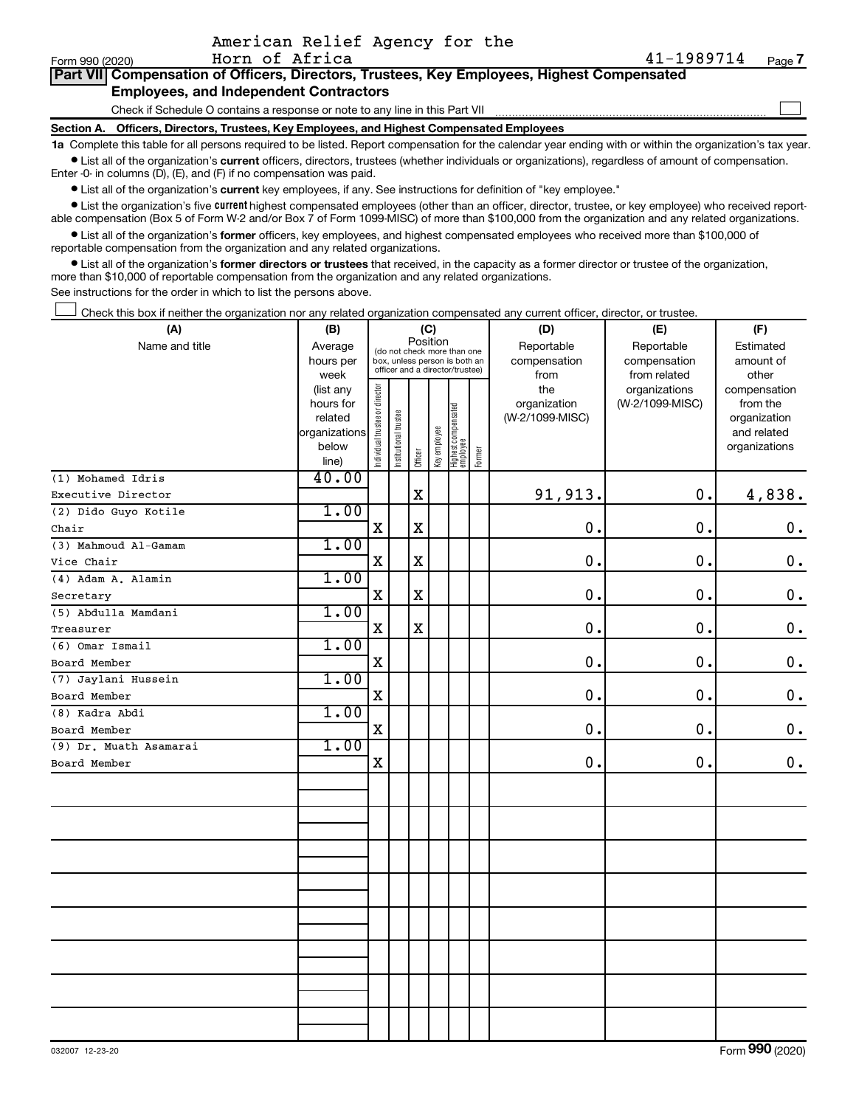|                 |                                                                                            | American Relief Agency for the                                                             |        |
|-----------------|--------------------------------------------------------------------------------------------|--------------------------------------------------------------------------------------------|--------|
| Form 990 (2020) | Horn of Africa                                                                             | $41 - 1989714$                                                                             | Page 7 |
|                 |                                                                                            | Part VII Compensation of Officers, Directors, Trustees, Key Employees, Highest Compensated |        |
|                 | <b>Employees, and Independent Contractors</b>                                              |                                                                                            |        |
|                 | Check if Schedule O contains a response or note to any line in this Part VII               |                                                                                            |        |
|                 | Section A. Officers, Directors, Trustees, Key Employees, and Highest Compensated Employees |                                                                                            |        |
|                 |                                                                                            |                                                                                            |        |

1a Complete this table for all persons required to be listed. Report compensation for the calendar year ending with or within the organization's tax year. • List all of the organization's current officers, directors, trustees (whether individuals or organizations), regardless of amount of compensation.

Enter -0- in columns (D), (E), and (F) if no compensation was paid.

• List all of the organization's current key employees, if any. See instructions for definition of "key employee."

• List the organization's five current highest compensated employees (other than an officer, director, trustee, or key employee) who received reportable compensation (Box 5 of Form W-2 and/or Box 7 of Form 1099-MISC) of more than \$100,000 from the organization and any related organizations.

• List all of the organization's former officers, key employees, and highest compensated employees who received more than \$100,000 of reportable compensation from the organization and any related organizations.

• List all of the organization's former directors or trustees that received, in the capacity as a former director or trustee of the organization, more than \$10,000 of reportable compensation from the organization and any related organizations.

See instructions for the order in which to list the persons above.

Check this box if neither the organization nor any related organization compensated any current officer, director, or trustee.

| (A)                    | (B)                                                                  | (C)                            |                                                                                                 |             |              |                                 |        | (D)                                    | (E)                                        | (F)                                                                      |  |  |
|------------------------|----------------------------------------------------------------------|--------------------------------|-------------------------------------------------------------------------------------------------|-------------|--------------|---------------------------------|--------|----------------------------------------|--------------------------------------------|--------------------------------------------------------------------------|--|--|
| Name and title         | Average<br>hours per<br>week                                         |                                | (do not check more than one<br>box, unless person is both an<br>officer and a director/trustee) | Position    |              |                                 |        | Reportable<br>compensation<br>from     | Reportable<br>compensation<br>from related | Estimated<br>amount of<br>other                                          |  |  |
|                        | (list any<br>hours for<br>related<br>organizations<br>below<br>line) | Individual trustee or director | Institutional trustee                                                                           | Officer     | Key employee | Highest compensated<br>employee | Former | the<br>organization<br>(W-2/1099-MISC) | organizations<br>(W-2/1099-MISC)           | compensation<br>from the<br>organization<br>and related<br>organizations |  |  |
| (1) Mohamed Idris      | 40.00                                                                |                                |                                                                                                 |             |              |                                 |        |                                        |                                            |                                                                          |  |  |
| Executive Director     |                                                                      |                                |                                                                                                 | $\mathbf X$ |              |                                 |        | 91,913.                                | $\mathbf 0$ .                              | 4,838.                                                                   |  |  |
| (2) Dido Guyo Kotile   | 1.00                                                                 |                                |                                                                                                 |             |              |                                 |        |                                        |                                            |                                                                          |  |  |
| Chair                  |                                                                      | X                              |                                                                                                 | X           |              |                                 |        | 0.                                     | $\mathbf 0$ .                              | $\mathbf 0$ .                                                            |  |  |
| (3) Mahmoud Al-Gamam   | 1.00                                                                 |                                |                                                                                                 |             |              |                                 |        |                                        |                                            |                                                                          |  |  |
| Vice Chair             |                                                                      | $\mathbf X$                    |                                                                                                 | X           |              |                                 |        | $\mathbf 0$ .                          | 0.                                         | $\mathbf 0$ .                                                            |  |  |
| (4) Adam A. Alamin     | 1.00                                                                 |                                |                                                                                                 |             |              |                                 |        |                                        |                                            |                                                                          |  |  |
| Secretary              |                                                                      | $\mathbf X$                    |                                                                                                 | X           |              |                                 |        | 0.                                     | $\mathbf 0$ .                              | $\mathbf 0$ .                                                            |  |  |
| (5) Abdulla Mamdani    | 1.00                                                                 |                                |                                                                                                 |             |              |                                 |        |                                        |                                            |                                                                          |  |  |
| Treasurer              |                                                                      | $\mathbf X$                    |                                                                                                 | X           |              |                                 |        | 0.                                     | 0.                                         | $\mathbf 0$ .                                                            |  |  |
| (6) Omar Ismail        | 1.00                                                                 |                                |                                                                                                 |             |              |                                 |        |                                        |                                            |                                                                          |  |  |
| Board Member           |                                                                      | X                              |                                                                                                 |             |              |                                 |        | 0.                                     | 0.                                         | $\mathbf 0$ .                                                            |  |  |
| (7) Jaylani Hussein    | 1.00                                                                 |                                |                                                                                                 |             |              |                                 |        |                                        |                                            |                                                                          |  |  |
| Board Member           |                                                                      | $\mathbf x$                    |                                                                                                 |             |              |                                 |        | 0.                                     | 0.                                         | $\mathbf 0$ .                                                            |  |  |
| (8) Kadra Abdi         | 1.00                                                                 |                                |                                                                                                 |             |              |                                 |        |                                        |                                            |                                                                          |  |  |
| Board Member           |                                                                      | $\mathbf X$                    |                                                                                                 |             |              |                                 |        | 0.                                     | 0.                                         | $\mathbf 0$ .                                                            |  |  |
| (9) Dr. Muath Asamarai | 1.00                                                                 |                                |                                                                                                 |             |              |                                 |        |                                        |                                            |                                                                          |  |  |
| Board Member           |                                                                      | $\mathbf X$                    |                                                                                                 |             |              |                                 |        | 0.                                     | 0.                                         | $\mathbf 0$ .                                                            |  |  |
|                        |                                                                      |                                |                                                                                                 |             |              |                                 |        |                                        |                                            |                                                                          |  |  |
|                        |                                                                      |                                |                                                                                                 |             |              |                                 |        |                                        |                                            |                                                                          |  |  |
|                        |                                                                      |                                |                                                                                                 |             |              |                                 |        |                                        |                                            |                                                                          |  |  |
|                        |                                                                      |                                |                                                                                                 |             |              |                                 |        |                                        |                                            |                                                                          |  |  |
|                        |                                                                      |                                |                                                                                                 |             |              |                                 |        |                                        |                                            |                                                                          |  |  |
|                        |                                                                      |                                |                                                                                                 |             |              |                                 |        |                                        |                                            |                                                                          |  |  |
|                        |                                                                      |                                |                                                                                                 |             |              |                                 |        |                                        |                                            |                                                                          |  |  |
|                        |                                                                      |                                |                                                                                                 |             |              |                                 |        |                                        |                                            |                                                                          |  |  |
|                        |                                                                      |                                |                                                                                                 |             |              |                                 |        |                                        |                                            |                                                                          |  |  |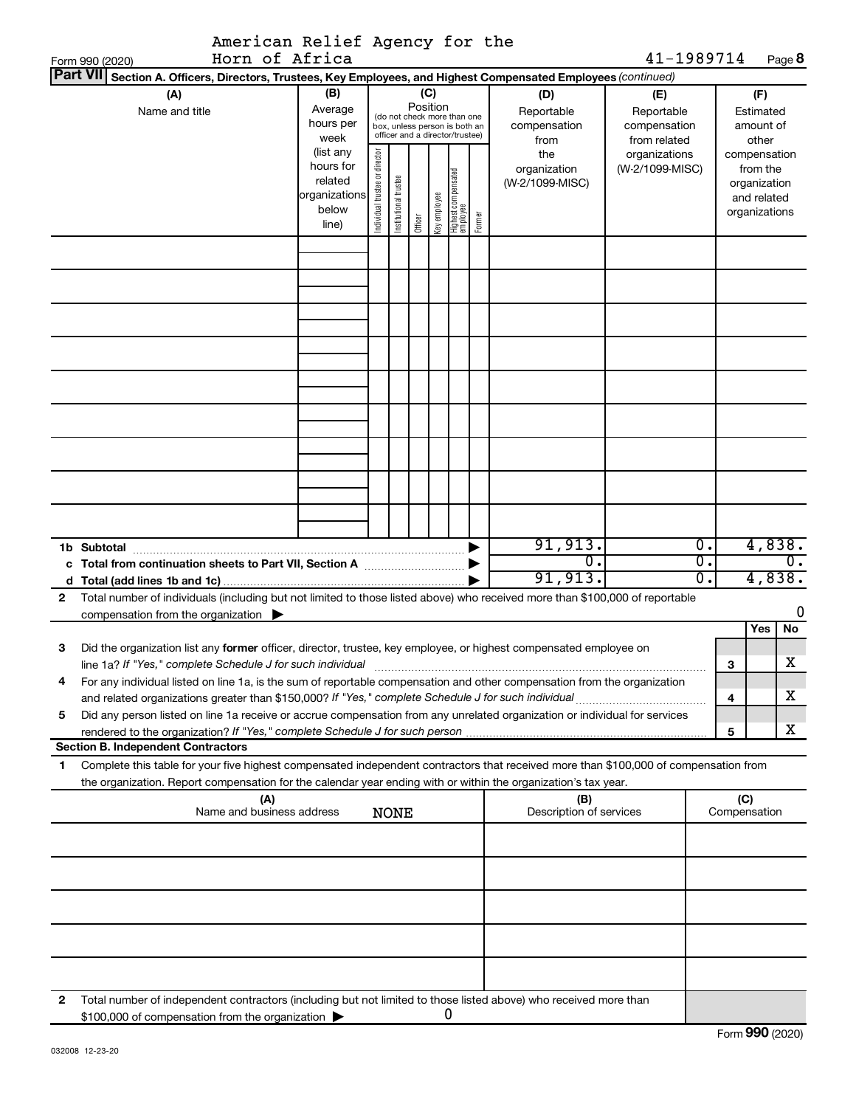| American Relief Agency for the                                                                                                               |                   |                                |                       |          |              |                                                                  |        |                         |                                  |                             |              |                          |        |
|----------------------------------------------------------------------------------------------------------------------------------------------|-------------------|--------------------------------|-----------------------|----------|--------------|------------------------------------------------------------------|--------|-------------------------|----------------------------------|-----------------------------|--------------|--------------------------|--------|
| Horn of Africa<br>Form 990 (2020)                                                                                                            |                   |                                |                       |          |              |                                                                  |        |                         | 41-1989714                       |                             |              |                          | Page 8 |
| Part VII Section A. Officers, Directors, Trustees, Key Employees, and Highest Compensated Employees (continued)                              |                   |                                |                       |          |              |                                                                  |        |                         |                                  |                             |              |                          |        |
| (A)                                                                                                                                          | (B)               |                                |                       | (C)      |              |                                                                  |        | (D)                     | (E)                              |                             |              | (F)                      |        |
| Name and title                                                                                                                               | Average           |                                |                       | Position |              | (do not check more than one                                      |        | Reportable              | Reportable                       |                             |              | Estimated                |        |
|                                                                                                                                              | hours per<br>week |                                |                       |          |              | box, unless person is both an<br>officer and a director/trustee) |        | compensation            | compensation                     |                             |              | amount of                |        |
|                                                                                                                                              | (list any         |                                |                       |          |              |                                                                  |        | from                    | from related                     |                             |              | other                    |        |
|                                                                                                                                              | hours for         |                                |                       |          |              |                                                                  |        | the<br>organization     | organizations<br>(W-2/1099-MISC) |                             |              | compensation<br>from the |        |
|                                                                                                                                              | related           |                                |                       |          |              |                                                                  |        | (W-2/1099-MISC)         |                                  |                             |              | organization             |        |
|                                                                                                                                              | organizations     | Individual trustee or director | Institutional trustee |          |              |                                                                  |        |                         |                                  |                             |              | and related              |        |
|                                                                                                                                              | below             |                                |                       |          | Key employee |                                                                  |        |                         |                                  |                             |              | organizations            |        |
|                                                                                                                                              | line)             |                                |                       | Officer  |              | Highest compensated<br>  employee                                | Former |                         |                                  |                             |              |                          |        |
|                                                                                                                                              |                   |                                |                       |          |              |                                                                  |        |                         |                                  |                             |              |                          |        |
|                                                                                                                                              |                   |                                |                       |          |              |                                                                  |        |                         |                                  |                             |              |                          |        |
|                                                                                                                                              |                   |                                |                       |          |              |                                                                  |        |                         |                                  |                             |              |                          |        |
|                                                                                                                                              |                   |                                |                       |          |              |                                                                  |        |                         |                                  |                             |              |                          |        |
|                                                                                                                                              |                   |                                |                       |          |              |                                                                  |        |                         |                                  |                             |              |                          |        |
|                                                                                                                                              |                   |                                |                       |          |              |                                                                  |        |                         |                                  |                             |              |                          |        |
|                                                                                                                                              |                   |                                |                       |          |              |                                                                  |        |                         |                                  |                             |              |                          |        |
|                                                                                                                                              |                   |                                |                       |          |              |                                                                  |        |                         |                                  |                             |              |                          |        |
|                                                                                                                                              |                   |                                |                       |          |              |                                                                  |        |                         |                                  |                             |              |                          |        |
|                                                                                                                                              |                   |                                |                       |          |              |                                                                  |        |                         |                                  |                             |              |                          |        |
|                                                                                                                                              |                   |                                |                       |          |              |                                                                  |        |                         |                                  |                             |              |                          |        |
|                                                                                                                                              |                   |                                |                       |          |              |                                                                  |        |                         |                                  |                             |              |                          |        |
|                                                                                                                                              |                   |                                |                       |          |              |                                                                  |        |                         |                                  |                             |              |                          |        |
|                                                                                                                                              |                   |                                |                       |          |              |                                                                  |        |                         |                                  |                             |              |                          |        |
|                                                                                                                                              |                   |                                |                       |          |              |                                                                  |        |                         |                                  |                             |              |                          |        |
|                                                                                                                                              |                   |                                |                       |          |              |                                                                  |        |                         |                                  |                             |              |                          |        |
|                                                                                                                                              |                   |                                |                       |          |              |                                                                  |        |                         |                                  |                             |              |                          |        |
|                                                                                                                                              |                   |                                |                       |          |              |                                                                  |        |                         |                                  |                             |              |                          |        |
| 1b Subtotal                                                                                                                                  |                   |                                |                       |          |              |                                                                  |        | 91,913.                 |                                  | $\overline{0}$ .            |              |                          | 4,838. |
|                                                                                                                                              |                   |                                |                       |          |              |                                                                  |        | σ.                      |                                  | $\overline{\mathfrak{o}}$ . |              |                          | 0.     |
|                                                                                                                                              |                   |                                |                       |          |              |                                                                  |        | 91,913.                 |                                  | σ.                          |              |                          | 4,838. |
| Total number of individuals (including but not limited to those listed above) who received more than \$100,000 of reportable<br>$\mathbf{2}$ |                   |                                |                       |          |              |                                                                  |        |                         |                                  |                             |              |                          |        |
| compensation from the organization $\blacktriangleright$                                                                                     |                   |                                |                       |          |              |                                                                  |        |                         |                                  |                             |              |                          | 0      |
|                                                                                                                                              |                   |                                |                       |          |              |                                                                  |        |                         |                                  |                             |              | Yes                      | No     |
| Did the organization list any former officer, director, trustee, key employee, or highest compensated employee on<br>З                       |                   |                                |                       |          |              |                                                                  |        |                         |                                  |                             |              |                          |        |
| line 1a? If "Yes," complete Schedule J for such individual                                                                                   |                   |                                |                       |          |              |                                                                  |        |                         |                                  |                             | 3            |                          | х      |
| For any individual listed on line 1a, is the sum of reportable compensation and other compensation from the organization<br>4                |                   |                                |                       |          |              |                                                                  |        |                         |                                  |                             |              |                          |        |
|                                                                                                                                              |                   |                                |                       |          |              |                                                                  |        |                         |                                  |                             | 4            |                          | х      |
| Did any person listed on line 1a receive or accrue compensation from any unrelated organization or individual for services<br>5              |                   |                                |                       |          |              |                                                                  |        |                         |                                  |                             |              |                          |        |
|                                                                                                                                              |                   |                                |                       |          |              |                                                                  |        |                         |                                  |                             | 5            |                          | X      |
| <b>Section B. Independent Contractors</b>                                                                                                    |                   |                                |                       |          |              |                                                                  |        |                         |                                  |                             |              |                          |        |
| Complete this table for your five highest compensated independent contractors that received more than \$100,000 of compensation from<br>1    |                   |                                |                       |          |              |                                                                  |        |                         |                                  |                             |              |                          |        |
| the organization. Report compensation for the calendar year ending with or within the organization's tax year.                               |                   |                                |                       |          |              |                                                                  |        |                         |                                  |                             |              |                          |        |
| (A)                                                                                                                                          |                   |                                |                       |          |              |                                                                  |        | (B)                     |                                  |                             | (C)          |                          |        |
| Name and business address                                                                                                                    |                   |                                | <b>NONE</b>           |          |              |                                                                  |        | Description of services |                                  |                             | Compensation |                          |        |
|                                                                                                                                              |                   |                                |                       |          |              |                                                                  |        |                         |                                  |                             |              |                          |        |
|                                                                                                                                              |                   |                                |                       |          |              |                                                                  |        |                         |                                  |                             |              |                          |        |
|                                                                                                                                              |                   |                                |                       |          |              |                                                                  |        |                         |                                  |                             |              |                          |        |
|                                                                                                                                              |                   |                                |                       |          |              |                                                                  |        |                         |                                  |                             |              |                          |        |
|                                                                                                                                              |                   |                                |                       |          |              |                                                                  |        |                         |                                  |                             |              |                          |        |
|                                                                                                                                              |                   |                                |                       |          |              |                                                                  |        |                         |                                  |                             |              |                          |        |
|                                                                                                                                              |                   |                                |                       |          |              |                                                                  |        |                         |                                  |                             |              |                          |        |
|                                                                                                                                              |                   |                                |                       |          |              |                                                                  |        |                         |                                  |                             |              |                          |        |
|                                                                                                                                              |                   |                                |                       |          |              |                                                                  |        |                         |                                  |                             |              |                          |        |
|                                                                                                                                              |                   |                                |                       |          |              |                                                                  |        |                         |                                  |                             |              |                          |        |
| Total number of independent contractors (including but not limited to those listed above) who received more than<br>2                        |                   |                                |                       |          |              |                                                                  |        |                         |                                  |                             |              |                          |        |
| \$100,000 of compensation from the organization >                                                                                            |                   |                                |                       |          |              | 0                                                                |        |                         |                                  |                             |              |                          |        |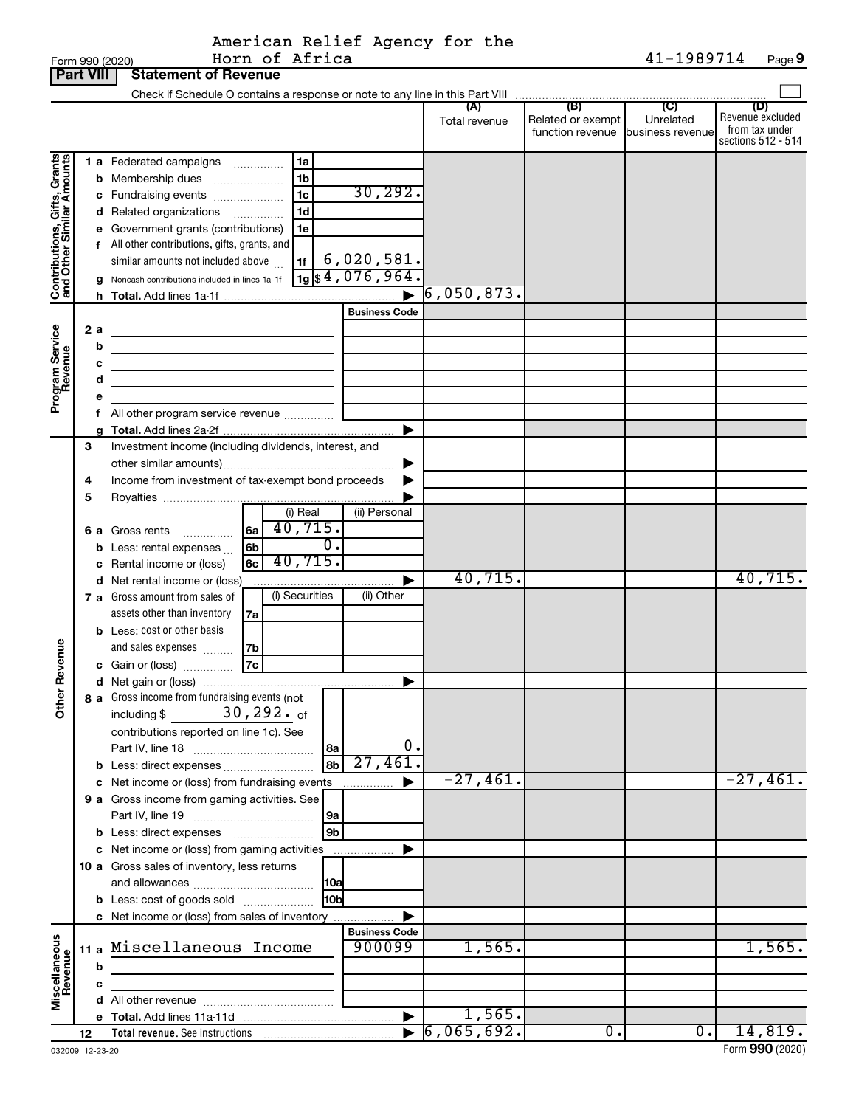American Relief Agency for the<br>Form 990 (2020) Horn of Africa<br>**Part VIII | Statement of Revenue** 

|                                                           | <b>Fait VIII</b> |   | <b>SLATERITE DE LA DEVETIUE</b>                                                |          |                      |                                   |                |                                    |
|-----------------------------------------------------------|------------------|---|--------------------------------------------------------------------------------|----------|----------------------|-----------------------------------|----------------|------------------------------------|
|                                                           |                  |   |                                                                                |          | (A)                  | (B)                               | $\overline{C}$ | (D)                                |
|                                                           |                  |   |                                                                                |          | Total revenue        | Related or exempt                 | Unrelated      | Revenue excluded<br>from tax under |
|                                                           |                  |   |                                                                                |          |                      | function revenue business revenue |                | sections 512 - 514                 |
|                                                           |                  |   | 1a<br>1 a Federated campaigns                                                  |          |                      |                                   |                |                                    |
|                                                           |                  |   | 1 <sub>b</sub><br><b>b</b> Membership dues                                     |          |                      |                                   |                |                                    |
|                                                           |                  |   | 1 <sub>c</sub><br>c Fundraising events                                         | 30, 292. |                      |                                   |                |                                    |
| Contributions, Gifts, Grants<br>and Other Similar Amounts |                  |   | 1 <sub>d</sub><br>d Related organizations                                      |          |                      |                                   |                |                                    |
|                                                           |                  |   | 1e<br>e Government grants (contributions)                                      |          |                      |                                   |                |                                    |
|                                                           |                  |   | f All other contributions, gifts, grants, and                                  |          |                      |                                   |                |                                    |
|                                                           |                  |   | 6,020,581.<br>similar amounts not included above<br>1f                         |          |                      |                                   |                |                                    |
|                                                           |                  |   | $\frac{1}{19}$ \$4,076,964.<br>g Noncash contributions included in lines 1a-1f |          |                      |                                   |                |                                    |
|                                                           |                  |   |                                                                                |          | $\rceil$ 6,050,873.  |                                   |                |                                    |
|                                                           |                  |   | <b>Business Code</b>                                                           |          |                      |                                   |                |                                    |
|                                                           | 2 a              |   |                                                                                |          |                      |                                   |                |                                    |
| Program Service<br>Revenue                                |                  | b |                                                                                |          |                      |                                   |                |                                    |
|                                                           |                  | c |                                                                                |          |                      |                                   |                |                                    |
|                                                           |                  | d |                                                                                |          |                      |                                   |                |                                    |
|                                                           |                  | е |                                                                                |          |                      |                                   |                |                                    |
|                                                           |                  |   |                                                                                |          |                      |                                   |                |                                    |
|                                                           | 3                |   | Investment income (including dividends, interest, and                          |          |                      |                                   |                |                                    |
|                                                           |                  |   |                                                                                |          |                      |                                   |                |                                    |
|                                                           | 4                |   | Income from investment of tax-exempt bond proceeds                             |          |                      |                                   |                |                                    |
|                                                           | 5                |   |                                                                                |          |                      |                                   |                |                                    |
|                                                           |                  |   | (i) Real<br>(ii) Personal                                                      |          |                      |                                   |                |                                    |
|                                                           |                  |   | 6 a Gross rents  6a 40,715.                                                    |          |                      |                                   |                |                                    |
|                                                           |                  |   | $\overline{0}$ .<br><b>b</b> Less: rental expenses<br>6b                       |          |                      |                                   |                |                                    |
|                                                           |                  |   | $6c$ 40, 715.<br>c Rental income or (loss)                                     |          | 40,715.              |                                   |                | 40,715.                            |
|                                                           |                  |   | d Net rental income or (loss)<br>(i) Securities<br>(ii) Other                  | ▶        |                      |                                   |                |                                    |
|                                                           |                  |   | 7 a Gross amount from sales of<br>assets other than inventory<br>7a            |          |                      |                                   |                |                                    |
|                                                           |                  |   | <b>b</b> Less: cost or other basis                                             |          |                      |                                   |                |                                    |
|                                                           |                  |   | and sales expenses  7b                                                         |          |                      |                                   |                |                                    |
|                                                           |                  |   | c Gain or (loss) $\frac{1}{2}$                                                 |          |                      |                                   |                |                                    |
| Revenue                                                   |                  |   |                                                                                |          |                      |                                   |                |                                    |
| jer                                                       |                  |   | 8 a Gross income from fundraising events (not                                  |          |                      |                                   |                |                                    |
| ᅗ                                                         |                  |   | $30$ , $292$ $\cdot$ of<br>including \$                                        |          |                      |                                   |                |                                    |
|                                                           |                  |   | contributions reported on line 1c). See                                        |          |                      |                                   |                |                                    |
|                                                           |                  |   | 8a                                                                             | 0.       |                      |                                   |                |                                    |
|                                                           |                  |   | 8b                                                                             | 27,461   |                      |                                   |                |                                    |
|                                                           |                  |   | c Net income or (loss) from fundraising events                                 |          | $-27,461.$           |                                   |                | $-27,461.$                         |
|                                                           |                  |   | 9 a Gross income from gaming activities. See                                   |          |                      |                                   |                |                                    |
|                                                           |                  |   | 9a                                                                             |          |                      |                                   |                |                                    |
|                                                           |                  |   | 9b                                                                             |          |                      |                                   |                |                                    |
|                                                           |                  |   | c Net income or (loss) from gaming activities                                  |          |                      |                                   |                |                                    |
|                                                           |                  |   | 10 a Gross sales of inventory, less returns<br> 10a                            |          |                      |                                   |                |                                    |
|                                                           |                  |   | 10bl<br><b>b</b> Less: cost of goods sold                                      |          |                      |                                   |                |                                    |
|                                                           |                  |   | c Net income or (loss) from sales of inventory                                 |          |                      |                                   |                |                                    |
|                                                           |                  |   | <b>Business Code</b>                                                           |          |                      |                                   |                |                                    |
| Miscellaneous<br>Revenue                                  |                  |   | 11 a Miscellaneous Income<br>900099                                            |          | 1,565.               |                                   |                | 1,565.                             |
|                                                           |                  | b |                                                                                |          |                      |                                   |                |                                    |
|                                                           |                  | c |                                                                                |          |                      |                                   |                |                                    |
|                                                           |                  |   |                                                                                |          |                      |                                   |                |                                    |
|                                                           |                  |   |                                                                                |          | 1,565.<br>6,065,692. | $0$ .                             | 0.             | 14,819.                            |
|                                                           | 12               |   | <b>Total revenue.</b> See instructions                                         |          |                      |                                   |                |                                    |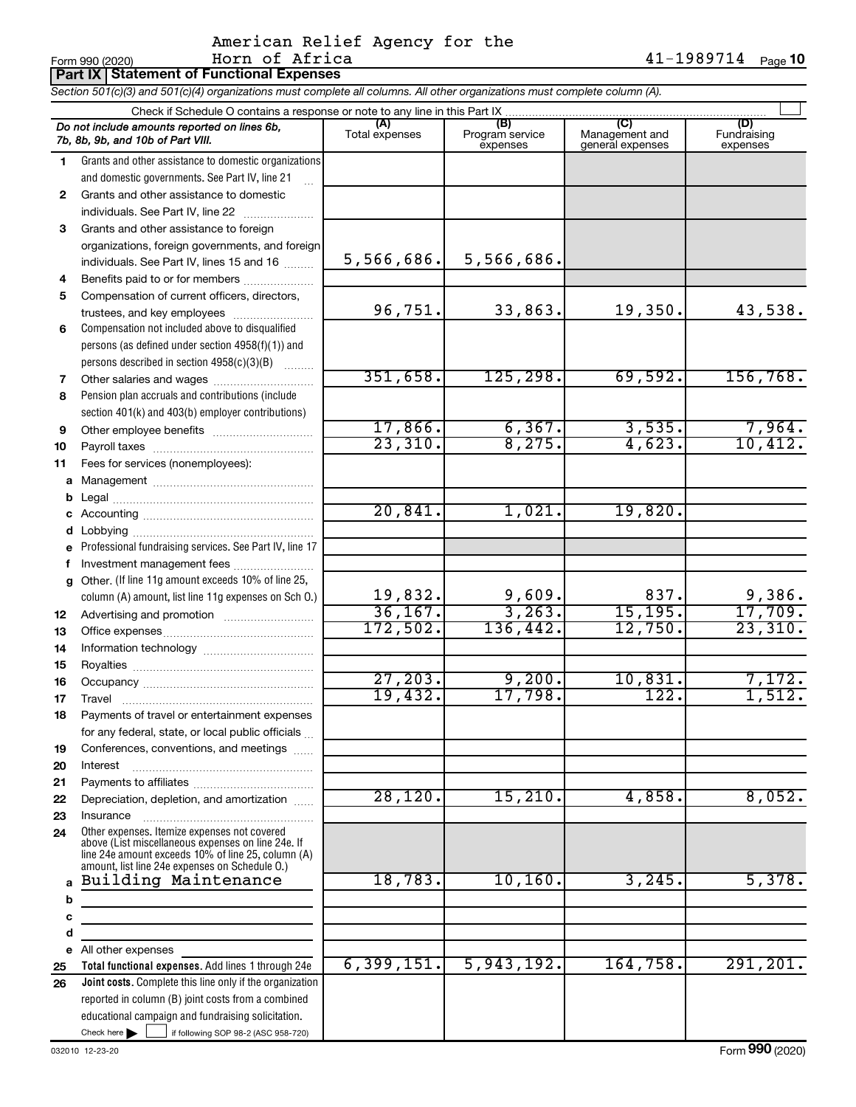# American Relief Agency for the<br>Horn of Africa

41-1989714 Page 10

|              | Part IX Statement of Functional Expenses                                                                                   |                |                             |                                    |                         |  |  |  |  |  |  |  |
|--------------|----------------------------------------------------------------------------------------------------------------------------|----------------|-----------------------------|------------------------------------|-------------------------|--|--|--|--|--|--|--|
|              | Section 501(c)(3) and 501(c)(4) organizations must complete all columns. All other organizations must complete column (A). |                |                             |                                    |                         |  |  |  |  |  |  |  |
|              | Check if Schedule O contains a response or note to any line in this Part IX<br>(C)<br>(D)<br>(A)<br>(B)                    |                |                             |                                    |                         |  |  |  |  |  |  |  |
|              | Do not include amounts reported on lines 6b,<br>7b, 8b, 9b, and 10b of Part VIII.                                          | Total expenses | Program service<br>expenses | Management and<br>general expenses | Fundraising<br>expenses |  |  |  |  |  |  |  |
| 1.           | Grants and other assistance to domestic organizations                                                                      |                |                             |                                    |                         |  |  |  |  |  |  |  |
|              | and domestic governments. See Part IV, line 21                                                                             |                |                             |                                    |                         |  |  |  |  |  |  |  |
| $\mathbf{2}$ | Grants and other assistance to domestic                                                                                    |                |                             |                                    |                         |  |  |  |  |  |  |  |
|              | individuals. See Part IV, line 22                                                                                          |                |                             |                                    |                         |  |  |  |  |  |  |  |
| 3            | Grants and other assistance to foreign                                                                                     |                |                             |                                    |                         |  |  |  |  |  |  |  |
|              | organizations, foreign governments, and foreign                                                                            |                |                             |                                    |                         |  |  |  |  |  |  |  |
|              | individuals. See Part IV, lines 15 and 16                                                                                  | 5,566,686.     | 5,566,686.                  |                                    |                         |  |  |  |  |  |  |  |
| 4            | Benefits paid to or for members                                                                                            |                |                             |                                    |                         |  |  |  |  |  |  |  |
| 5            | Compensation of current officers, directors,                                                                               | 96,751.        | 33,863.                     | 19,350.                            | 43,538.                 |  |  |  |  |  |  |  |
|              | trustees, and key employees                                                                                                |                |                             |                                    |                         |  |  |  |  |  |  |  |
| 6            | Compensation not included above to disqualified<br>persons (as defined under section 4958(f)(1)) and                       |                |                             |                                    |                         |  |  |  |  |  |  |  |
|              | persons described in section 4958(c)(3)(B)                                                                                 |                |                             |                                    |                         |  |  |  |  |  |  |  |
|              |                                                                                                                            | 351,658.       | 125, 298.                   | 69,592.                            | 156, 768.               |  |  |  |  |  |  |  |
| 7<br>8       | Pension plan accruals and contributions (include                                                                           |                |                             |                                    |                         |  |  |  |  |  |  |  |
|              | section 401(k) and 403(b) employer contributions)                                                                          |                |                             |                                    |                         |  |  |  |  |  |  |  |
| 9            | Other employee benefits                                                                                                    | 17,866.        | 6, 367.                     | 3,535.                             | 7,964.                  |  |  |  |  |  |  |  |
| 10           |                                                                                                                            | 23,310.        | 8,275.                      | 4,623.                             | 10,412.                 |  |  |  |  |  |  |  |
| 11           | Fees for services (nonemployees):                                                                                          |                |                             |                                    |                         |  |  |  |  |  |  |  |
|              |                                                                                                                            |                |                             |                                    |                         |  |  |  |  |  |  |  |
| b            |                                                                                                                            |                |                             |                                    |                         |  |  |  |  |  |  |  |
|              |                                                                                                                            | 20,841.        | 1,021.                      | 19,820.                            |                         |  |  |  |  |  |  |  |
| d            |                                                                                                                            |                |                             |                                    |                         |  |  |  |  |  |  |  |
|              | e Professional fundraising services. See Part IV, line 17                                                                  |                |                             |                                    |                         |  |  |  |  |  |  |  |
| f            | Investment management fees                                                                                                 |                |                             |                                    |                         |  |  |  |  |  |  |  |
|              | g Other. (If line 11g amount exceeds 10% of line 25,                                                                       |                |                             |                                    |                         |  |  |  |  |  |  |  |
|              | column (A) amount, list line 11g expenses on Sch 0.)                                                                       | 19,832.        | 9,609.                      | 837.                               | 9,386.                  |  |  |  |  |  |  |  |
| 12           |                                                                                                                            | 36, 167.       | 3, 263.                     | 15, 195.                           | 17,709.                 |  |  |  |  |  |  |  |
| 13           |                                                                                                                            | 172,502.       | 136,442.                    | 12,750.                            | 23,310.                 |  |  |  |  |  |  |  |
| 14           |                                                                                                                            |                |                             |                                    |                         |  |  |  |  |  |  |  |
| 15           |                                                                                                                            |                |                             |                                    |                         |  |  |  |  |  |  |  |
| 16           |                                                                                                                            | 27, 203.       | 9,200.                      | 10,831.                            | 7,172.                  |  |  |  |  |  |  |  |
| 17           | Travel                                                                                                                     | 19,432.        | 17,798.                     | 122                                | 1,512.                  |  |  |  |  |  |  |  |
| 18           | Payments of travel or entertainment expenses                                                                               |                |                             |                                    |                         |  |  |  |  |  |  |  |
|              | for any federal, state, or local public officials                                                                          |                |                             |                                    |                         |  |  |  |  |  |  |  |
| 19           | Conferences, conventions, and meetings                                                                                     |                |                             |                                    |                         |  |  |  |  |  |  |  |
| 20           | Interest                                                                                                                   |                |                             |                                    |                         |  |  |  |  |  |  |  |
| 21           |                                                                                                                            | 28, 120.       | 15,210.                     | 4,858.                             | 8,052.                  |  |  |  |  |  |  |  |
| 22           | Depreciation, depletion, and amortization                                                                                  |                |                             |                                    |                         |  |  |  |  |  |  |  |
| 23           | Other expenses. Itemize expenses not covered                                                                               |                |                             |                                    |                         |  |  |  |  |  |  |  |
| 24           | above (List miscellaneous expenses on line 24e. If<br>line 24e amount exceeds 10% of line 25, column (A)                   |                |                             |                                    |                         |  |  |  |  |  |  |  |
|              | amount, list line 24e expenses on Schedule O.)<br>Building Maintenance                                                     | 18,783.        | 10, 160.                    | 3,245.                             | 5,378.                  |  |  |  |  |  |  |  |
|              |                                                                                                                            |                |                             |                                    |                         |  |  |  |  |  |  |  |
| b<br>c       |                                                                                                                            |                |                             |                                    |                         |  |  |  |  |  |  |  |
| d            |                                                                                                                            |                |                             |                                    |                         |  |  |  |  |  |  |  |
|              | e All other expenses                                                                                                       |                |                             |                                    |                         |  |  |  |  |  |  |  |
| 25           | Total functional expenses. Add lines 1 through 24e                                                                         | 6, 399, 151.   | 5,943,192.                  | 164, 758.                          | 291, 201.               |  |  |  |  |  |  |  |
| 26           | Joint costs. Complete this line only if the organization                                                                   |                |                             |                                    |                         |  |  |  |  |  |  |  |
|              | reported in column (B) joint costs from a combined                                                                         |                |                             |                                    |                         |  |  |  |  |  |  |  |
|              | educational campaign and fundraising solicitation.                                                                         |                |                             |                                    |                         |  |  |  |  |  |  |  |
|              | Check here $\blacksquare$ $\blacksquare$ if following SOP 98-2 (ASC 958-720)                                               |                |                             |                                    |                         |  |  |  |  |  |  |  |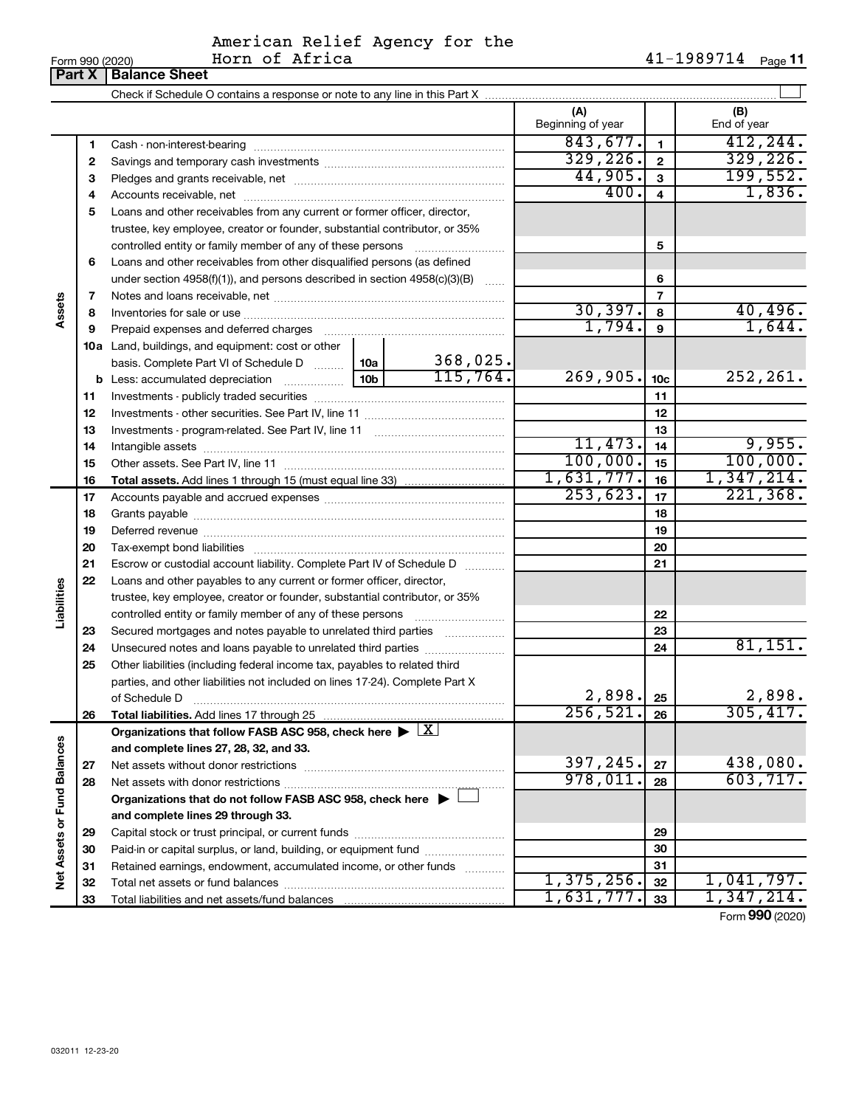# American Relief Agency for the<br>Horn of Africa

|                             | Form 990 (2020) | Horn of Africa                                                                                         |  |          |                          |                         | 41-1989714 Page 11 |
|-----------------------------|-----------------|--------------------------------------------------------------------------------------------------------|--|----------|--------------------------|-------------------------|--------------------|
|                             | Part X          | <b>Balance Sheet</b>                                                                                   |  |          |                          |                         |                    |
|                             |                 |                                                                                                        |  |          |                          |                         |                    |
|                             |                 |                                                                                                        |  |          | (A)<br>Beginning of year |                         | (B)<br>End of year |
|                             | 1               |                                                                                                        |  |          | 843,677.                 | $\mathbf{1}$            | 412, 244.          |
|                             | 2               |                                                                                                        |  |          | 329, 226.                | $\overline{2}$          | 329, 226.          |
|                             | 3               |                                                                                                        |  |          | 44,905.                  | 3                       | 199,552.           |
|                             | 4               |                                                                                                        |  |          | 400.                     | $\overline{\mathbf{4}}$ | 1,836.             |
|                             | 5               | Loans and other receivables from any current or former officer, director,                              |  |          |                          |                         |                    |
|                             |                 | trustee, key employee, creator or founder, substantial contributor, or 35%                             |  |          |                          |                         |                    |
|                             |                 |                                                                                                        |  |          |                          | 5                       |                    |
|                             | 6               | Loans and other receivables from other disqualified persons (as defined                                |  |          |                          |                         |                    |
|                             |                 | under section 4958(f)(1)), and persons described in section $4958(c)(3)(B)$                            |  |          |                          | 6                       |                    |
|                             | 7               |                                                                                                        |  |          |                          | $\overline{7}$          |                    |
| Assets                      | 8               |                                                                                                        |  |          | 30, 397.                 | 8                       | 40,496.            |
|                             | 9               |                                                                                                        |  | 1,794.   | 9                        | 1,644.                  |                    |
|                             |                 | <b>10a</b> Land, buildings, and equipment: cost or other                                               |  |          |                          |                         |                    |
|                             |                 | basis. Complete Part VI of Schedule D    10a                                                           |  | 368,025. |                          |                         |                    |
|                             |                 |                                                                                                        |  | 115,764. | 269,905.                 | 10 <sub>c</sub>         | 252, 261.          |
|                             | 11              |                                                                                                        |  |          | 11                       |                         |                    |
|                             | 12              |                                                                                                        |  |          | 12                       |                         |                    |
|                             | 13              |                                                                                                        |  |          |                          | 13                      |                    |
|                             | 14              |                                                                                                        |  |          | 11,473.                  | 14                      | 9,955.             |
|                             | 15              |                                                                                                        |  |          | 100,000.                 | 15                      | 100,000.           |
|                             | 16              |                                                                                                        |  |          | 1,631,777.               | 16                      | 1,347,214.         |
|                             | 17              |                                                                                                        |  | 253,623. | 17                       | 221,368.                |                    |
|                             | 18              |                                                                                                        |  |          | 18                       |                         |                    |
|                             | 19              |                                                                                                        |  |          |                          | 19                      |                    |
|                             | 20              |                                                                                                        |  |          |                          | 20                      |                    |
|                             | 21              | Escrow or custodial account liability. Complete Part IV of Schedule D                                  |  |          |                          | 21                      |                    |
|                             | 22              | Loans and other payables to any current or former officer, director,                                   |  |          |                          |                         |                    |
| Liabilities                 |                 | trustee, key employee, creator or founder, substantial contributor, or 35%                             |  |          |                          |                         |                    |
|                             |                 | controlled entity or family member of any of these persons                                             |  |          |                          | 22                      |                    |
|                             | 23              | Secured mortgages and notes payable to unrelated third parties                                         |  |          |                          | 23                      |                    |
|                             | 24              | Unsecured notes and loans payable to unrelated third parties                                           |  |          |                          | 24                      | 81,151.            |
|                             | 25              | Other liabilities (including federal income tax, payables to related third                             |  |          |                          |                         |                    |
|                             |                 | parties, and other liabilities not included on lines 17-24). Complete Part X                           |  |          |                          |                         |                    |
|                             |                 | of Schedule D                                                                                          |  |          | 2,898.                   | 25                      | 2,898.             |
|                             | 26              | Total liabilities. Add lines 17 through 25                                                             |  |          | 256, 521.                | 26                      | 305,417.           |
|                             |                 | Organizations that follow FASB ASC 958, check here $\blacktriangleright \lfloor \underline{X} \rfloor$ |  |          |                          |                         |                    |
|                             |                 | and complete lines 27, 28, 32, and 33.                                                                 |  |          |                          |                         |                    |
|                             | 27              |                                                                                                        |  |          | 397,245.                 | 27                      | 438,080.           |
|                             | 28              |                                                                                                        |  |          | 978,011.                 | 28                      | 603, 717.          |
|                             |                 | Organizations that do not follow FASB ASC 958, check here $\blacktriangleright$                        |  |          |                          |                         |                    |
|                             |                 | and complete lines 29 through 33.                                                                      |  |          |                          |                         |                    |
|                             | 29              |                                                                                                        |  |          |                          | 29                      |                    |
| Net Assets or Fund Balances | 30              | Paid-in or capital surplus, or land, building, or equipment fund                                       |  |          |                          | 30                      |                    |
|                             | 31              | Retained earnings, endowment, accumulated income, or other funds                                       |  |          |                          | 31                      |                    |
|                             | 32              |                                                                                                        |  |          | 1,375,256.               | 32                      | 1,041,797.         |
|                             | 33              |                                                                                                        |  |          | 1,631,777.               | 33                      | 1,347,214.         |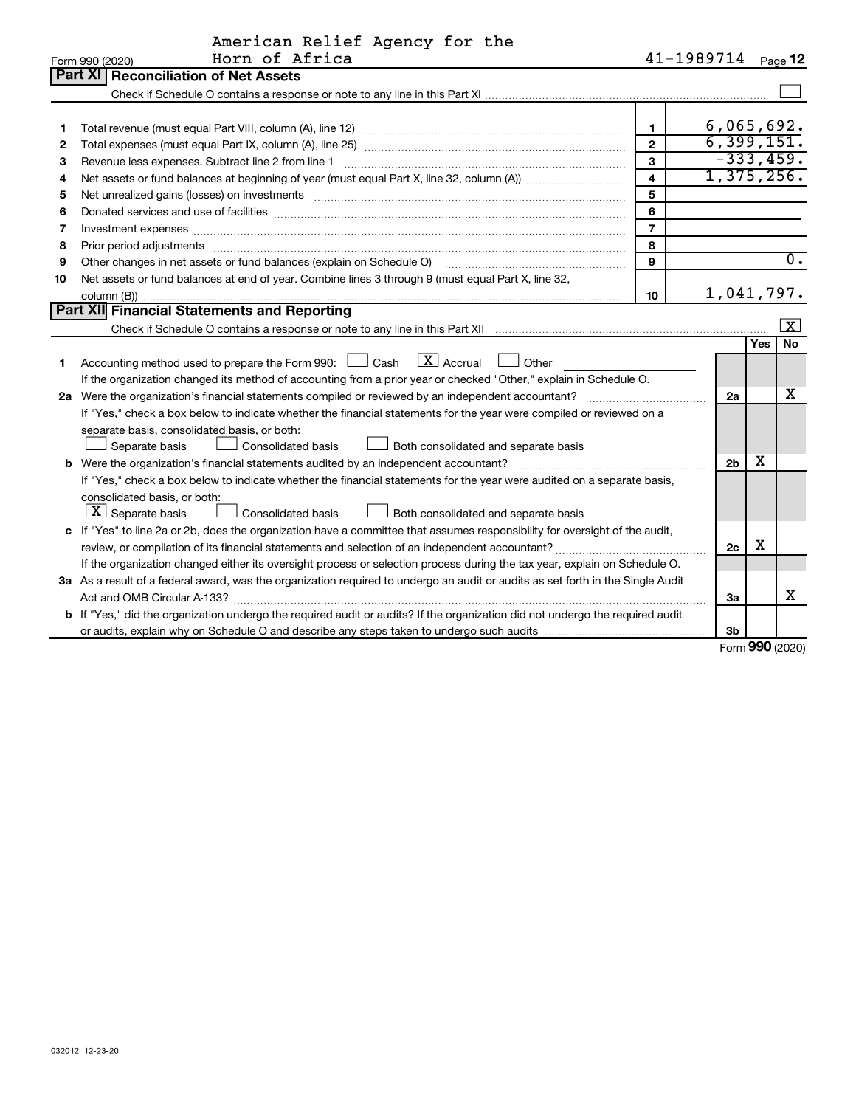|    | American Relief Agency for the                                                                                                                                                                                                 |                |                    |         |                         |
|----|--------------------------------------------------------------------------------------------------------------------------------------------------------------------------------------------------------------------------------|----------------|--------------------|---------|-------------------------|
|    | Horn of Africa<br>Form 990 (2020)                                                                                                                                                                                              |                | 41-1989714 Page 12 |         |                         |
|    | Part XI<br><b>Reconciliation of Net Assets</b>                                                                                                                                                                                 |                |                    |         |                         |
|    |                                                                                                                                                                                                                                |                |                    |         |                         |
|    |                                                                                                                                                                                                                                |                |                    |         |                         |
| 1  |                                                                                                                                                                                                                                | 1.             | 6,065,692.         |         |                         |
| 2  |                                                                                                                                                                                                                                | $\overline{2}$ | 6, 399, 151.       |         |                         |
| 3  | Revenue less expenses. Subtract line 2 from line 1                                                                                                                                                                             | 3              | $-333,459.$        |         |                         |
| 4  |                                                                                                                                                                                                                                | 4              | 1,375,256.         |         |                         |
| 5  | Net unrealized gains (losses) on investments [11] matter in the content of the state of the state of the state of the state of the state of the state of the state of the state of the state of the state of the state of the  | 5              |                    |         |                         |
| 6  |                                                                                                                                                                                                                                | 6              |                    |         |                         |
| 7  | Investment expenses www.communication.communication.com/www.communication.com/www.communication.com                                                                                                                            | $\overline{7}$ |                    |         |                         |
| 8  | Prior period adjustments material contents and content and content and content and content and content and content and content and content and content and content and content and content and content and content and content | 8              |                    |         |                         |
| 9  | Other changes in net assets or fund balances (explain on Schedule O)                                                                                                                                                           | 9              |                    |         | $\overline{0}$ .        |
| 10 | Net assets or fund balances at end of year. Combine lines 3 through 9 (must equal Part X, line 32,                                                                                                                             |                |                    |         |                         |
|    |                                                                                                                                                                                                                                | 10             | 1,041,797.         |         |                         |
|    | Part XII Financial Statements and Reporting                                                                                                                                                                                    |                |                    |         |                         |
|    |                                                                                                                                                                                                                                |                |                    |         | $\overline{\mathbf{x}}$ |
|    |                                                                                                                                                                                                                                |                |                    | Yes     | <b>No</b>               |
| 1. | $\boxed{\text{X}}$ Accrual<br>Accounting method used to prepare the Form 990: $\Box$ Cash<br>Other                                                                                                                             |                |                    |         |                         |
|    | If the organization changed its method of accounting from a prior year or checked "Other," explain in Schedule O.                                                                                                              |                |                    |         |                         |
|    | 2a Were the organization's financial statements compiled or reviewed by an independent accountant?                                                                                                                             |                | 2a                 |         | x                       |
|    | If "Yes," check a box below to indicate whether the financial statements for the year were compiled or reviewed on a                                                                                                           |                |                    |         |                         |
|    | separate basis, consolidated basis, or both:                                                                                                                                                                                   |                |                    |         |                         |
|    | Separate basis<br>Consolidated basis<br>Both consolidated and separate basis                                                                                                                                                   |                |                    |         |                         |
|    |                                                                                                                                                                                                                                |                | 2 <sub>b</sub>     | х       |                         |
|    | If "Yes," check a box below to indicate whether the financial statements for the year were audited on a separate basis,                                                                                                        |                |                    |         |                         |
|    | consolidated basis, or both:                                                                                                                                                                                                   |                |                    |         |                         |
|    | $ \mathbf{X} $ Separate basis<br>Consolidated basis<br>Both consolidated and separate basis                                                                                                                                    |                |                    |         |                         |
|    | c If "Yes" to line 2a or 2b, does the organization have a committee that assumes responsibility for oversight of the audit,                                                                                                    |                |                    |         |                         |
|    |                                                                                                                                                                                                                                |                | 2c                 | х       |                         |
|    | If the organization changed either its oversight process or selection process during the tax year, explain on Schedule O.                                                                                                      |                |                    |         |                         |
|    | 3a As a result of a federal award, was the organization required to undergo an audit or audits as set forth in the Single Audit                                                                                                |                |                    |         |                         |
|    |                                                                                                                                                                                                                                |                | 3a                 |         | x                       |
|    | b If "Yes," did the organization undergo the required audit or audits? If the organization did not undergo the required audit                                                                                                  |                |                    |         |                         |
|    |                                                                                                                                                                                                                                |                | 3b                 | $000 -$ |                         |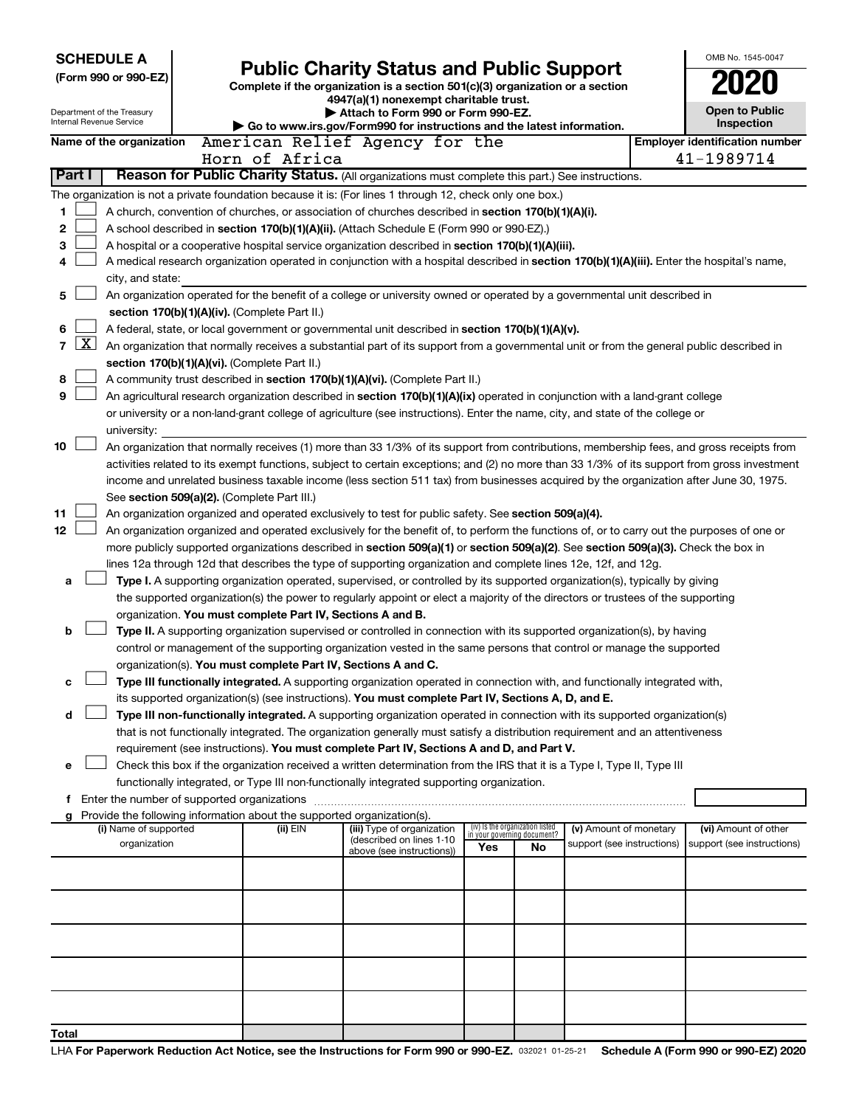|                |                                                                                                                                            | <b>SCHEDULE A</b>                                      |  |                                                                        |                                                                                                                                                                                                                                                                                          |                                    |                                 |                                                      |  | OMB No. 1545-0047                                   |
|----------------|--------------------------------------------------------------------------------------------------------------------------------------------|--------------------------------------------------------|--|------------------------------------------------------------------------|------------------------------------------------------------------------------------------------------------------------------------------------------------------------------------------------------------------------------------------------------------------------------------------|------------------------------------|---------------------------------|------------------------------------------------------|--|-----------------------------------------------------|
|                |                                                                                                                                            | (Form 990 or 990-EZ)                                   |  |                                                                        | <b>Public Charity Status and Public Support</b>                                                                                                                                                                                                                                          |                                    |                                 |                                                      |  |                                                     |
|                |                                                                                                                                            |                                                        |  |                                                                        | Complete if the organization is a section 501(c)(3) organization or a section<br>4947(a)(1) nonexempt charitable trust.                                                                                                                                                                  |                                    |                                 |                                                      |  |                                                     |
|                |                                                                                                                                            | Department of the Treasury<br>Internal Revenue Service |  |                                                                        | Attach to Form 990 or Form 990-EZ.                                                                                                                                                                                                                                                       |                                    |                                 |                                                      |  | Open to Public                                      |
|                |                                                                                                                                            | Name of the organization                               |  |                                                                        | Go to www.irs.gov/Form990 for instructions and the latest information.<br>American Relief Agency for the                                                                                                                                                                                 |                                    |                                 |                                                      |  | Inspection<br><b>Employer identification number</b> |
|                |                                                                                                                                            |                                                        |  | Horn of Africa                                                         |                                                                                                                                                                                                                                                                                          |                                    |                                 |                                                      |  | 41-1989714                                          |
| Part I         |                                                                                                                                            |                                                        |  |                                                                        | Reason for Public Charity Status. (All organizations must complete this part.) See instructions.                                                                                                                                                                                         |                                    |                                 |                                                      |  |                                                     |
|                |                                                                                                                                            |                                                        |  |                                                                        | The organization is not a private foundation because it is: (For lines 1 through 12, check only one box.)                                                                                                                                                                                |                                    |                                 |                                                      |  |                                                     |
| 1              |                                                                                                                                            |                                                        |  |                                                                        | A church, convention of churches, or association of churches described in section 170(b)(1)(A)(i).                                                                                                                                                                                       |                                    |                                 |                                                      |  |                                                     |
| 2              | A school described in section 170(b)(1)(A)(ii). (Attach Schedule E (Form 990 or 990-EZ).)                                                  |                                                        |  |                                                                        |                                                                                                                                                                                                                                                                                          |                                    |                                 |                                                      |  |                                                     |
| 3              | A hospital or a cooperative hospital service organization described in section 170(b)(1)(A)(iii).                                          |                                                        |  |                                                                        |                                                                                                                                                                                                                                                                                          |                                    |                                 |                                                      |  |                                                     |
| 4              | A medical research organization operated in conjunction with a hospital described in section 170(b)(1)(A)(iii). Enter the hospital's name, |                                                        |  |                                                                        |                                                                                                                                                                                                                                                                                          |                                    |                                 |                                                      |  |                                                     |
|                |                                                                                                                                            | city, and state:                                       |  |                                                                        |                                                                                                                                                                                                                                                                                          |                                    |                                 |                                                      |  |                                                     |
| 5              |                                                                                                                                            |                                                        |  |                                                                        | An organization operated for the benefit of a college or university owned or operated by a governmental unit described in                                                                                                                                                                |                                    |                                 |                                                      |  |                                                     |
| 6              |                                                                                                                                            |                                                        |  | section 170(b)(1)(A)(iv). (Complete Part II.)                          | A federal, state, or local government or governmental unit described in section 170(b)(1)(A)(v).                                                                                                                                                                                         |                                    |                                 |                                                      |  |                                                     |
| $\overline{7}$ | $\mathbf{X}$                                                                                                                               |                                                        |  |                                                                        | An organization that normally receives a substantial part of its support from a governmental unit or from the general public described in                                                                                                                                                |                                    |                                 |                                                      |  |                                                     |
|                |                                                                                                                                            |                                                        |  | section 170(b)(1)(A)(vi). (Complete Part II.)                          |                                                                                                                                                                                                                                                                                          |                                    |                                 |                                                      |  |                                                     |
| 8              |                                                                                                                                            |                                                        |  |                                                                        | A community trust described in section 170(b)(1)(A)(vi). (Complete Part II.)                                                                                                                                                                                                             |                                    |                                 |                                                      |  |                                                     |
| 9              |                                                                                                                                            |                                                        |  |                                                                        | An agricultural research organization described in section 170(b)(1)(A)(ix) operated in conjunction with a land-grant college                                                                                                                                                            |                                    |                                 |                                                      |  |                                                     |
|                |                                                                                                                                            |                                                        |  |                                                                        | or university or a non-land-grant college of agriculture (see instructions). Enter the name, city, and state of the college or                                                                                                                                                           |                                    |                                 |                                                      |  |                                                     |
|                |                                                                                                                                            | university:                                            |  |                                                                        |                                                                                                                                                                                                                                                                                          |                                    |                                 |                                                      |  |                                                     |
| 10             |                                                                                                                                            |                                                        |  |                                                                        | An organization that normally receives (1) more than 33 1/3% of its support from contributions, membership fees, and gross receipts from<br>activities related to its exempt functions, subject to certain exceptions; and (2) no more than 33 1/3% of its support from gross investment |                                    |                                 |                                                      |  |                                                     |
|                |                                                                                                                                            |                                                        |  |                                                                        | income and unrelated business taxable income (less section 511 tax) from businesses acquired by the organization after June 30, 1975.                                                                                                                                                    |                                    |                                 |                                                      |  |                                                     |
|                |                                                                                                                                            |                                                        |  | See section 509(a)(2). (Complete Part III.)                            |                                                                                                                                                                                                                                                                                          |                                    |                                 |                                                      |  |                                                     |
| 11             |                                                                                                                                            |                                                        |  |                                                                        | An organization organized and operated exclusively to test for public safety. See section 509(a)(4).                                                                                                                                                                                     |                                    |                                 |                                                      |  |                                                     |
| 12             |                                                                                                                                            |                                                        |  |                                                                        | An organization organized and operated exclusively for the benefit of, to perform the functions of, or to carry out the purposes of one or                                                                                                                                               |                                    |                                 |                                                      |  |                                                     |
|                |                                                                                                                                            |                                                        |  |                                                                        | more publicly supported organizations described in section 509(a)(1) or section 509(a)(2). See section 509(a)(3). Check the box in                                                                                                                                                       |                                    |                                 |                                                      |  |                                                     |
|                |                                                                                                                                            |                                                        |  |                                                                        | lines 12a through 12d that describes the type of supporting organization and complete lines 12e, 12f, and 12g.                                                                                                                                                                           |                                    |                                 |                                                      |  |                                                     |
| а              |                                                                                                                                            |                                                        |  |                                                                        | Type I. A supporting organization operated, supervised, or controlled by its supported organization(s), typically by giving<br>the supported organization(s) the power to regularly appoint or elect a majority of the directors or trustees of the supporting                           |                                    |                                 |                                                      |  |                                                     |
|                |                                                                                                                                            |                                                        |  | organization. You must complete Part IV, Sections A and B.             |                                                                                                                                                                                                                                                                                          |                                    |                                 |                                                      |  |                                                     |
| b              |                                                                                                                                            |                                                        |  |                                                                        | Type II. A supporting organization supervised or controlled in connection with its supported organization(s), by having                                                                                                                                                                  |                                    |                                 |                                                      |  |                                                     |
|                |                                                                                                                                            |                                                        |  |                                                                        | control or management of the supporting organization vested in the same persons that control or manage the supported                                                                                                                                                                     |                                    |                                 |                                                      |  |                                                     |
|                |                                                                                                                                            |                                                        |  | organization(s). You must complete Part IV, Sections A and C.          |                                                                                                                                                                                                                                                                                          |                                    |                                 |                                                      |  |                                                     |
| с              |                                                                                                                                            |                                                        |  |                                                                        | Type III functionally integrated. A supporting organization operated in connection with, and functionally integrated with,                                                                                                                                                               |                                    |                                 |                                                      |  |                                                     |
|                |                                                                                                                                            |                                                        |  |                                                                        | its supported organization(s) (see instructions). You must complete Part IV, Sections A, D, and E.                                                                                                                                                                                       |                                    |                                 |                                                      |  |                                                     |
| d              |                                                                                                                                            |                                                        |  |                                                                        | Type III non-functionally integrated. A supporting organization operated in connection with its supported organization(s)<br>that is not functionally integrated. The organization generally must satisfy a distribution requirement and an attentiveness                                |                                    |                                 |                                                      |  |                                                     |
|                |                                                                                                                                            |                                                        |  |                                                                        | requirement (see instructions). You must complete Part IV, Sections A and D, and Part V.                                                                                                                                                                                                 |                                    |                                 |                                                      |  |                                                     |
| е              |                                                                                                                                            |                                                        |  |                                                                        | Check this box if the organization received a written determination from the IRS that it is a Type I, Type II, Type III                                                                                                                                                                  |                                    |                                 |                                                      |  |                                                     |
|                |                                                                                                                                            |                                                        |  |                                                                        | functionally integrated, or Type III non-functionally integrated supporting organization.                                                                                                                                                                                                |                                    |                                 |                                                      |  |                                                     |
| f              |                                                                                                                                            |                                                        |  |                                                                        |                                                                                                                                                                                                                                                                                          |                                    |                                 |                                                      |  |                                                     |
|                |                                                                                                                                            |                                                        |  | Provide the following information about the supported organization(s). |                                                                                                                                                                                                                                                                                          |                                    | (iv) Is the organization listed |                                                      |  |                                                     |
|                |                                                                                                                                            | (i) Name of supported<br>organization                  |  | (ii) EIN                                                               | (iii) Type of organization<br>(described on lines 1-10                                                                                                                                                                                                                                   | in your governing document?<br>Yes | No.                             | (v) Amount of monetary<br>support (see instructions) |  | (vi) Amount of other<br>support (see instructions)  |
|                |                                                                                                                                            |                                                        |  |                                                                        | above (see instructions))                                                                                                                                                                                                                                                                |                                    |                                 |                                                      |  |                                                     |
|                |                                                                                                                                            |                                                        |  |                                                                        |                                                                                                                                                                                                                                                                                          |                                    |                                 |                                                      |  |                                                     |
|                |                                                                                                                                            |                                                        |  |                                                                        |                                                                                                                                                                                                                                                                                          |                                    |                                 |                                                      |  |                                                     |
|                |                                                                                                                                            |                                                        |  |                                                                        |                                                                                                                                                                                                                                                                                          |                                    |                                 |                                                      |  |                                                     |
|                |                                                                                                                                            |                                                        |  |                                                                        |                                                                                                                                                                                                                                                                                          |                                    |                                 |                                                      |  |                                                     |
|                |                                                                                                                                            |                                                        |  |                                                                        |                                                                                                                                                                                                                                                                                          |                                    |                                 |                                                      |  |                                                     |
|                |                                                                                                                                            |                                                        |  |                                                                        |                                                                                                                                                                                                                                                                                          |                                    |                                 |                                                      |  |                                                     |
|                |                                                                                                                                            |                                                        |  |                                                                        |                                                                                                                                                                                                                                                                                          |                                    |                                 |                                                      |  |                                                     |
|                |                                                                                                                                            |                                                        |  |                                                                        |                                                                                                                                                                                                                                                                                          |                                    |                                 |                                                      |  |                                                     |
| Total          |                                                                                                                                            |                                                        |  |                                                                        |                                                                                                                                                                                                                                                                                          |                                    |                                 |                                                      |  |                                                     |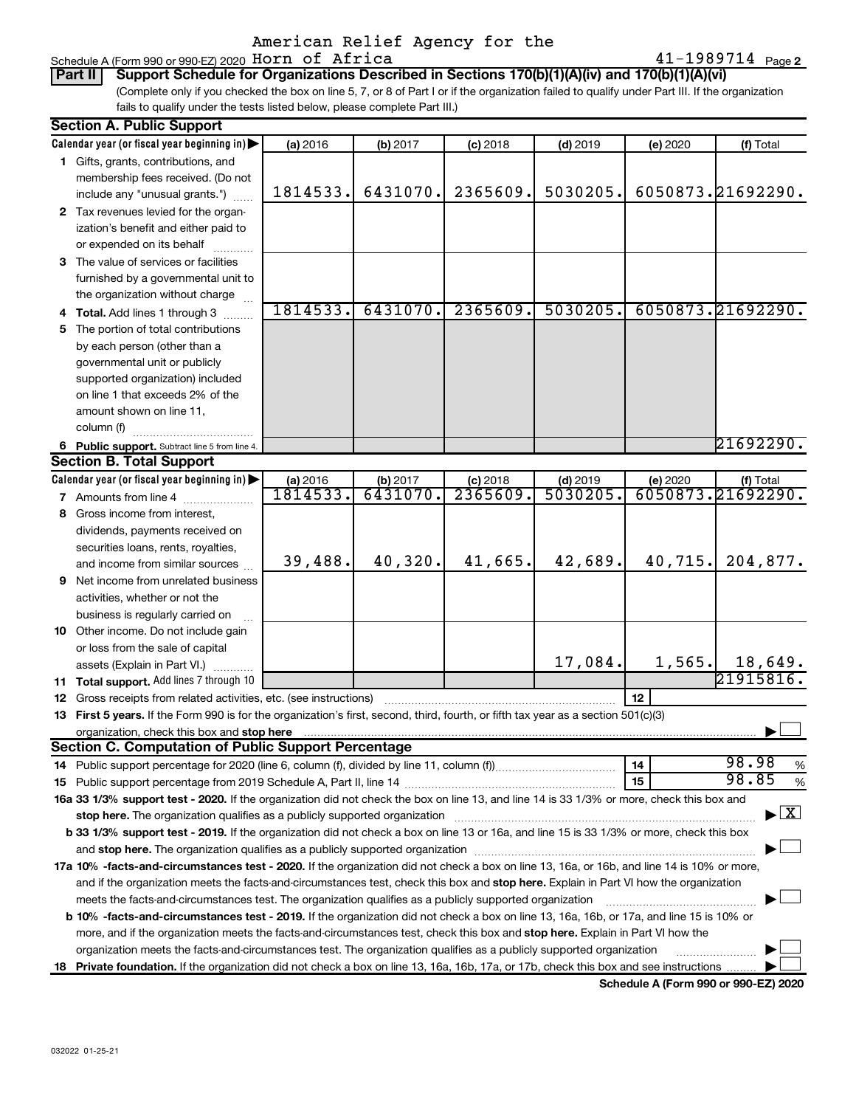## American Relief Agency for the Schedule A (Form 990 or 990-EZ) 2020 Horn of Africa

Part II | Support Schedule for Organizations Described in Sections 170(b)(1)(A)(iv) and 170(b)(1)(A)(vi) (Complete only if you checked the box on line 5, 7, or 8 of Part I or if the organization failed to qualify under Part III. If the organization fails to qualify under the tests listed below, please complete Part III.)

|     | <b>Section A. Public Support</b>                                                                                                           |          |          |            |            |          |                                          |
|-----|--------------------------------------------------------------------------------------------------------------------------------------------|----------|----------|------------|------------|----------|------------------------------------------|
|     | Calendar year (or fiscal year beginning in)                                                                                                | (a) 2016 | (b) 2017 | $(c)$ 2018 | $(d)$ 2019 | (e) 2020 | (f) Total                                |
|     | 1 Gifts, grants, contributions, and                                                                                                        |          |          |            |            |          |                                          |
|     | membership fees received. (Do not                                                                                                          |          |          |            |            |          |                                          |
|     | include any "unusual grants.")                                                                                                             | 1814533. | 6431070. | 2365609.   | 5030205.   |          | 6050873.21692290.                        |
|     | 2 Tax revenues levied for the organ-                                                                                                       |          |          |            |            |          |                                          |
|     | ization's benefit and either paid to                                                                                                       |          |          |            |            |          |                                          |
|     | or expended on its behalf                                                                                                                  |          |          |            |            |          |                                          |
|     | 3 The value of services or facilities                                                                                                      |          |          |            |            |          |                                          |
|     | furnished by a governmental unit to                                                                                                        |          |          |            |            |          |                                          |
|     | the organization without charge                                                                                                            |          |          |            |            |          |                                          |
|     | Total. Add lines 1 through 3                                                                                                               | 1814533. | 6431070. | 2365609.   | 5030205.   |          | 6050873.21692290.                        |
| 5.  | The portion of total contributions                                                                                                         |          |          |            |            |          |                                          |
|     | by each person (other than a                                                                                                               |          |          |            |            |          |                                          |
|     | governmental unit or publicly                                                                                                              |          |          |            |            |          |                                          |
|     | supported organization) included                                                                                                           |          |          |            |            |          |                                          |
|     | on line 1 that exceeds 2% of the                                                                                                           |          |          |            |            |          |                                          |
|     | amount shown on line 11,                                                                                                                   |          |          |            |            |          |                                          |
|     | column (f)                                                                                                                                 |          |          |            |            |          |                                          |
|     | 6 Public support. Subtract line 5 from line 4.                                                                                             |          |          |            |            |          | 21692290.                                |
|     | <b>Section B. Total Support</b>                                                                                                            |          |          |            |            |          |                                          |
|     | Calendar year (or fiscal year beginning in)                                                                                                | (a) 2016 | (b) 2017 | $(c)$ 2018 | $(d)$ 2019 | (e) 2020 | (f) Total                                |
|     | 7 Amounts from line 4                                                                                                                      | 1814533. | 6431070  | 2365609.   | 5030205    |          | 6050873.21692290.                        |
| 8   | Gross income from interest,                                                                                                                |          |          |            |            |          |                                          |
|     | dividends, payments received on                                                                                                            |          |          |            |            |          |                                          |
|     | securities loans, rents, royalties,                                                                                                        |          |          |            |            |          |                                          |
|     | and income from similar sources                                                                                                            | 39,488.  | 40,320.  | 41,665.    | 42,689.    | 40,715.  | 204,877.                                 |
| 9   | Net income from unrelated business                                                                                                         |          |          |            |            |          |                                          |
|     | activities, whether or not the                                                                                                             |          |          |            |            |          |                                          |
|     | business is regularly carried on                                                                                                           |          |          |            |            |          |                                          |
| 10  | Other income. Do not include gain                                                                                                          |          |          |            |            |          |                                          |
|     | or loss from the sale of capital                                                                                                           |          |          |            |            |          |                                          |
|     | assets (Explain in Part VI.)                                                                                                               |          |          |            | 17,084.    | 1,565.   | __ 18,649.<br>21915816.                  |
| 11. | Total support. Add lines 7 through 10                                                                                                      |          |          |            |            |          |                                          |
| 12  | Gross receipts from related activities, etc. (see instructions)                                                                            |          |          |            |            | 12       |                                          |
| 13  | First 5 years. If the Form 990 is for the organization's first, second, third, fourth, or fifth tax year as a section 501(c)(3)            |          |          |            |            |          |                                          |
|     | organization, check this box and stop here                                                                                                 |          |          |            |            |          |                                          |
|     | <b>Section C. Computation of Public Support Percentage</b>                                                                                 |          |          |            |            |          |                                          |
|     |                                                                                                                                            |          |          |            |            | 14       | 98.98<br>%                               |
|     |                                                                                                                                            |          |          |            |            | 15       | 98.85<br>%                               |
|     | 16a 33 1/3% support test - 2020. If the organization did not check the box on line 13, and line 14 is 33 1/3% or more, check this box and  |          |          |            |            |          |                                          |
|     | stop here. The organization qualifies as a publicly supported organization matching manufacture and content to                             |          |          |            |            |          | $\blacktriangleright$ $\boxed{\text{X}}$ |
|     | b 33 1/3% support test - 2019. If the organization did not check a box on line 13 or 16a, and line 15 is 33 1/3% or more, check this box   |          |          |            |            |          |                                          |
|     |                                                                                                                                            |          |          |            |            |          |                                          |
|     | 17a 10% -facts-and-circumstances test - 2020. If the organization did not check a box on line 13, 16a, or 16b, and line 14 is 10% or more, |          |          |            |            |          |                                          |
|     | and if the organization meets the facts-and-circumstances test, check this box and stop here. Explain in Part VI how the organization      |          |          |            |            |          |                                          |
|     | meets the facts-and-circumstances test. The organization qualifies as a publicly supported organization                                    |          |          |            |            |          |                                          |
|     | b 10% -facts-and-circumstances test - 2019. If the organization did not check a box on line 13, 16a, 16b, or 17a, and line 15 is 10% or    |          |          |            |            |          |                                          |
|     | more, and if the organization meets the facts-and-circumstances test, check this box and stop here. Explain in Part VI how the             |          |          |            |            |          |                                          |
|     | organization meets the facts-and-circumstances test. The organization qualifies as a publicly supported organization                       |          |          |            |            |          |                                          |
| 18  | Private foundation. If the organization did not check a box on line 13, 16a, 16b, 17a, or 17b, check this box and see instructions.        |          |          |            |            |          |                                          |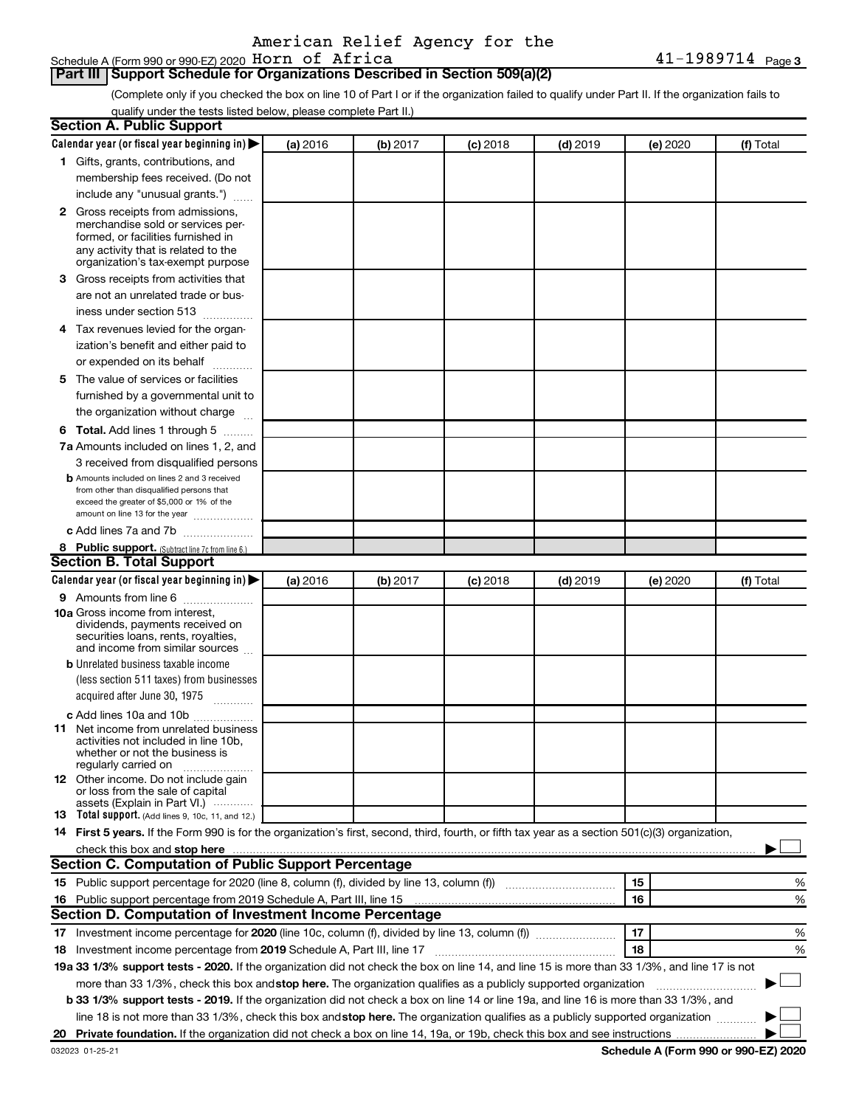## American Relief Agency for the

## Part III | Support Schedule for Organizations Described in Section 509(a)(2)

(Complete only if you checked the box on line 10 of Part I or if the organization failed to qualify under Part II. If the organization fails to qualify under the tests listed below, please complete Part II.)

|    | Section A. Public Support                                                                                                                                                        |          |          |            |            |          |           |
|----|----------------------------------------------------------------------------------------------------------------------------------------------------------------------------------|----------|----------|------------|------------|----------|-----------|
|    | Calendar year (or fiscal year beginning in) $\blacktriangleright$                                                                                                                | (a) 2016 | (b) 2017 | $(c)$ 2018 | $(d)$ 2019 | (e) 2020 | (f) Total |
|    | 1 Gifts, grants, contributions, and                                                                                                                                              |          |          |            |            |          |           |
|    | membership fees received. (Do not                                                                                                                                                |          |          |            |            |          |           |
|    | include any "unusual grants.")                                                                                                                                                   |          |          |            |            |          |           |
|    | 2 Gross receipts from admissions,<br>merchandise sold or services per-<br>formed, or facilities furnished in<br>any activity that is related to the                              |          |          |            |            |          |           |
|    | organization's tax-exempt purpose                                                                                                                                                |          |          |            |            |          |           |
|    | 3 Gross receipts from activities that                                                                                                                                            |          |          |            |            |          |           |
|    | are not an unrelated trade or bus-                                                                                                                                               |          |          |            |            |          |           |
|    | iness under section 513                                                                                                                                                          |          |          |            |            |          |           |
|    | 4 Tax revenues levied for the organ-<br>ization's benefit and either paid to                                                                                                     |          |          |            |            |          |           |
|    | or expended on its behalf                                                                                                                                                        |          |          |            |            |          |           |
|    | 5 The value of services or facilities<br>furnished by a governmental unit to<br>the organization without charge                                                                  |          |          |            |            |          |           |
|    | 6 Total. Add lines 1 through 5                                                                                                                                                   |          |          |            |            |          |           |
|    | 7a Amounts included on lines 1, 2, and                                                                                                                                           |          |          |            |            |          |           |
|    | 3 received from disqualified persons                                                                                                                                             |          |          |            |            |          |           |
|    | <b>b</b> Amounts included on lines 2 and 3 received<br>from other than disqualified persons that<br>exceed the greater of \$5,000 or 1% of the<br>amount on line 13 for the year |          |          |            |            |          |           |
|    | c Add lines 7a and 7b                                                                                                                                                            |          |          |            |            |          |           |
|    | 8 Public support. (Subtract line 7c from line 6.)                                                                                                                                |          |          |            |            |          |           |
|    | <b>Section B. Total Support</b>                                                                                                                                                  |          |          |            |            |          |           |
|    | Calendar year (or fiscal year beginning in)                                                                                                                                      | (a) 2016 | (b) 2017 | $(c)$ 2018 | $(d)$ 2019 | (e) 2020 | (f) Total |
|    | 9 Amounts from line 6                                                                                                                                                            |          |          |            |            |          |           |
|    | <b>10a</b> Gross income from interest,<br>dividends, payments received on<br>securities loans, rents, royalties,<br>and income from similar sources                              |          |          |            |            |          |           |
|    | <b>b</b> Unrelated business taxable income                                                                                                                                       |          |          |            |            |          |           |
|    | (less section 511 taxes) from businesses<br>acquired after June 30, 1975<br>1.1.1.1.1.1.1.1.1                                                                                    |          |          |            |            |          |           |
|    | c Add lines 10a and 10b                                                                                                                                                          |          |          |            |            |          |           |
|    | <b>11</b> Net income from unrelated business<br>activities not included in line 10b,<br>whether or not the business is<br>regularly carried on                                   |          |          |            |            |          |           |
|    | 12 Other income. Do not include gain<br>or loss from the sale of capital<br>assets (Explain in Part VI.) $\cdots$                                                                |          |          |            |            |          |           |
|    | <b>13</b> Total support. (Add lines 9, 10c, 11, and 12.)                                                                                                                         |          |          |            |            |          |           |
|    | 14 First 5 years. If the Form 990 is for the organization's first, second, third, fourth, or fifth tax year as a section 501(c)(3) organization,                                 |          |          |            |            |          |           |
|    | check this box and stop here www.communications.communications.communications.com                                                                                                |          |          |            |            |          |           |
|    | <b>Section C. Computation of Public Support Percentage</b>                                                                                                                       |          |          |            |            |          |           |
|    | 15 Public support percentage for 2020 (line 8, column (f), divided by line 13, column (f) <i></i>                                                                                |          |          |            |            | 15       | %         |
|    | 16 Public support percentage from 2019 Schedule A, Part III, line 15                                                                                                             |          |          |            |            | 16       | %         |
|    | Section D. Computation of Investment Income Percentage                                                                                                                           |          |          |            |            |          |           |
| 17 |                                                                                                                                                                                  |          |          |            |            | 17       | %         |
|    |                                                                                                                                                                                  |          |          |            |            | 18       | %         |
|    | 19a 33 1/3% support tests - 2020. If the organization did not check the box on line 14, and line 15 is more than 33 1/3%, and line 17 is not                                     |          |          |            |            |          |           |
|    | more than 33 1/3%, check this box and stop here. The organization qualifies as a publicly supported organization                                                                 |          |          |            |            |          |           |
|    | b 33 1/3% support tests - 2019. If the organization did not check a box on line 14 or line 19a, and line 16 is more than 33 1/3%, and                                            |          |          |            |            |          |           |
|    | line 18 is not more than 33 1/3%, check this box and stop here. The organization qualifies as a publicly supported organization                                                  |          |          |            |            |          |           |
|    |                                                                                                                                                                                  |          |          |            |            |          |           |
|    |                                                                                                                                                                                  |          |          |            |            |          |           |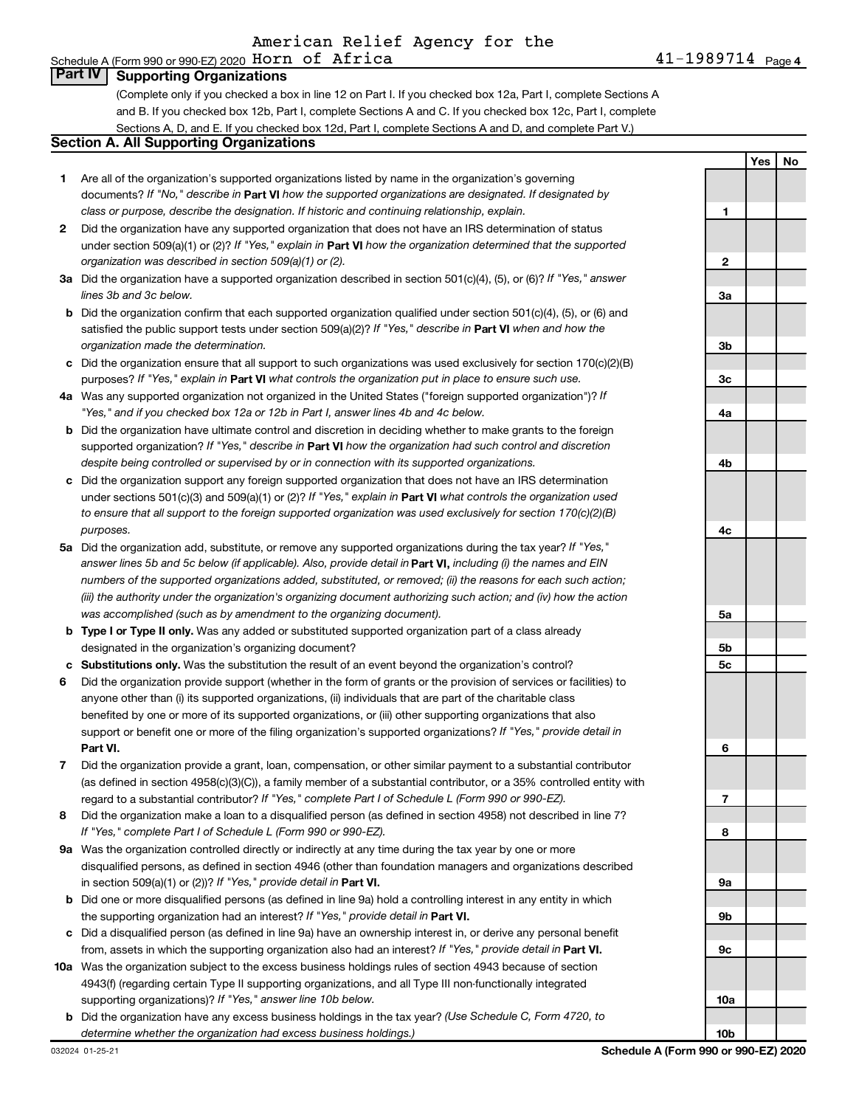### Schedule A (Form 990 or 990-EZ) 2020  $\,$  H $\,$ orn  $\,$  of  $\,$  A $\,$ f $\,$ r $\,$ i $\,$ c $\,$ a  $\,$ **Part IV Supporting Organizations**

(Complete only if you checked a box in line 12 on Part I. If you checked box 12a, Part I, complete Sections A and B. If you checked box 12b, Part I, complete Sections A and C. If you checked box 12c, Part I, complete Sections A, D, and E. If you checked box 12d, Part I, complete Sections A and D, and complete Part V.)

### **Section A. All Supporting Organizations**

- 1 Are all of the organization's supported organizations listed by name in the organization's governing documents? If "No," describe in Part VI how the supported organizations are designated. If designated by class or purpose, describe the designation. If historic and continuing relationship, explain.
- 2 Did the organization have any supported organization that does not have an IRS determination of status under section 509(a)(1) or (2)? If "Yes," explain in Part VI how the organization determined that the supported organization was described in section 509(a)(1) or (2).
- 3a Did the organization have a supported organization described in section 501(c)(4), (5), or (6)? If "Yes," answer lines 3b and 3c below.
- **b** Did the organization confirm that each supported organization qualified under section  $501(c)(4)$ , (5), or (6) and satisfied the public support tests under section 509(a)(2)? If "Yes," describe in Part VI when and how the organization made the determination.
- c Did the organization ensure that all support to such organizations was used exclusively for section 170(c)(2)(B) purposes? If "Yes," explain in Part VI what controls the organization put in place to ensure such use.
- 4a Was any supported organization not organized in the United States ("foreign supported organization")? If "Yes," and if you checked box 12a or 12b in Part I, answer lines 4b and 4c below.
- **b** Did the organization have ultimate control and discretion in deciding whether to make grants to the foreign supported organization? If "Yes," describe in Part VI how the organization had such control and discretion despite being controlled or supervised by or in connection with its supported organizations.
- c Did the organization support any foreign supported organization that does not have an IRS determination under sections 501(c)(3) and 509(a)(1) or (2)? If "Yes," explain in Part VI what controls the organization used to ensure that all support to the foreign supported organization was used exclusively for section 170(c)(2)(B) purposes.
- 5a Did the organization add, substitute, or remove any supported organizations during the tax year? If "Yes," answer lines 5b and 5c below (if applicable). Also, provide detail in Part VI, including (i) the names and EIN numbers of the supported organizations added, substituted, or removed; (ii) the reasons for each such action; (iii) the authority under the organization's organizing document authorizing such action; and (iv) how the action was accomplished (such as by amendment to the organizing document).
- **b** Type I or Type II only. Was any added or substituted supported organization part of a class already designated in the organization's organizing document?
- c Substitutions only. Was the substitution the result of an event beyond the organization's control?
- 6 Did the organization provide support (whether in the form of grants or the provision of services or facilities) to anyone other than (i) its supported organizations, (ii) individuals that are part of the charitable class benefited by one or more of its supported organizations, or (iii) other supporting organizations that also support or benefit one or more of the filing organization's supported organizations? If "Yes," provide detail in Part VI.
- 7 Did the organization provide a grant, loan, compensation, or other similar payment to a substantial contributor (as defined in section 4958(c)(3)(C)), a family member of a substantial contributor, or a 35% controlled entity with regard to a substantial contributor? If "Yes," complete Part I of Schedule L (Form 990 or 990-EZ).
- 8 Did the organization make a loan to a disqualified person (as defined in section 4958) not described in line 7? If "Yes," complete Part I of Schedule L (Form 990 or 990-EZ).
- 9a Was the organization controlled directly or indirectly at any time during the tax year by one or more disqualified persons, as defined in section 4946 (other than foundation managers and organizations described in section 509(a)(1) or (2))? If "Yes," provide detail in Part VI.
- **b** Did one or more disqualified persons (as defined in line 9a) hold a controlling interest in any entity in which the supporting organization had an interest? If "Yes," provide detail in Part VI.
- c Did a disqualified person (as defined in line 9a) have an ownership interest in, or derive any personal benefit from, assets in which the supporting organization also had an interest? If "Yes," provide detail in Part VI.
- 10a Was the organization subject to the excess business holdings rules of section 4943 because of section 4943(f) (regarding certain Type II supporting organizations, and all Type III non-functionally integrated supporting organizations)? If "Yes," answer line 10b below.
	- b Did the organization have any excess business holdings in the tax year? (Use Schedule C, Form 4720, to determine whether the organization had excess business holdings.)

Yes **No**  $\blacksquare$  $\overline{2}$ 3a 3b 3c 4a 4b 4c  $5a$ 5<sub>b</sub> 5c 6  $\overline{7}$ 8 9a 9b  $9c$  $10a$  $10<sub>b</sub>$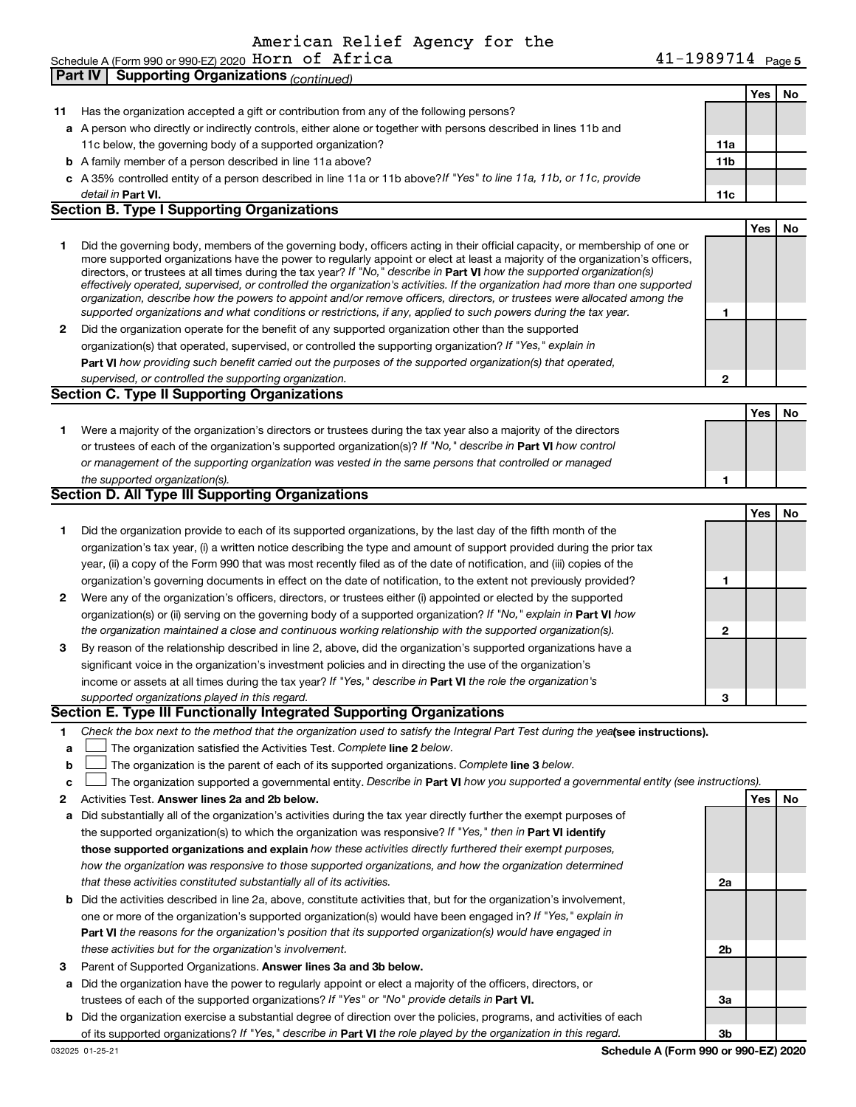American Relief Agency for the

|    | 41-1989714 Page 5<br>Schedule A (Form 990 or 990-EZ) 2020 HOrn of Africa                                                                                                                                                                                                                                                                                                                                                                                                                                                                                                                                                                                                                                                                                                 |                 |     |           |
|----|--------------------------------------------------------------------------------------------------------------------------------------------------------------------------------------------------------------------------------------------------------------------------------------------------------------------------------------------------------------------------------------------------------------------------------------------------------------------------------------------------------------------------------------------------------------------------------------------------------------------------------------------------------------------------------------------------------------------------------------------------------------------------|-----------------|-----|-----------|
|    | <b>Supporting Organizations (continued)</b><br>Part IV                                                                                                                                                                                                                                                                                                                                                                                                                                                                                                                                                                                                                                                                                                                   |                 |     |           |
|    |                                                                                                                                                                                                                                                                                                                                                                                                                                                                                                                                                                                                                                                                                                                                                                          |                 | Yes | No.       |
| 11 | Has the organization accepted a gift or contribution from any of the following persons?                                                                                                                                                                                                                                                                                                                                                                                                                                                                                                                                                                                                                                                                                  |                 |     |           |
|    | a A person who directly or indirectly controls, either alone or together with persons described in lines 11b and                                                                                                                                                                                                                                                                                                                                                                                                                                                                                                                                                                                                                                                         |                 |     |           |
|    | 11c below, the governing body of a supported organization?                                                                                                                                                                                                                                                                                                                                                                                                                                                                                                                                                                                                                                                                                                               | 11a             |     |           |
|    | <b>b</b> A family member of a person described in line 11a above?                                                                                                                                                                                                                                                                                                                                                                                                                                                                                                                                                                                                                                                                                                        | 11 <sub>b</sub> |     |           |
|    | c A 35% controlled entity of a person described in line 11a or 11b above? If "Yes" to line 11a, 11b, or 11c, provide                                                                                                                                                                                                                                                                                                                                                                                                                                                                                                                                                                                                                                                     |                 |     |           |
|    | detail in <b>Part VI.</b>                                                                                                                                                                                                                                                                                                                                                                                                                                                                                                                                                                                                                                                                                                                                                | 11c             |     |           |
|    | <b>Section B. Type I Supporting Organizations</b>                                                                                                                                                                                                                                                                                                                                                                                                                                                                                                                                                                                                                                                                                                                        |                 |     |           |
|    |                                                                                                                                                                                                                                                                                                                                                                                                                                                                                                                                                                                                                                                                                                                                                                          |                 | Yes | <b>No</b> |
| 1  | Did the governing body, members of the governing body, officers acting in their official capacity, or membership of one or<br>more supported organizations have the power to regularly appoint or elect at least a majority of the organization's officers,<br>directors, or trustees at all times during the tax year? If "No," describe in Part VI how the supported organization(s)<br>effectively operated, supervised, or controlled the organization's activities. If the organization had more than one supported<br>organization, describe how the powers to appoint and/or remove officers, directors, or trustees were allocated among the<br>supported organizations and what conditions or restrictions, if any, applied to such powers during the tax year. | 1               |     |           |
| 2  | Did the organization operate for the benefit of any supported organization other than the supported                                                                                                                                                                                                                                                                                                                                                                                                                                                                                                                                                                                                                                                                      |                 |     |           |
|    | organization(s) that operated, supervised, or controlled the supporting organization? If "Yes," explain in                                                                                                                                                                                                                                                                                                                                                                                                                                                                                                                                                                                                                                                               |                 |     |           |
|    | Part VI how providing such benefit carried out the purposes of the supported organization(s) that operated,                                                                                                                                                                                                                                                                                                                                                                                                                                                                                                                                                                                                                                                              |                 |     |           |
|    | supervised, or controlled the supporting organization.                                                                                                                                                                                                                                                                                                                                                                                                                                                                                                                                                                                                                                                                                                                   | 2               |     |           |
|    | <b>Section C. Type II Supporting Organizations</b>                                                                                                                                                                                                                                                                                                                                                                                                                                                                                                                                                                                                                                                                                                                       |                 |     |           |
|    |                                                                                                                                                                                                                                                                                                                                                                                                                                                                                                                                                                                                                                                                                                                                                                          |                 | Yes | No.       |
| 1  | Were a majority of the organization's directors or trustees during the tax year also a majority of the directors                                                                                                                                                                                                                                                                                                                                                                                                                                                                                                                                                                                                                                                         |                 |     |           |
|    | or trustees of each of the organization's supported organization(s)? If "No," describe in Part VI how control                                                                                                                                                                                                                                                                                                                                                                                                                                                                                                                                                                                                                                                            |                 |     |           |
|    | or management of the supporting organization was vested in the same persons that controlled or managed                                                                                                                                                                                                                                                                                                                                                                                                                                                                                                                                                                                                                                                                   |                 |     |           |
|    | the supported organization(s).                                                                                                                                                                                                                                                                                                                                                                                                                                                                                                                                                                                                                                                                                                                                           | 1               |     |           |
|    | <b>Section D. All Type III Supporting Organizations</b>                                                                                                                                                                                                                                                                                                                                                                                                                                                                                                                                                                                                                                                                                                                  |                 |     |           |
|    |                                                                                                                                                                                                                                                                                                                                                                                                                                                                                                                                                                                                                                                                                                                                                                          |                 | Yes | No.       |
| 1  | Did the organization provide to each of its supported organizations, by the last day of the fifth month of the                                                                                                                                                                                                                                                                                                                                                                                                                                                                                                                                                                                                                                                           |                 |     |           |
|    | organization's tax year, (i) a written notice describing the type and amount of support provided during the prior tax                                                                                                                                                                                                                                                                                                                                                                                                                                                                                                                                                                                                                                                    |                 |     |           |
|    | year, (ii) a copy of the Form 990 that was most recently filed as of the date of notification, and (iii) copies of the                                                                                                                                                                                                                                                                                                                                                                                                                                                                                                                                                                                                                                                   |                 |     |           |
|    | organization's governing documents in effect on the date of notification, to the extent not previously provided?                                                                                                                                                                                                                                                                                                                                                                                                                                                                                                                                                                                                                                                         | 1               |     |           |
| 2  | Were any of the organization's officers, directors, or trustees either (i) appointed or elected by the supported                                                                                                                                                                                                                                                                                                                                                                                                                                                                                                                                                                                                                                                         |                 |     |           |
|    | organization(s) or (ii) serving on the governing body of a supported organization? If "No," explain in Part VI how                                                                                                                                                                                                                                                                                                                                                                                                                                                                                                                                                                                                                                                       |                 |     |           |
|    | the organization maintained a close and continuous working relationship with the supported organization(s).                                                                                                                                                                                                                                                                                                                                                                                                                                                                                                                                                                                                                                                              | 2               |     |           |
| з  | By reason of the relationship described in line 2, above, did the organization's supported organizations have a                                                                                                                                                                                                                                                                                                                                                                                                                                                                                                                                                                                                                                                          |                 |     |           |
|    | significant voice in the organization's investment policies and in directing the use of the organization's                                                                                                                                                                                                                                                                                                                                                                                                                                                                                                                                                                                                                                                               |                 |     |           |
|    | income or assets at all times during the tax year? If "Yes," describe in Part VI the role the organization's                                                                                                                                                                                                                                                                                                                                                                                                                                                                                                                                                                                                                                                             |                 |     |           |
|    | supported organizations played in this regard.                                                                                                                                                                                                                                                                                                                                                                                                                                                                                                                                                                                                                                                                                                                           | 3               |     |           |
|    | Section E. Type III Functionally Integrated Supporting Organizations                                                                                                                                                                                                                                                                                                                                                                                                                                                                                                                                                                                                                                                                                                     |                 |     |           |
| 1  | Check the box next to the method that the organization used to satisfy the Integral Part Test during the yeafsee instructions).                                                                                                                                                                                                                                                                                                                                                                                                                                                                                                                                                                                                                                          |                 |     |           |
| a  | The organization satisfied the Activities Test. Complete line 2 below.                                                                                                                                                                                                                                                                                                                                                                                                                                                                                                                                                                                                                                                                                                   |                 |     |           |
| b  | The organization is the parent of each of its supported organizations. Complete line 3 below.                                                                                                                                                                                                                                                                                                                                                                                                                                                                                                                                                                                                                                                                            |                 |     |           |
| c  | The organization supported a governmental entity. Describe in Part VI how you supported a governmental entity (see instructions).                                                                                                                                                                                                                                                                                                                                                                                                                                                                                                                                                                                                                                        |                 |     |           |
| 2  | Activities Test. Answer lines 2a and 2b below.                                                                                                                                                                                                                                                                                                                                                                                                                                                                                                                                                                                                                                                                                                                           |                 | Yes | No.       |
| a  | Did substantially all of the organization's activities during the tax year directly further the exempt purposes of                                                                                                                                                                                                                                                                                                                                                                                                                                                                                                                                                                                                                                                       |                 |     |           |
|    | the supported organization(s) to which the organization was responsive? If "Yes," then in Part VI identify                                                                                                                                                                                                                                                                                                                                                                                                                                                                                                                                                                                                                                                               |                 |     |           |
|    | those supported organizations and explain how these activities directly furthered their exempt purposes,                                                                                                                                                                                                                                                                                                                                                                                                                                                                                                                                                                                                                                                                 |                 |     |           |
|    | how the organization was responsive to those supported organizations, and how the organization determined                                                                                                                                                                                                                                                                                                                                                                                                                                                                                                                                                                                                                                                                |                 |     |           |
|    | that these activities constituted substantially all of its activities.                                                                                                                                                                                                                                                                                                                                                                                                                                                                                                                                                                                                                                                                                                   | 2a              |     |           |
|    | <b>b</b> Did the activities described in line 2a, above, constitute activities that, but for the organization's involvement,                                                                                                                                                                                                                                                                                                                                                                                                                                                                                                                                                                                                                                             |                 |     |           |
|    | one or more of the organization's supported organization(s) would have been engaged in? If "Yes," explain in                                                                                                                                                                                                                                                                                                                                                                                                                                                                                                                                                                                                                                                             |                 |     |           |
|    | Part VI the reasons for the organization's position that its supported organization(s) would have engaged in                                                                                                                                                                                                                                                                                                                                                                                                                                                                                                                                                                                                                                                             |                 |     |           |
|    | these activities but for the organization's involvement.                                                                                                                                                                                                                                                                                                                                                                                                                                                                                                                                                                                                                                                                                                                 | 2b              |     |           |
| з  | Parent of Supported Organizations. Answer lines 3a and 3b below.                                                                                                                                                                                                                                                                                                                                                                                                                                                                                                                                                                                                                                                                                                         |                 |     |           |
|    | a Did the organization have the power to regularly appoint or elect a majority of the officers, directors, or                                                                                                                                                                                                                                                                                                                                                                                                                                                                                                                                                                                                                                                            |                 |     |           |
|    | trustees of each of the supported organizations? If "Yes" or "No" provide details in Part VI.                                                                                                                                                                                                                                                                                                                                                                                                                                                                                                                                                                                                                                                                            | За              |     |           |
|    | <b>b</b> Did the organization exercise a substantial degree of direction over the policies, programs, and activities of each                                                                                                                                                                                                                                                                                                                                                                                                                                                                                                                                                                                                                                             |                 |     |           |
|    | of its supported organizations? If "Yes," describe in Part VI the role played by the organization in this regard.                                                                                                                                                                                                                                                                                                                                                                                                                                                                                                                                                                                                                                                        | Зb              |     |           |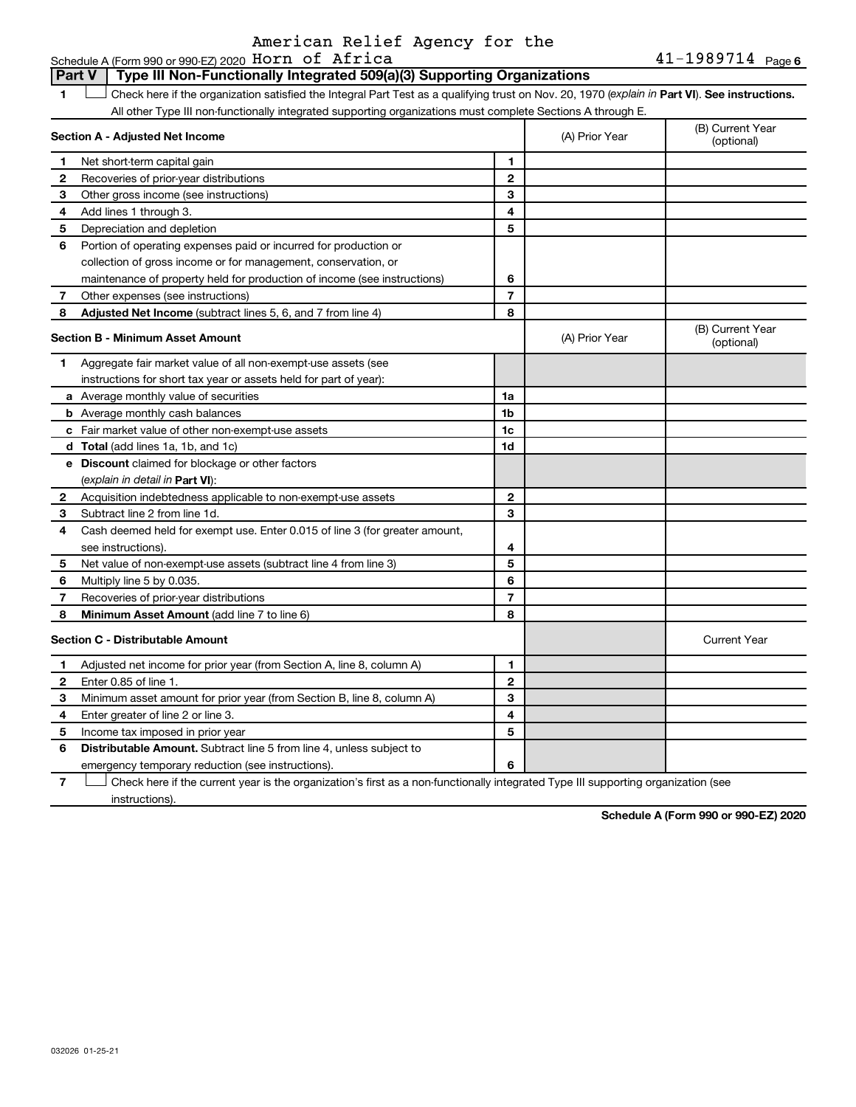### American Relief Agency for the

#### Schedule A (Form 990 or 990 EZ) 2020 Horn of Africa Type III Non-Functionally Integrated 509(a)(3) Supporting Organizations **Part V**  $\blacksquare$ Check here if the organization satisfied the Integral Part Test as a qualifying trust on Nov. 20, 1970 (explain in Part VI). See instructions. All other Type III non-functionally integrated supporting organizations must complete Sections A through E. (B) Current Year **Section A - Adjusted Net Income** (A) Prior Year (optional)  $\mathbf{1}$ Net short-term capital gain Recoveries of prior-year distributions  $\overline{2}$  $\mathbf{2}$ Other gross income (see instructions) 3 3  $\overline{\mathbf{4}}$  $\overline{\mathbf{4}}$ Add lines 1 through 3. Depreciation and depletion 5 5 6 Portion of operating expenses paid or incurred for production or collection of gross income or for management, conservation, or 6 maintenance of property held for production of income (see instructions)  $\overline{7}$  $\overline{7}$ Other expenses (see instructions) Adjusted Net Income (subtract lines 5, 6, and 7 from line 4) 8 8 (B) Current Year **Section B - Minimum Asset Amount** (A) Prior Year (optional)  $\blacksquare$ Aggregate fair market value of all non-exempt-use assets (see instructions for short tax year or assets held for part of year): a Average monthly value of securities  $1a$ **b** Average monthly cash balances 1b c Fair market value of other non-exempt-use assets 1c d Total (add lines 1a, 1b, and 1c)  $1<sub>d</sub>$ e Discount claimed for blockage or other factors (explain in detail in Part VI):  $\mathbf 2$ Acquisition indebtedness applicable to non-exempt-use assets  $\mathbf 2$ Subtract line 2 from line 1d. 3  $\mathbf{a}$ Cash deemed held for exempt use. Enter 0.015 of line 3 (for greater amount, 4  $\overline{\mathbf{4}}$ see instructions). 5 5 Net value of non-exempt-use assets (subtract line 4 from line 3) Multiply line 5 by 0.035. 6 6  $\overline{7}$  $\overline{7}$ Recoveries of prior-year distributions 8 Minimum Asset Amount (add line 7 to line 6) 8 Section C - Distributable Amount **Current Year** Adjusted net income for prior year (from Section A, line 8, column A)  $\mathbf{1}$ 1 Enter 0.85 of line 1.  $\mathbf 2$  $\mathbf{2}$ 3 Minimum asset amount for prior year (from Section B, line 8, column A) 3 4  $\overline{\mathbf{4}}$ Enter greater of line 2 or line 3 5 5 Income tax imposed in prior year Distributable Amount. Subtract line 5 from line 4, unless subject to 6 6 emergency temporary reduction (see instructions)

 $\overline{7}$  $\perp$  Check here if the current year is the organization's first as a non-functionally integrated Type III supporting organization (see instructions).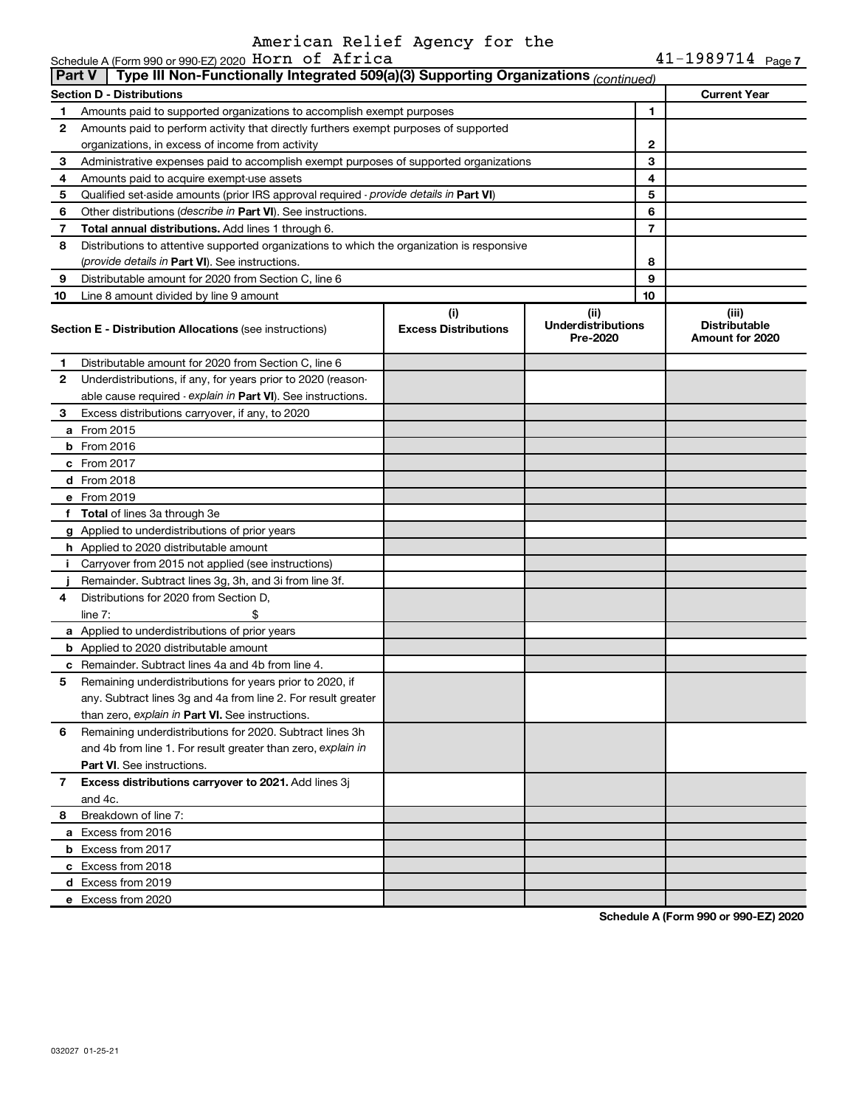## American Relief Agency for the<br>990-EZ 2020 Horn of Africa

|        | Schedule A (Form 990 or 990 EZ) 2020 HOrn of Africa                                        |                                               |   |                                                  | $41 - 1989714$ Page 7 |  |  |  |
|--------|--------------------------------------------------------------------------------------------|-----------------------------------------------|---|--------------------------------------------------|-----------------------|--|--|--|
| Part V | Type III Non-Functionally Integrated 509(a)(3) Supporting Organizations (continued)        |                                               |   |                                                  |                       |  |  |  |
|        | <b>Section D - Distributions</b>                                                           |                                               |   |                                                  | <b>Current Year</b>   |  |  |  |
| 1      | Amounts paid to supported organizations to accomplish exempt purposes                      |                                               |   | 1                                                |                       |  |  |  |
| 2      | Amounts paid to perform activity that directly furthers exempt purposes of supported       |                                               |   |                                                  |                       |  |  |  |
|        | organizations, in excess of income from activity                                           |                                               |   | 2                                                |                       |  |  |  |
| 3      | Administrative expenses paid to accomplish exempt purposes of supported organizations      |                                               |   | 3                                                |                       |  |  |  |
| 4      | Amounts paid to acquire exempt-use assets                                                  |                                               |   | 4                                                |                       |  |  |  |
| 5      | Qualified set-aside amounts (prior IRS approval required - provide details in Part VI)     |                                               | 5 |                                                  |                       |  |  |  |
| 6      | Other distributions (describe in Part VI). See instructions.                               |                                               |   | 6                                                |                       |  |  |  |
| 7      | <b>Total annual distributions.</b> Add lines 1 through 6.                                  |                                               |   | $\overline{7}$                                   |                       |  |  |  |
| 8      | Distributions to attentive supported organizations to which the organization is responsive |                                               |   |                                                  |                       |  |  |  |
|        | (provide details in Part VI). See instructions.                                            |                                               |   | 8                                                |                       |  |  |  |
| 9      | Distributable amount for 2020 from Section C, line 6                                       |                                               |   | 9                                                |                       |  |  |  |
| 10     | Line 8 amount divided by line 9 amount                                                     |                                               |   | 10                                               |                       |  |  |  |
|        | <b>Section E - Distribution Allocations (see instructions)</b>                             | (ii)<br><b>Underdistributions</b><br>Pre-2020 |   | (iii)<br><b>Distributable</b><br>Amount for 2020 |                       |  |  |  |
| 1.     | Distributable amount for 2020 from Section C, line 6                                       |                                               |   |                                                  |                       |  |  |  |
| 2      | Underdistributions, if any, for years prior to 2020 (reason-                               |                                               |   |                                                  |                       |  |  |  |
|        | able cause required - explain in Part VI). See instructions.                               |                                               |   |                                                  |                       |  |  |  |
| З      | Excess distributions carryover, if any, to 2020                                            |                                               |   |                                                  |                       |  |  |  |
|        | <b>a</b> From 2015                                                                         |                                               |   |                                                  |                       |  |  |  |
|        | $b$ From 2016                                                                              |                                               |   |                                                  |                       |  |  |  |
|        | c From 2017                                                                                |                                               |   |                                                  |                       |  |  |  |
|        | <b>d</b> From 2018                                                                         |                                               |   |                                                  |                       |  |  |  |
|        | e From 2019                                                                                |                                               |   |                                                  |                       |  |  |  |
|        | f Total of lines 3a through 3e                                                             |                                               |   |                                                  |                       |  |  |  |
|        | g Applied to underdistributions of prior years                                             |                                               |   |                                                  |                       |  |  |  |
|        | <b>h</b> Applied to 2020 distributable amount                                              |                                               |   |                                                  |                       |  |  |  |
| т.     | Carryover from 2015 not applied (see instructions)                                         |                                               |   |                                                  |                       |  |  |  |
|        | Remainder. Subtract lines 3g, 3h, and 3i from line 3f.                                     |                                               |   |                                                  |                       |  |  |  |
| 4      | Distributions for 2020 from Section D,                                                     |                                               |   |                                                  |                       |  |  |  |
|        | line $7:$                                                                                  |                                               |   |                                                  |                       |  |  |  |
|        | a Applied to underdistributions of prior years                                             |                                               |   |                                                  |                       |  |  |  |
|        | <b>b</b> Applied to 2020 distributable amount                                              |                                               |   |                                                  |                       |  |  |  |
|        | <b>c</b> Remainder. Subtract lines 4a and 4b from line 4.                                  |                                               |   |                                                  |                       |  |  |  |
|        | Remaining underdistributions for years prior to 2020, if                                   |                                               |   |                                                  |                       |  |  |  |
|        | any. Subtract lines 3g and 4a from line 2. For result greater                              |                                               |   |                                                  |                       |  |  |  |
|        | than zero, explain in Part VI. See instructions.                                           |                                               |   |                                                  |                       |  |  |  |
| 6      | Remaining underdistributions for 2020. Subtract lines 3h                                   |                                               |   |                                                  |                       |  |  |  |
|        | and 4b from line 1. For result greater than zero, explain in                               |                                               |   |                                                  |                       |  |  |  |
|        | <b>Part VI.</b> See instructions.                                                          |                                               |   |                                                  |                       |  |  |  |
| 7      | Excess distributions carryover to 2021. Add lines 3j                                       |                                               |   |                                                  |                       |  |  |  |
|        | and 4c.                                                                                    |                                               |   |                                                  |                       |  |  |  |
| 8      | Breakdown of line 7:                                                                       |                                               |   |                                                  |                       |  |  |  |
|        | a Excess from 2016                                                                         |                                               |   |                                                  |                       |  |  |  |
|        | <b>b</b> Excess from 2017                                                                  |                                               |   |                                                  |                       |  |  |  |
|        | c Excess from 2018                                                                         |                                               |   |                                                  |                       |  |  |  |
|        | d Excess from 2019                                                                         |                                               |   |                                                  |                       |  |  |  |
|        | e Excess from 2020                                                                         |                                               |   |                                                  |                       |  |  |  |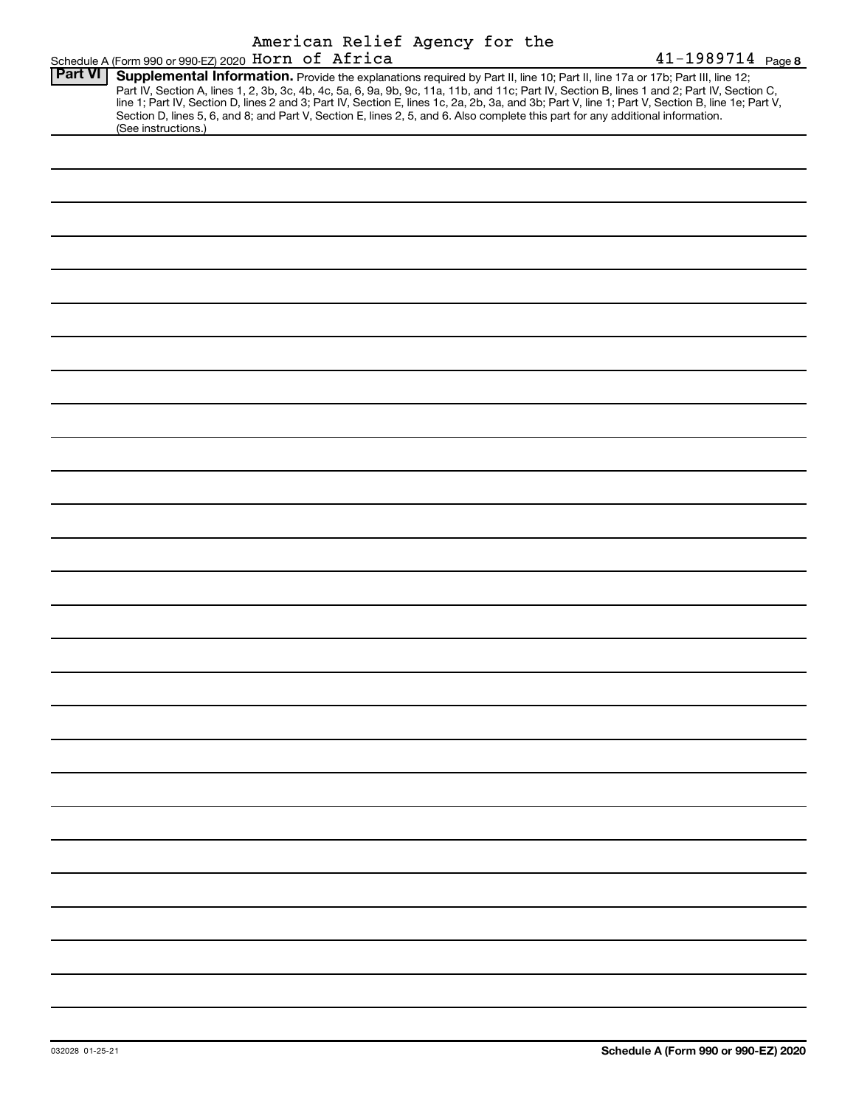|                |                                                     |  |  | American Relief Agency for the |  |                                                                                                                                                                                                                                                                                                                                                                                                                                                                                                                                                                      |
|----------------|-----------------------------------------------------|--|--|--------------------------------|--|----------------------------------------------------------------------------------------------------------------------------------------------------------------------------------------------------------------------------------------------------------------------------------------------------------------------------------------------------------------------------------------------------------------------------------------------------------------------------------------------------------------------------------------------------------------------|
|                | Schedule A (Form 990 or 990-EZ) 2020 Horn of Africa |  |  |                                |  | 41-1989714 Page 8                                                                                                                                                                                                                                                                                                                                                                                                                                                                                                                                                    |
| <b>Part VI</b> | (See instructions.)                                 |  |  |                                |  | Supplemental Information. Provide the explanations required by Part II, line 10; Part II, line 17a or 17b; Part III, line 12;<br>Part IV, Section A, lines 1, 2, 3b, 3c, 4b, 4c, 5a, 6, 9a, 9b, 9c, 11a, 11b, and 11c; Part IV, Section B, lines 1 and 2; Part IV, Section C,<br>line 1; Part IV, Section D, lines 2 and 3; Part IV, Section E, lines 1c, 2a, 2b, 3a, and 3b; Part V, line 1; Part V, Section B, line 1e; Part V,<br>Section D, lines 5, 6, and 8; and Part V, Section E, lines 2, 5, and 6. Also complete this part for any additional information. |
|                |                                                     |  |  |                                |  |                                                                                                                                                                                                                                                                                                                                                                                                                                                                                                                                                                      |
|                |                                                     |  |  |                                |  |                                                                                                                                                                                                                                                                                                                                                                                                                                                                                                                                                                      |
|                |                                                     |  |  |                                |  |                                                                                                                                                                                                                                                                                                                                                                                                                                                                                                                                                                      |
|                |                                                     |  |  |                                |  |                                                                                                                                                                                                                                                                                                                                                                                                                                                                                                                                                                      |
|                |                                                     |  |  |                                |  |                                                                                                                                                                                                                                                                                                                                                                                                                                                                                                                                                                      |
|                |                                                     |  |  |                                |  |                                                                                                                                                                                                                                                                                                                                                                                                                                                                                                                                                                      |
|                |                                                     |  |  |                                |  |                                                                                                                                                                                                                                                                                                                                                                                                                                                                                                                                                                      |
|                |                                                     |  |  |                                |  |                                                                                                                                                                                                                                                                                                                                                                                                                                                                                                                                                                      |
|                |                                                     |  |  |                                |  |                                                                                                                                                                                                                                                                                                                                                                                                                                                                                                                                                                      |
|                |                                                     |  |  |                                |  |                                                                                                                                                                                                                                                                                                                                                                                                                                                                                                                                                                      |
|                |                                                     |  |  |                                |  |                                                                                                                                                                                                                                                                                                                                                                                                                                                                                                                                                                      |
|                |                                                     |  |  |                                |  |                                                                                                                                                                                                                                                                                                                                                                                                                                                                                                                                                                      |
|                |                                                     |  |  |                                |  |                                                                                                                                                                                                                                                                                                                                                                                                                                                                                                                                                                      |
|                |                                                     |  |  |                                |  |                                                                                                                                                                                                                                                                                                                                                                                                                                                                                                                                                                      |
|                |                                                     |  |  |                                |  |                                                                                                                                                                                                                                                                                                                                                                                                                                                                                                                                                                      |
|                |                                                     |  |  |                                |  |                                                                                                                                                                                                                                                                                                                                                                                                                                                                                                                                                                      |
|                |                                                     |  |  |                                |  |                                                                                                                                                                                                                                                                                                                                                                                                                                                                                                                                                                      |
|                |                                                     |  |  |                                |  |                                                                                                                                                                                                                                                                                                                                                                                                                                                                                                                                                                      |
|                |                                                     |  |  |                                |  |                                                                                                                                                                                                                                                                                                                                                                                                                                                                                                                                                                      |
|                |                                                     |  |  |                                |  |                                                                                                                                                                                                                                                                                                                                                                                                                                                                                                                                                                      |
|                |                                                     |  |  |                                |  |                                                                                                                                                                                                                                                                                                                                                                                                                                                                                                                                                                      |
|                |                                                     |  |  |                                |  |                                                                                                                                                                                                                                                                                                                                                                                                                                                                                                                                                                      |
|                |                                                     |  |  |                                |  |                                                                                                                                                                                                                                                                                                                                                                                                                                                                                                                                                                      |
|                |                                                     |  |  |                                |  |                                                                                                                                                                                                                                                                                                                                                                                                                                                                                                                                                                      |
|                |                                                     |  |  |                                |  |                                                                                                                                                                                                                                                                                                                                                                                                                                                                                                                                                                      |
|                |                                                     |  |  |                                |  |                                                                                                                                                                                                                                                                                                                                                                                                                                                                                                                                                                      |
|                |                                                     |  |  |                                |  |                                                                                                                                                                                                                                                                                                                                                                                                                                                                                                                                                                      |
|                |                                                     |  |  |                                |  |                                                                                                                                                                                                                                                                                                                                                                                                                                                                                                                                                                      |
|                |                                                     |  |  |                                |  |                                                                                                                                                                                                                                                                                                                                                                                                                                                                                                                                                                      |
|                |                                                     |  |  |                                |  |                                                                                                                                                                                                                                                                                                                                                                                                                                                                                                                                                                      |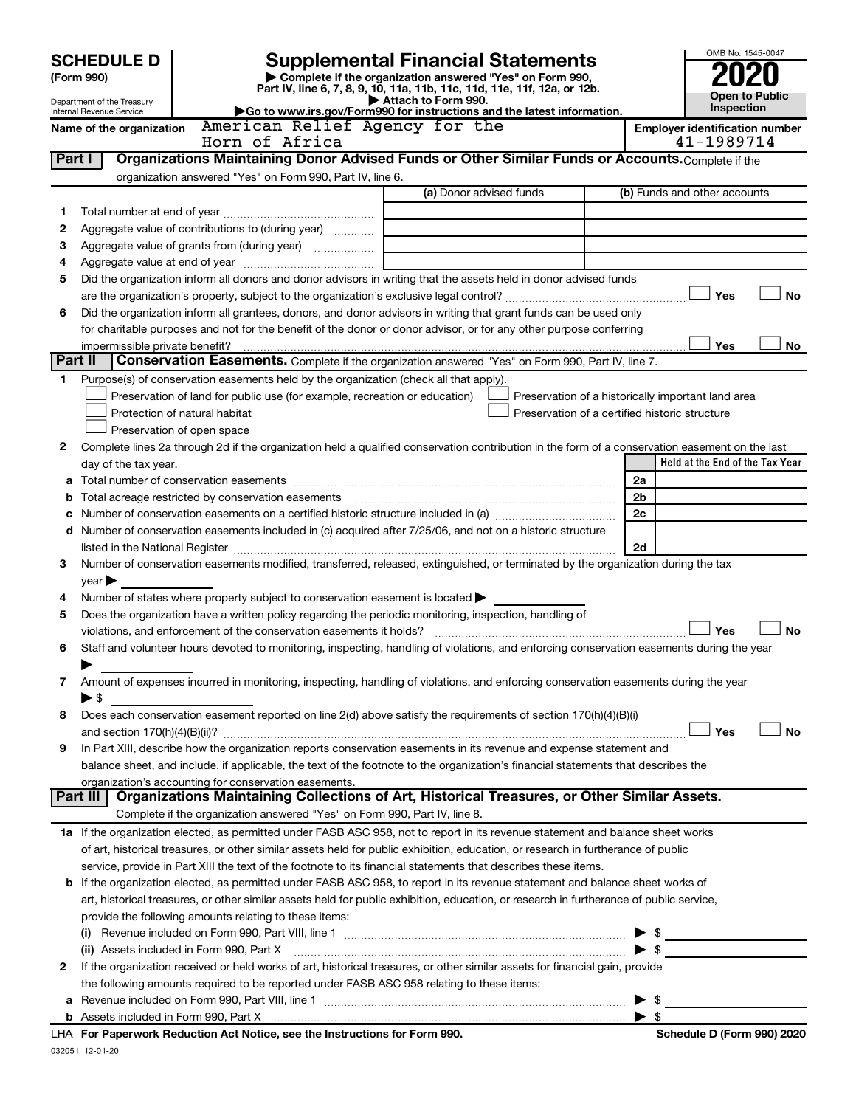|         | <b>SCHEDULE D</b>                                      | <b>Supplemental Financial Statements</b>                                                                                                                                                                                                            |                          | OMB No. 1545-0047                                  |  |  |  |
|---------|--------------------------------------------------------|-----------------------------------------------------------------------------------------------------------------------------------------------------------------------------------------------------------------------------------------------------|--------------------------|----------------------------------------------------|--|--|--|
|         | (Form 990)                                             | Complete if the organization answered "Yes" on Form 990,                                                                                                                                                                                            |                          |                                                    |  |  |  |
|         |                                                        | Part IV, line 6, 7, 8, 9, 10, 11a, 11b, 11c, 11d, 11e, 11f, 12a, or 12b.                                                                                                                                                                            |                          | <b>Open to Public</b>                              |  |  |  |
|         | Department of the Treasury<br>Internal Revenue Service | Attach to Form 990.<br>Go to www.irs.gov/Form990 for instructions and the latest information.                                                                                                                                                       |                          | Inspection                                         |  |  |  |
|         | Name of the organization                               | American Relief Agency for the                                                                                                                                                                                                                      |                          | <b>Employer identification number</b>              |  |  |  |
|         |                                                        | Horn of Africa                                                                                                                                                                                                                                      |                          | 41-1989714                                         |  |  |  |
| Part I  |                                                        | Organizations Maintaining Donor Advised Funds or Other Similar Funds or Accounts. Complete if the                                                                                                                                                   |                          |                                                    |  |  |  |
|         |                                                        | organization answered "Yes" on Form 990, Part IV, line 6.                                                                                                                                                                                           |                          |                                                    |  |  |  |
|         |                                                        | (a) Donor advised funds                                                                                                                                                                                                                             |                          | (b) Funds and other accounts                       |  |  |  |
| 1       |                                                        |                                                                                                                                                                                                                                                     |                          |                                                    |  |  |  |
| 2       |                                                        | Aggregate value of contributions to (during year)                                                                                                                                                                                                   |                          |                                                    |  |  |  |
| 3<br>4  |                                                        |                                                                                                                                                                                                                                                     |                          |                                                    |  |  |  |
| 5       |                                                        | Did the organization inform all donors and donor advisors in writing that the assets held in donor advised funds                                                                                                                                    |                          |                                                    |  |  |  |
|         |                                                        |                                                                                                                                                                                                                                                     |                          | <b>No</b><br>Yes                                   |  |  |  |
| 6       |                                                        | Did the organization inform all grantees, donors, and donor advisors in writing that grant funds can be used only                                                                                                                                   |                          |                                                    |  |  |  |
|         |                                                        | for charitable purposes and not for the benefit of the donor or donor advisor, or for any other purpose conferring                                                                                                                                  |                          |                                                    |  |  |  |
|         |                                                        |                                                                                                                                                                                                                                                     |                          | Yes<br>No                                          |  |  |  |
| Part II |                                                        | Conservation Easements. Complete if the organization answered "Yes" on Form 990, Part IV, line 7.                                                                                                                                                   |                          |                                                    |  |  |  |
| 1.      |                                                        | Purpose(s) of conservation easements held by the organization (check all that apply).                                                                                                                                                               |                          |                                                    |  |  |  |
|         |                                                        | Preservation of land for public use (for example, recreation or education)                                                                                                                                                                          |                          | Preservation of a historically important land area |  |  |  |
|         |                                                        | Protection of natural habitat<br>Preservation of a certified historic structure                                                                                                                                                                     |                          |                                                    |  |  |  |
|         |                                                        | Preservation of open space                                                                                                                                                                                                                          |                          |                                                    |  |  |  |
| 2       |                                                        | Complete lines 2a through 2d if the organization held a qualified conservation contribution in the form of a conservation easement on the last                                                                                                      |                          |                                                    |  |  |  |
|         | day of the tax year.                                   |                                                                                                                                                                                                                                                     |                          | Held at the End of the Tax Year                    |  |  |  |
| а       |                                                        |                                                                                                                                                                                                                                                     | 2a                       |                                                    |  |  |  |
| b       |                                                        |                                                                                                                                                                                                                                                     | 2b                       |                                                    |  |  |  |
| c       |                                                        |                                                                                                                                                                                                                                                     | 2c                       |                                                    |  |  |  |
| d       |                                                        | Number of conservation easements included in (c) acquired after 7/25/06, and not on a historic structure                                                                                                                                            |                          |                                                    |  |  |  |
|         |                                                        |                                                                                                                                                                                                                                                     | 2d                       |                                                    |  |  |  |
| 3       |                                                        | Number of conservation easements modified, transferred, released, extinguished, or terminated by the organization during the tax                                                                                                                    |                          |                                                    |  |  |  |
| 4       | $year \blacktriangleright$                             | Number of states where property subject to conservation easement is located >                                                                                                                                                                       |                          |                                                    |  |  |  |
| 5       |                                                        | Does the organization have a written policy regarding the periodic monitoring, inspection, handling of                                                                                                                                              |                          |                                                    |  |  |  |
|         |                                                        | violations, and enforcement of the conservation easements it holds?                                                                                                                                                                                 |                          | <b>No</b><br>Yes                                   |  |  |  |
| 6       |                                                        | Staff and volunteer hours devoted to monitoring, inspecting, handling of violations, and enforcing conservation easements during the year                                                                                                           |                          |                                                    |  |  |  |
|         |                                                        |                                                                                                                                                                                                                                                     |                          |                                                    |  |  |  |
| 7       |                                                        | Amount of expenses incurred in monitoring, inspecting, handling of violations, and enforcing conservation easements during the year                                                                                                                 |                          |                                                    |  |  |  |
|         | $\blacktriangleright$ \$                               |                                                                                                                                                                                                                                                     |                          |                                                    |  |  |  |
| 8       |                                                        | Does each conservation easement reported on line 2(d) above satisfy the requirements of section 170(h)(4)(B)(i)                                                                                                                                     |                          |                                                    |  |  |  |
|         |                                                        |                                                                                                                                                                                                                                                     |                          | Yes<br><b>No</b>                                   |  |  |  |
| 9       |                                                        | In Part XIII, describe how the organization reports conservation easements in its revenue and expense statement and                                                                                                                                 |                          |                                                    |  |  |  |
|         |                                                        | balance sheet, and include, if applicable, the text of the footnote to the organization's financial statements that describes the                                                                                                                   |                          |                                                    |  |  |  |
|         | Part III                                               | organization's accounting for conservation easements.                                                                                                                                                                                               |                          |                                                    |  |  |  |
|         |                                                        | Organizations Maintaining Collections of Art, Historical Treasures, or Other Similar Assets.<br>Complete if the organization answered "Yes" on Form 990, Part IV, line 8.                                                                           |                          |                                                    |  |  |  |
|         |                                                        |                                                                                                                                                                                                                                                     |                          |                                                    |  |  |  |
|         |                                                        | 1a If the organization elected, as permitted under FASB ASC 958, not to report in its revenue statement and balance sheet works                                                                                                                     |                          |                                                    |  |  |  |
|         |                                                        | of art, historical treasures, or other similar assets held for public exhibition, education, or research in furtherance of public<br>service, provide in Part XIII the text of the footnote to its financial statements that describes these items. |                          |                                                    |  |  |  |
|         |                                                        | <b>b</b> If the organization elected, as permitted under FASB ASC 958, to report in its revenue statement and balance sheet works of                                                                                                                |                          |                                                    |  |  |  |
|         |                                                        | art, historical treasures, or other similar assets held for public exhibition, education, or research in furtherance of public service,                                                                                                             |                          |                                                    |  |  |  |
|         | provide the following amounts relating to these items: |                                                                                                                                                                                                                                                     |                          |                                                    |  |  |  |
|         |                                                        |                                                                                                                                                                                                                                                     | - \$                     |                                                    |  |  |  |
|         |                                                        | (ii) Assets included in Form 990, Part X                                                                                                                                                                                                            |                          | $\triangleright$ \$                                |  |  |  |
| 2       |                                                        | If the organization received or held works of art, historical treasures, or other similar assets for financial gain, provide                                                                                                                        |                          |                                                    |  |  |  |
|         |                                                        | the following amounts required to be reported under FASB ASC 958 relating to these items:                                                                                                                                                           |                          |                                                    |  |  |  |
|         |                                                        |                                                                                                                                                                                                                                                     | - \$                     |                                                    |  |  |  |
|         |                                                        |                                                                                                                                                                                                                                                     | $\blacktriangleright$ \$ |                                                    |  |  |  |
|         |                                                        | <b>LHA</b> For Paperwork Poduction Act Notice, see the Instructions for Form 000                                                                                                                                                                    |                          | Schodule D (Form 000) 2020                         |  |  |  |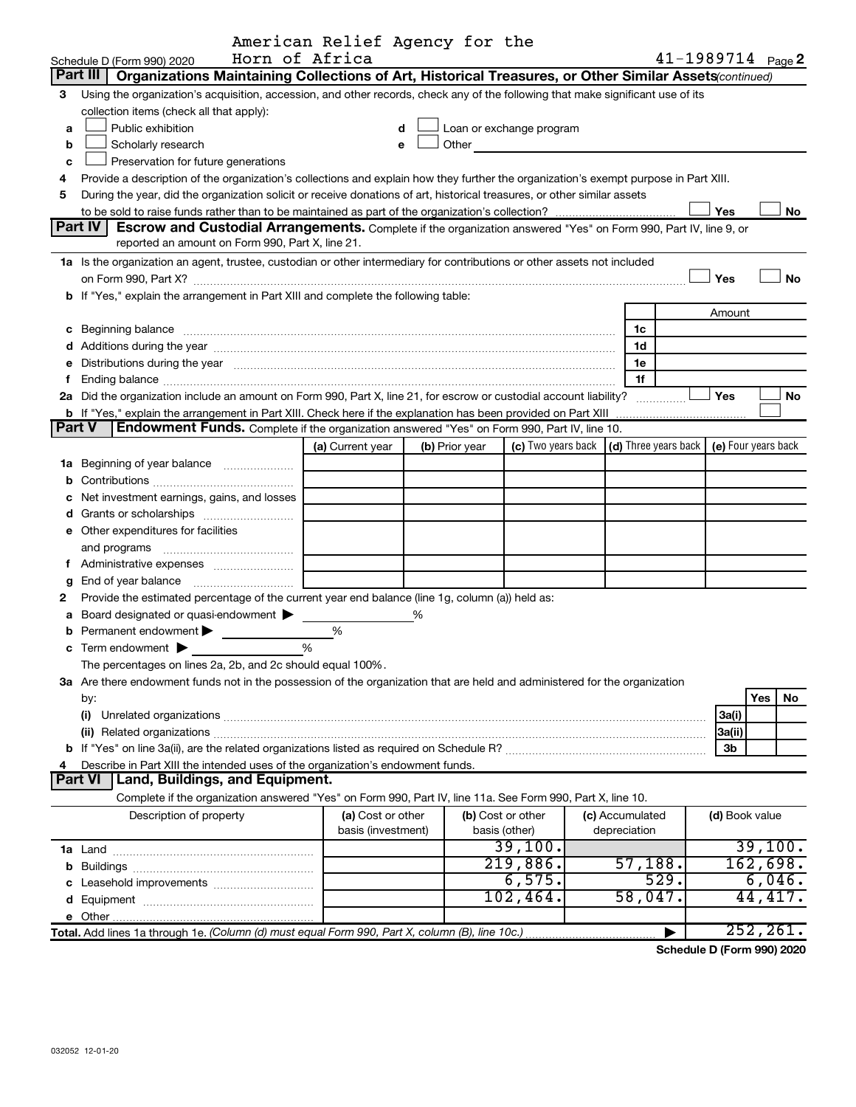|        |                                                                                                                                                                                                                                     | American Relief Agency for the<br>Horn of Africa |   |                |                                                                                                                       |                 | $41 - 1989714$ Page 2                        |                |     |           |
|--------|-------------------------------------------------------------------------------------------------------------------------------------------------------------------------------------------------------------------------------------|--------------------------------------------------|---|----------------|-----------------------------------------------------------------------------------------------------------------------|-----------------|----------------------------------------------|----------------|-----|-----------|
|        | Schedule D (Form 990) 2020<br>Organizations Maintaining Collections of Art, Historical Treasures, or Other Similar Assets(continued)<br>Part III                                                                                    |                                                  |   |                |                                                                                                                       |                 |                                              |                |     |           |
|        |                                                                                                                                                                                                                                     |                                                  |   |                |                                                                                                                       |                 |                                              |                |     |           |
| З.     | Using the organization's acquisition, accession, and other records, check any of the following that make significant use of its                                                                                                     |                                                  |   |                |                                                                                                                       |                 |                                              |                |     |           |
|        | collection items (check all that apply):                                                                                                                                                                                            |                                                  |   |                |                                                                                                                       |                 |                                              |                |     |           |
| a      | Public exhibition                                                                                                                                                                                                                   |                                                  | d |                | Loan or exchange program                                                                                              |                 |                                              |                |     |           |
| b      | Scholarly research                                                                                                                                                                                                                  |                                                  | е | Other          | <u> 1989 - Andrea Albert III, am bhaile an t-Albert III, an t-Albert III, an t-Albert III, an t-Albert III, an t-</u> |                 |                                              |                |     |           |
| c      | Preservation for future generations                                                                                                                                                                                                 |                                                  |   |                |                                                                                                                       |                 |                                              |                |     |           |
| 4      | Provide a description of the organization's collections and explain how they further the organization's exempt purpose in Part XIII.                                                                                                |                                                  |   |                |                                                                                                                       |                 |                                              |                |     |           |
| 5      | During the year, did the organization solicit or receive donations of art, historical treasures, or other similar assets                                                                                                            |                                                  |   |                |                                                                                                                       |                 |                                              |                |     |           |
|        |                                                                                                                                                                                                                                     |                                                  |   |                |                                                                                                                       |                 |                                              | Yes            |     | No        |
|        | Part IV<br>Escrow and Custodial Arrangements. Complete if the organization answered "Yes" on Form 990, Part IV, line 9, or                                                                                                          |                                                  |   |                |                                                                                                                       |                 |                                              |                |     |           |
|        | reported an amount on Form 990, Part X, line 21.                                                                                                                                                                                    |                                                  |   |                |                                                                                                                       |                 |                                              |                |     |           |
|        | 1a Is the organization an agent, trustee, custodian or other intermediary for contributions or other assets not included                                                                                                            |                                                  |   |                |                                                                                                                       |                 |                                              |                |     |           |
|        |                                                                                                                                                                                                                                     |                                                  |   |                |                                                                                                                       |                 |                                              | Yes            |     | <b>No</b> |
|        | b If "Yes," explain the arrangement in Part XIII and complete the following table:                                                                                                                                                  |                                                  |   |                |                                                                                                                       |                 |                                              |                |     |           |
|        |                                                                                                                                                                                                                                     |                                                  |   |                |                                                                                                                       |                 |                                              | Amount         |     |           |
|        | c Beginning balance <b>communications</b> and a construction of the construction of the construction of the construction of the construction of the construction of the construction of the construction of the construction of the |                                                  |   |                |                                                                                                                       | 1c              |                                              |                |     |           |
|        |                                                                                                                                                                                                                                     |                                                  |   |                |                                                                                                                       | 1d              |                                              |                |     |           |
|        | Distributions during the year manufactured and an account of the state of the state of the state of the state of the state of the state of the state of the state of the state of the state of the state of the state of the s      |                                                  |   |                |                                                                                                                       | 1е              |                                              |                |     |           |
| f      |                                                                                                                                                                                                                                     |                                                  |   |                |                                                                                                                       | 1f              |                                              |                |     |           |
|        | 2a Did the organization include an amount on Form 990, Part X, line 21, for escrow or custodial account liability?                                                                                                                  |                                                  |   |                |                                                                                                                       | .               |                                              | Yes            |     | No        |
|        | <b>b</b> If "Yes," explain the arrangement in Part XIII. Check here if the explanation has been provided on Part XIII                                                                                                               |                                                  |   |                |                                                                                                                       |                 |                                              |                |     |           |
| Part V | Endowment Funds. Complete if the organization answered "Yes" on Form 990, Part IV, line 10.                                                                                                                                         |                                                  |   |                |                                                                                                                       |                 |                                              |                |     |           |
|        |                                                                                                                                                                                                                                     | (a) Current year                                 |   | (b) Prior year | (c) Two years back                                                                                                    |                 | (d) Three years back $ $ (e) Four years back |                |     |           |
|        | 1a Beginning of year balance                                                                                                                                                                                                        |                                                  |   |                |                                                                                                                       |                 |                                              |                |     |           |
| b      |                                                                                                                                                                                                                                     |                                                  |   |                |                                                                                                                       |                 |                                              |                |     |           |
|        | Net investment earnings, gains, and losses                                                                                                                                                                                          |                                                  |   |                |                                                                                                                       |                 |                                              |                |     |           |
|        |                                                                                                                                                                                                                                     |                                                  |   |                |                                                                                                                       |                 |                                              |                |     |           |
|        | <b>e</b> Other expenditures for facilities                                                                                                                                                                                          |                                                  |   |                |                                                                                                                       |                 |                                              |                |     |           |
|        | and programs                                                                                                                                                                                                                        |                                                  |   |                |                                                                                                                       |                 |                                              |                |     |           |
| f      |                                                                                                                                                                                                                                     |                                                  |   |                |                                                                                                                       |                 |                                              |                |     |           |
| g      | End of year balance                                                                                                                                                                                                                 |                                                  |   |                |                                                                                                                       |                 |                                              |                |     |           |
| 2      | Provide the estimated percentage of the current year end balance (line 1g, column (a)) held as:                                                                                                                                     |                                                  |   |                |                                                                                                                       |                 |                                              |                |     |           |
| a      | Board designated or quasi-endowment                                                                                                                                                                                                 |                                                  | % |                |                                                                                                                       |                 |                                              |                |     |           |
|        | Permanent endowment                                                                                                                                                                                                                 | %                                                |   |                |                                                                                                                       |                 |                                              |                |     |           |
|        | <b>c</b> Term endowment $\blacktriangleright$                                                                                                                                                                                       | %                                                |   |                |                                                                                                                       |                 |                                              |                |     |           |
|        | The percentages on lines 2a, 2b, and 2c should equal 100%.                                                                                                                                                                          |                                                  |   |                |                                                                                                                       |                 |                                              |                |     |           |
|        | 3a Are there endowment funds not in the possession of the organization that are held and administered for the organization                                                                                                          |                                                  |   |                |                                                                                                                       |                 |                                              |                |     |           |
|        | by:                                                                                                                                                                                                                                 |                                                  |   |                |                                                                                                                       |                 |                                              |                | Yes | No        |
|        | (i)                                                                                                                                                                                                                                 |                                                  |   |                |                                                                                                                       |                 |                                              | 3a(i)          |     |           |
|        |                                                                                                                                                                                                                                     |                                                  |   |                |                                                                                                                       |                 |                                              | 3a(ii)         |     |           |
|        |                                                                                                                                                                                                                                     |                                                  |   |                |                                                                                                                       |                 |                                              | 3b             |     |           |
|        | Describe in Part XIII the intended uses of the organization's endowment funds.                                                                                                                                                      |                                                  |   |                |                                                                                                                       |                 |                                              |                |     |           |
|        | <b>Part VI</b><br>Land, Buildings, and Equipment.                                                                                                                                                                                   |                                                  |   |                |                                                                                                                       |                 |                                              |                |     |           |
|        | Complete if the organization answered "Yes" on Form 990, Part IV, line 11a. See Form 990, Part X, line 10.                                                                                                                          |                                                  |   |                |                                                                                                                       |                 |                                              |                |     |           |
|        | Description of property                                                                                                                                                                                                             | (a) Cost or other                                |   |                | (b) Cost or other                                                                                                     | (c) Accumulated |                                              | (d) Book value |     |           |
|        |                                                                                                                                                                                                                                     | basis (investment)                               |   |                | basis (other)                                                                                                         | depreciation    |                                              |                |     |           |
|        |                                                                                                                                                                                                                                     |                                                  |   |                | 39,100.                                                                                                               |                 |                                              |                |     | 39,100.   |
| b      |                                                                                                                                                                                                                                     |                                                  |   |                | 219,886.                                                                                                              | 57,188.         |                                              |                |     | 162,698.  |
|        |                                                                                                                                                                                                                                     |                                                  |   |                | 6,575.                                                                                                                |                 | 529.                                         |                |     | 6,046.    |
|        |                                                                                                                                                                                                                                     |                                                  |   |                | 102, 464.                                                                                                             | 58,047.         |                                              |                |     | 44,417.   |
|        |                                                                                                                                                                                                                                     |                                                  |   |                |                                                                                                                       |                 |                                              |                |     |           |
|        | Total. Add lines 1a through 1e. (Column (d) must equal Form 990, Part X, column (B), line 10c.)                                                                                                                                     |                                                  |   |                |                                                                                                                       |                 |                                              |                |     | 252, 261. |

Schedule D (Form 990) 2020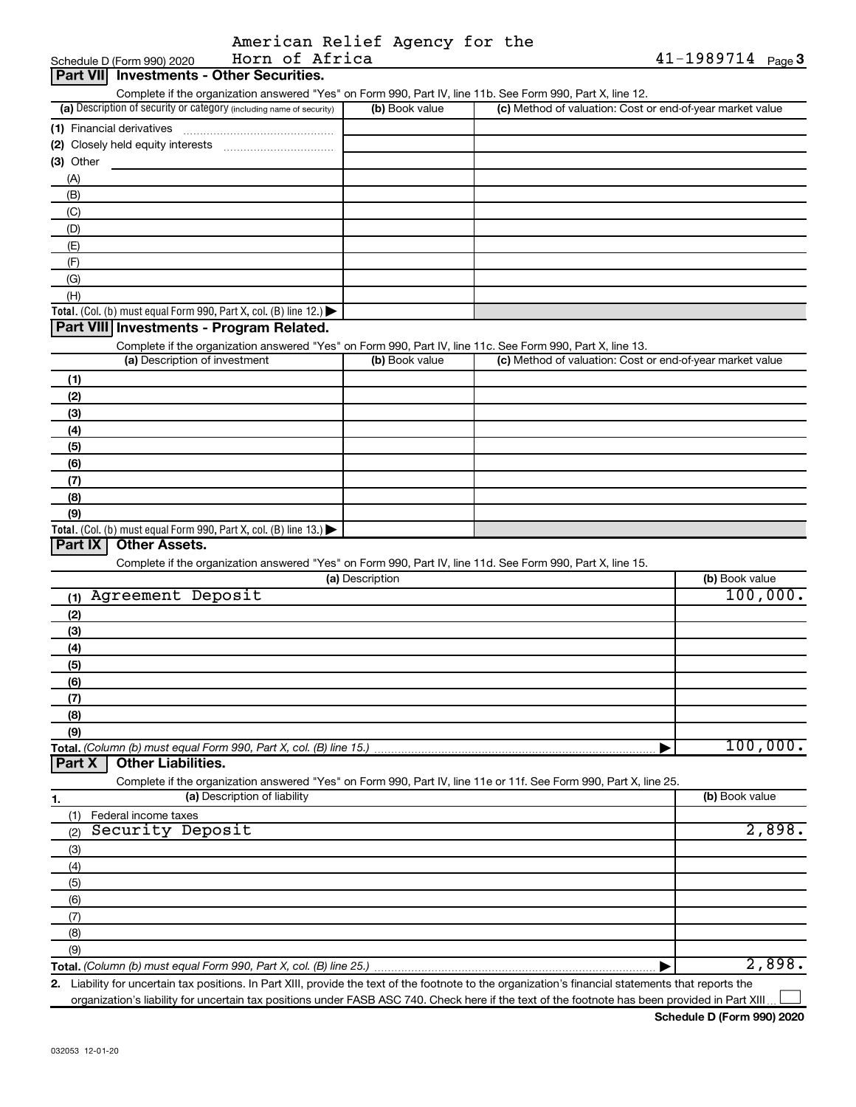|  | American Relief Agency for the |  |  |
|--|--------------------------------|--|--|
|  | Horn of Africa                 |  |  |

| Horn of Africa<br>Schedule D (Form 990) 2020                                                                      |                 |                                                           | $41 - 1989714$ Page 3 |
|-------------------------------------------------------------------------------------------------------------------|-----------------|-----------------------------------------------------------|-----------------------|
| <b>Part VII</b> Investments - Other Securities.                                                                   |                 |                                                           |                       |
| Complete if the organization answered "Yes" on Form 990, Part IV, line 11b. See Form 990, Part X, line 12.        |                 |                                                           |                       |
| (a) Description of security or category (including name of security)                                              | (b) Book value  | (c) Method of valuation: Cost or end-of-year market value |                       |
|                                                                                                                   |                 |                                                           |                       |
|                                                                                                                   |                 |                                                           |                       |
| (3) Other                                                                                                         |                 |                                                           |                       |
| (A)                                                                                                               |                 |                                                           |                       |
| (B)                                                                                                               |                 |                                                           |                       |
| (C)                                                                                                               |                 |                                                           |                       |
| (D)                                                                                                               |                 |                                                           |                       |
| (E)                                                                                                               |                 |                                                           |                       |
| (F)                                                                                                               |                 |                                                           |                       |
| (G)                                                                                                               |                 |                                                           |                       |
| (H)                                                                                                               |                 |                                                           |                       |
| Total. (Col. (b) must equal Form 990, Part X, col. (B) line 12.)                                                  |                 |                                                           |                       |
| Part VIII Investments - Program Related.                                                                          |                 |                                                           |                       |
| Complete if the organization answered "Yes" on Form 990, Part IV, line 11c. See Form 990, Part X, line 13.        |                 |                                                           |                       |
| (a) Description of investment                                                                                     | (b) Book value  | (c) Method of valuation: Cost or end-of-year market value |                       |
|                                                                                                                   |                 |                                                           |                       |
| (1)                                                                                                               |                 |                                                           |                       |
| (2)                                                                                                               |                 |                                                           |                       |
| (3)                                                                                                               |                 |                                                           |                       |
| (4)                                                                                                               |                 |                                                           |                       |
| (5)                                                                                                               |                 |                                                           |                       |
| (6)                                                                                                               |                 |                                                           |                       |
| (7)                                                                                                               |                 |                                                           |                       |
| (8)                                                                                                               |                 |                                                           |                       |
| (9)                                                                                                               |                 |                                                           |                       |
| Total. (Col. (b) must equal Form 990, Part X, col. (B) line 13.)                                                  |                 |                                                           |                       |
| Part IX<br><b>Other Assets.</b>                                                                                   |                 |                                                           |                       |
| Complete if the organization answered "Yes" on Form 990, Part IV, line 11d. See Form 990, Part X, line 15.        |                 |                                                           |                       |
|                                                                                                                   | (a) Description |                                                           | (b) Book value        |
| Agreement Deposit<br>(1)                                                                                          |                 |                                                           | 100,000.              |
| (2)                                                                                                               |                 |                                                           |                       |
| (3)                                                                                                               |                 |                                                           |                       |
| (4)                                                                                                               |                 |                                                           |                       |
| (5)                                                                                                               |                 |                                                           |                       |
| (6)                                                                                                               |                 |                                                           |                       |
| (7)                                                                                                               |                 |                                                           |                       |
| (8)                                                                                                               |                 |                                                           |                       |
| (9)                                                                                                               |                 |                                                           |                       |
| Total. (Column (b) must equal Form 990, Part X, col. (B) line 15.)                                                |                 |                                                           | 100,000.              |
| <b>Part X</b><br><b>Other Liabilities.</b>                                                                        |                 |                                                           |                       |
| Complete if the organization answered "Yes" on Form 990, Part IV, line 11e or 11f. See Form 990, Part X, line 25. |                 |                                                           |                       |
| (a) Description of liability<br>1.                                                                                |                 |                                                           | (b) Book value        |
| Federal income taxes<br>(1)                                                                                       |                 |                                                           |                       |
| Security Deposit<br>(2)                                                                                           |                 |                                                           | 2,898.                |
| (3)                                                                                                               |                 |                                                           |                       |
| (4)                                                                                                               |                 |                                                           |                       |
| (5)                                                                                                               |                 |                                                           |                       |
| (6)                                                                                                               |                 |                                                           |                       |
| (7)                                                                                                               |                 |                                                           |                       |
| (8)                                                                                                               |                 |                                                           |                       |
| (9)                                                                                                               |                 |                                                           |                       |
|                                                                                                                   |                 |                                                           | 2,898.                |
|                                                                                                                   |                 |                                                           |                       |

2. Liability for uncertain tax positions. In Part XIII, provide the text of the footnote to the organization's financial statements that reports the organization's liability for uncertain tax positions under FASB ASC 740. Check here if the text of the footnote has been provided in Part XIII.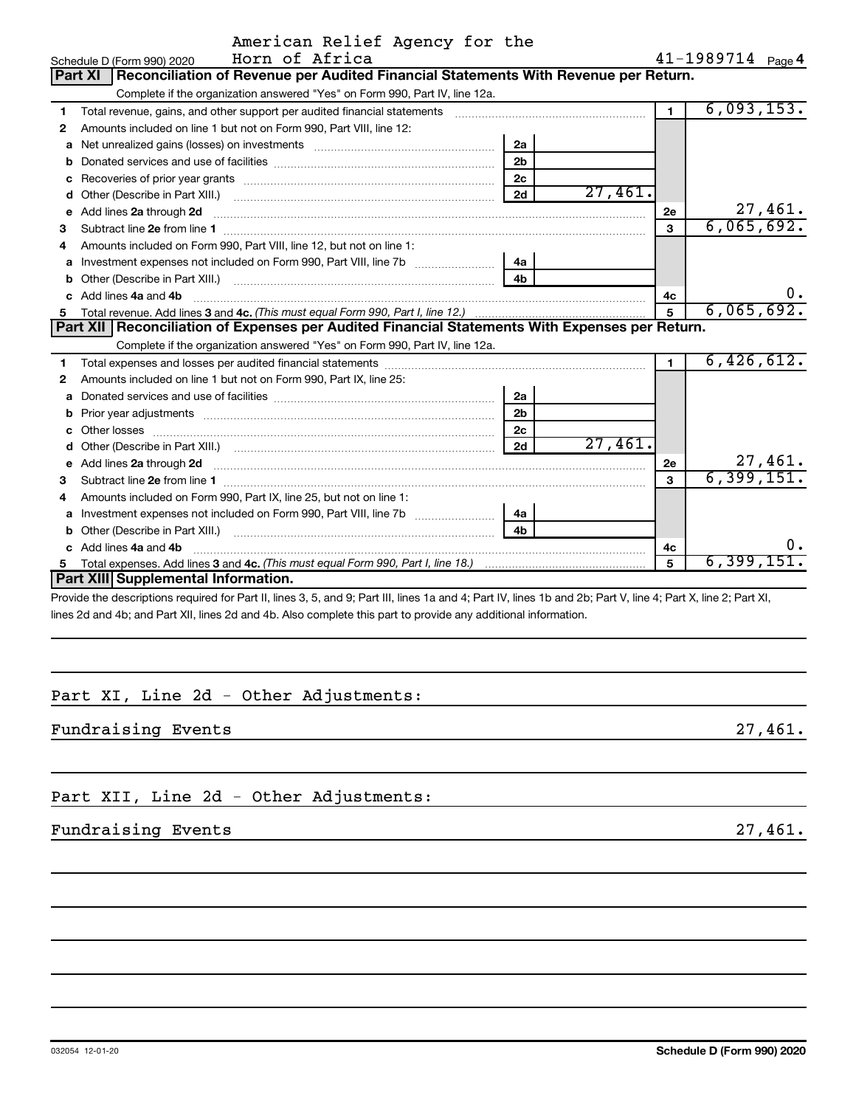|    | Horn of Africa<br>Schedule D (Form 990) 2020                                                                                                                                                                                        |                |            |                | 41-1989714 Page 4           |
|----|-------------------------------------------------------------------------------------------------------------------------------------------------------------------------------------------------------------------------------------|----------------|------------|----------------|-----------------------------|
|    | Reconciliation of Revenue per Audited Financial Statements With Revenue per Return.<br>Part XI                                                                                                                                      |                |            |                |                             |
|    | Complete if the organization answered "Yes" on Form 990, Part IV, line 12a.                                                                                                                                                         |                |            |                |                             |
| 1  | Total revenue, gains, and other support per audited financial statements [[[[[[[[[[[[[[[[[[[[[[[[[]]]]]]]]]]]                                                                                                                       |                |            | $\blacksquare$ | 6,093,153.                  |
| 2  | Amounts included on line 1 but not on Form 990, Part VIII, line 12:                                                                                                                                                                 |                |            |                |                             |
| a  |                                                                                                                                                                                                                                     | 2a             |            |                |                             |
| b  |                                                                                                                                                                                                                                     | 2 <sub>b</sub> |            |                |                             |
| с  |                                                                                                                                                                                                                                     | 2 <sub>c</sub> |            |                |                             |
| d  |                                                                                                                                                                                                                                     | 2d             | 27,461.    |                |                             |
| е  | Add lines 2a through 2d                                                                                                                                                                                                             |                |            | 2e             | 27,461.                     |
| 3  |                                                                                                                                                                                                                                     |                |            | 3              | 6,065,692.                  |
| 4  | Amounts included on Form 990, Part VIII, line 12, but not on line 1:                                                                                                                                                                |                |            |                |                             |
| a  |                                                                                                                                                                                                                                     | 4a             |            |                |                             |
| b  | Other (Describe in Part XIII.) <b>Construction Contract Construction</b> Chemical Construction Chemical Chemical Chemical Chemical Chemical Chemical Chemical Chemical Chemical Chemical Chemical Chemical Chemical Chemical Chemic | 4 <sub>b</sub> |            |                |                             |
| c. | Add lines 4a and 4b                                                                                                                                                                                                                 |                |            | 4c             |                             |
|    |                                                                                                                                                                                                                                     | 5              | 6,065,692. |                |                             |
|    | Part XII   Reconciliation of Expenses per Audited Financial Statements With Expenses per Return.                                                                                                                                    |                |            |                |                             |
|    | Complete if the organization answered "Yes" on Form 990, Part IV, line 12a.                                                                                                                                                         |                |            |                |                             |
| 1  |                                                                                                                                                                                                                                     |                |            | $\blacksquare$ | 6,426,612.                  |
| 2  | Amounts included on line 1 but not on Form 990, Part IX, line 25:                                                                                                                                                                   |                |            |                |                             |
| a  |                                                                                                                                                                                                                                     | 2a             |            |                |                             |
| b  | Prior year adjustments [ www.communications of the contract of the contract of the contract of the contract of                                                                                                                      | 2 <sub>b</sub> |            |                |                             |
|    | Other losses                                                                                                                                                                                                                        | 2 <sub>c</sub> |            |                |                             |
| d  | Other (Describe in Part XIII.) [100] [2010] [2010] [2010] [2010] [2010] [2010] [2010] [2010] [2010] [2010] [20                                                                                                                      | 2d             | 27,461.    |                |                             |
| е  | Add lines 2a through 2d <b>continuum continuum contracts</b> and an analysis of the contract of the contract of the contract of the contract of the contract of the contract of the contract of the contract of the contract of the |                |            | 2e             | $\frac{27,461}{6,399,151.}$ |
| з  |                                                                                                                                                                                                                                     |                |            | $\mathbf{a}$   |                             |
| 4  | Amounts included on Form 990, Part IX, line 25, but not on line 1:                                                                                                                                                                  |                |            |                |                             |
| a  |                                                                                                                                                                                                                                     | 4a             |            |                |                             |
| b  |                                                                                                                                                                                                                                     | 4 <sub>b</sub> |            |                |                             |
|    | Add lines 4a and 4b                                                                                                                                                                                                                 |                |            | 4c             | υ.                          |
| 5. |                                                                                                                                                                                                                                     |                |            | 5              | 6,399,151.                  |
|    | Part XIII Supplemental Information.                                                                                                                                                                                                 |                |            |                |                             |
|    |                                                                                                                                                                                                                                     |                |            |                |                             |

American Relief Agency for the

Provide the descriptions required for Part II, lines 3, 5, and 9; Part III, lines 1a and 4; Part IV, lines 1b and 2b; Part V, line 4; Part X, line 2; Part XI, lines 2d and 4b; and Part XII, lines 2d and 4b. Also complete this part to provide any additional information.

## Part XI, Line 2d - Other Adjustments:

Fundraising Events

Part XII, Line 2d - Other Adjustments:

## Fundraising Events

 $27,461.$ 

 $27,461.$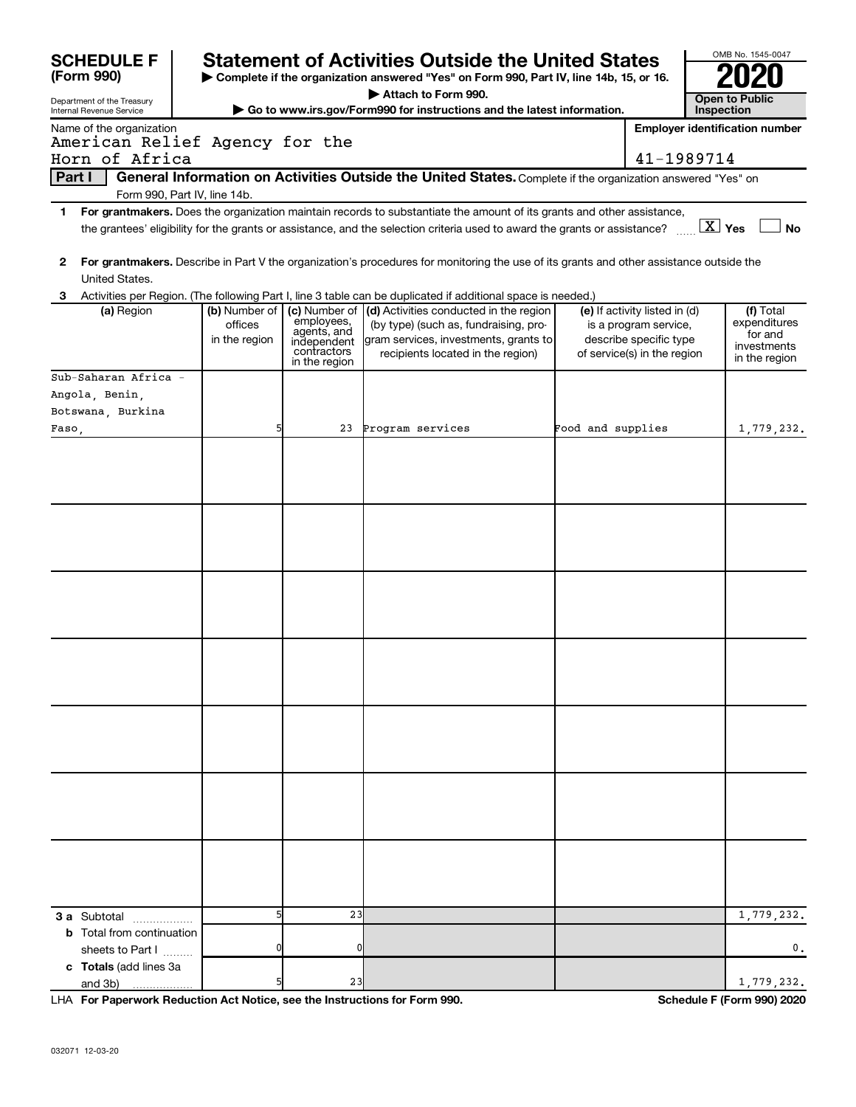| <b>SCHEDULE F</b>                                                                                                                                                |                              |                            |                                                                                                                                                        |                   |                                                        | OMB No. 1545-0047                     |
|------------------------------------------------------------------------------------------------------------------------------------------------------------------|------------------------------|----------------------------|--------------------------------------------------------------------------------------------------------------------------------------------------------|-------------------|--------------------------------------------------------|---------------------------------------|
| <b>Statement of Activities Outside the United States</b><br>(Form 990)<br>Complete if the organization answered "Yes" on Form 990, Part IV, line 14b, 15, or 16. |                              |                            |                                                                                                                                                        |                   |                                                        |                                       |
|                                                                                                                                                                  |                              |                            | Attach to Form 990.                                                                                                                                    |                   |                                                        |                                       |
| Department of the Treasury<br>Internal Revenue Service                                                                                                           |                              |                            | Go to www.irs.gov/Form990 for instructions and the latest information.                                                                                 |                   |                                                        | <b>Open to Public</b><br>Inspection   |
| Name of the organization                                                                                                                                         |                              |                            |                                                                                                                                                        |                   |                                                        | <b>Employer identification number</b> |
| American Relief Agency for the                                                                                                                                   |                              |                            |                                                                                                                                                        |                   |                                                        |                                       |
| Horn of Africa                                                                                                                                                   |                              |                            |                                                                                                                                                        |                   | 41-1989714                                             |                                       |
| Part I                                                                                                                                                           |                              |                            | General Information on Activities Outside the United States. Complete if the organization answered "Yes" on                                            |                   |                                                        |                                       |
|                                                                                                                                                                  | Form 990, Part IV, line 14b. |                            |                                                                                                                                                        |                   |                                                        |                                       |
| 1.                                                                                                                                                               |                              |                            | For grantmakers. Does the organization maintain records to substantiate the amount of its grants and other assistance,                                 |                   |                                                        |                                       |
|                                                                                                                                                                  |                              |                            | the grantees' eligibility for the grants or assistance, and the selection criteria used to award the grants or assistance?                             |                   |                                                        | $\boxed{\text{X}}$ Yes<br><b>No</b>   |
| 2                                                                                                                                                                |                              |                            | For grantmakers. Describe in Part V the organization's procedures for monitoring the use of its grants and other assistance outside the                |                   |                                                        |                                       |
| United States.                                                                                                                                                   |                              |                            |                                                                                                                                                        |                   |                                                        |                                       |
| з<br>(a) Region                                                                                                                                                  | (b) Number of                | (c) Number of              | Activities per Region. (The following Part I, line 3 table can be duplicated if additional space is needed.)<br>(d) Activities conducted in the region |                   |                                                        | (f) Total                             |
|                                                                                                                                                                  | offices                      | employees,                 | (by type) (such as, fundraising, pro-                                                                                                                  |                   | (e) If activity listed in (d)<br>is a program service, | expenditures                          |
|                                                                                                                                                                  | in the region                | agents, and<br>independent | gram services, investments, grants to                                                                                                                  |                   | describe specific type                                 | for and                               |
|                                                                                                                                                                  |                              | contractors                | recipients located in the region)                                                                                                                      |                   | of service(s) in the region                            | investments<br>in the region          |
|                                                                                                                                                                  |                              | in the region              |                                                                                                                                                        |                   |                                                        |                                       |
| Sub-Saharan Africa -                                                                                                                                             |                              |                            |                                                                                                                                                        |                   |                                                        |                                       |
| Angola, Benin,                                                                                                                                                   |                              |                            |                                                                                                                                                        |                   |                                                        |                                       |
| Botswana, Burkina                                                                                                                                                |                              |                            |                                                                                                                                                        |                   |                                                        |                                       |
| Faso,                                                                                                                                                            | 5                            |                            | 23 Program services                                                                                                                                    | Food and supplies |                                                        | 1,779,232.                            |
|                                                                                                                                                                  |                              |                            |                                                                                                                                                        |                   |                                                        |                                       |
|                                                                                                                                                                  |                              |                            |                                                                                                                                                        |                   |                                                        |                                       |
|                                                                                                                                                                  |                              |                            |                                                                                                                                                        |                   |                                                        |                                       |
|                                                                                                                                                                  |                              |                            |                                                                                                                                                        |                   |                                                        |                                       |
|                                                                                                                                                                  |                              |                            |                                                                                                                                                        |                   |                                                        |                                       |
|                                                                                                                                                                  |                              |                            |                                                                                                                                                        |                   |                                                        |                                       |
|                                                                                                                                                                  |                              |                            |                                                                                                                                                        |                   |                                                        |                                       |
|                                                                                                                                                                  |                              |                            |                                                                                                                                                        |                   |                                                        |                                       |
|                                                                                                                                                                  |                              |                            |                                                                                                                                                        |                   |                                                        |                                       |
|                                                                                                                                                                  |                              |                            |                                                                                                                                                        |                   |                                                        |                                       |
|                                                                                                                                                                  |                              |                            |                                                                                                                                                        |                   |                                                        |                                       |
|                                                                                                                                                                  |                              |                            |                                                                                                                                                        |                   |                                                        |                                       |
|                                                                                                                                                                  |                              |                            |                                                                                                                                                        |                   |                                                        |                                       |
|                                                                                                                                                                  |                              |                            |                                                                                                                                                        |                   |                                                        |                                       |
|                                                                                                                                                                  |                              |                            |                                                                                                                                                        |                   |                                                        |                                       |
|                                                                                                                                                                  |                              |                            |                                                                                                                                                        |                   |                                                        |                                       |
|                                                                                                                                                                  |                              |                            |                                                                                                                                                        |                   |                                                        |                                       |
|                                                                                                                                                                  |                              |                            |                                                                                                                                                        |                   |                                                        |                                       |
|                                                                                                                                                                  |                              |                            |                                                                                                                                                        |                   |                                                        |                                       |
|                                                                                                                                                                  |                              |                            |                                                                                                                                                        |                   |                                                        |                                       |
|                                                                                                                                                                  |                              |                            |                                                                                                                                                        |                   |                                                        |                                       |
|                                                                                                                                                                  |                              |                            |                                                                                                                                                        |                   |                                                        |                                       |
|                                                                                                                                                                  |                              |                            |                                                                                                                                                        |                   |                                                        |                                       |
|                                                                                                                                                                  |                              |                            |                                                                                                                                                        |                   |                                                        |                                       |
|                                                                                                                                                                  |                              |                            |                                                                                                                                                        |                   |                                                        |                                       |
|                                                                                                                                                                  |                              |                            |                                                                                                                                                        |                   |                                                        |                                       |
|                                                                                                                                                                  |                              |                            |                                                                                                                                                        |                   |                                                        |                                       |
|                                                                                                                                                                  |                              |                            |                                                                                                                                                        |                   |                                                        |                                       |
|                                                                                                                                                                  |                              |                            |                                                                                                                                                        |                   |                                                        |                                       |
|                                                                                                                                                                  | 5                            |                            |                                                                                                                                                        |                   |                                                        |                                       |
| 3 a Subtotal                                                                                                                                                     |                              | 23                         |                                                                                                                                                        |                   |                                                        | 1,779,232.                            |
| <b>b</b> Total from continuation                                                                                                                                 |                              |                            |                                                                                                                                                        |                   |                                                        |                                       |
| sheets to Part I                                                                                                                                                 | O                            | 0                          |                                                                                                                                                        |                   |                                                        | $\mathbf{0}$ .                        |
| c Totals (add lines 3a                                                                                                                                           |                              |                            |                                                                                                                                                        |                   |                                                        |                                       |
| and 3b)                                                                                                                                                          |                              | 23                         |                                                                                                                                                        |                   |                                                        | 1,779,232.                            |

LHA For Paperwork Reduction Act Notice, see the Instructions for Form 990.

Schedule F (Form 990) 2020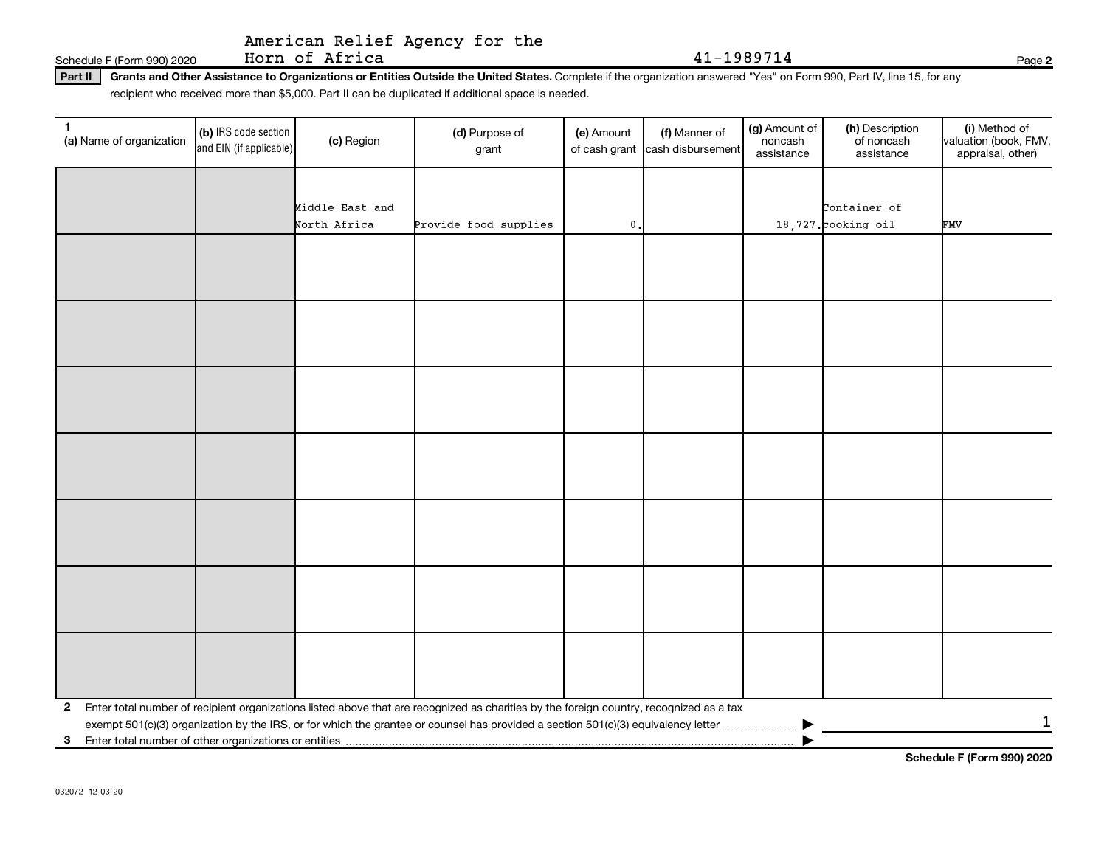### American Relief Agency for the Horn of Africa

Schedule F (Form 990) 2020

Grants and Other Assistance to Organizations or Entities Outside the United States. Complete if the organization answered "Yes" on Form 990, Part IV, line 15, for any  $Part II$ recipient who received more than \$5,000. Part II can be duplicated if additional space is needed.

| 1<br>(a) Name of organization                           | (b) IRS code section<br>and EIN (if applicable) | (c) Region      | (d) Purpose of<br>grant                                                                                                                 | (e) Amount<br>of cash grant | (f) Manner of<br>cash disbursement | (g) Amount of<br>noncash<br>assistance | (h) Description<br>of noncash<br>assistance | (i) Method of<br>valuation (book, FMV,<br>appraisal, other) |
|---------------------------------------------------------|-------------------------------------------------|-----------------|-----------------------------------------------------------------------------------------------------------------------------------------|-----------------------------|------------------------------------|----------------------------------------|---------------------------------------------|-------------------------------------------------------------|
|                                                         |                                                 |                 |                                                                                                                                         |                             |                                    |                                        |                                             |                                                             |
|                                                         |                                                 | Middle East and |                                                                                                                                         |                             |                                    |                                        | Container of                                |                                                             |
|                                                         |                                                 | North Africa    | Provide food supplies                                                                                                                   | $\mathbf 0$ .               |                                    |                                        | $18,727$ . cooking oil                      | FMV                                                         |
|                                                         |                                                 |                 |                                                                                                                                         |                             |                                    |                                        |                                             |                                                             |
|                                                         |                                                 |                 |                                                                                                                                         |                             |                                    |                                        |                                             |                                                             |
|                                                         |                                                 |                 |                                                                                                                                         |                             |                                    |                                        |                                             |                                                             |
|                                                         |                                                 |                 |                                                                                                                                         |                             |                                    |                                        |                                             |                                                             |
|                                                         |                                                 |                 |                                                                                                                                         |                             |                                    |                                        |                                             |                                                             |
|                                                         |                                                 |                 |                                                                                                                                         |                             |                                    |                                        |                                             |                                                             |
|                                                         |                                                 |                 |                                                                                                                                         |                             |                                    |                                        |                                             |                                                             |
|                                                         |                                                 |                 |                                                                                                                                         |                             |                                    |                                        |                                             |                                                             |
|                                                         |                                                 |                 |                                                                                                                                         |                             |                                    |                                        |                                             |                                                             |
|                                                         |                                                 |                 |                                                                                                                                         |                             |                                    |                                        |                                             |                                                             |
|                                                         |                                                 |                 |                                                                                                                                         |                             |                                    |                                        |                                             |                                                             |
|                                                         |                                                 |                 |                                                                                                                                         |                             |                                    |                                        |                                             |                                                             |
|                                                         |                                                 |                 |                                                                                                                                         |                             |                                    |                                        |                                             |                                                             |
|                                                         |                                                 |                 |                                                                                                                                         |                             |                                    |                                        |                                             |                                                             |
|                                                         |                                                 |                 |                                                                                                                                         |                             |                                    |                                        |                                             |                                                             |
|                                                         |                                                 |                 |                                                                                                                                         |                             |                                    |                                        |                                             |                                                             |
|                                                         |                                                 |                 |                                                                                                                                         |                             |                                    |                                        |                                             |                                                             |
|                                                         |                                                 |                 |                                                                                                                                         |                             |                                    |                                        |                                             |                                                             |
|                                                         |                                                 |                 |                                                                                                                                         |                             |                                    |                                        |                                             |                                                             |
|                                                         |                                                 |                 |                                                                                                                                         |                             |                                    |                                        |                                             |                                                             |
|                                                         |                                                 |                 |                                                                                                                                         |                             |                                    |                                        |                                             |                                                             |
| $\mathbf{2}$                                            |                                                 |                 | Enter total number of recipient organizations listed above that are recognized as charities by the foreign country, recognized as a tax |                             |                                    |                                        |                                             |                                                             |
| 3 Enter total number of other organizations or entities |                                                 |                 |                                                                                                                                         |                             |                                    |                                        |                                             | 1                                                           |
|                                                         |                                                 |                 |                                                                                                                                         |                             |                                    |                                        |                                             |                                                             |

Schedule F (Form 990) 2020

Page 2

41-1989714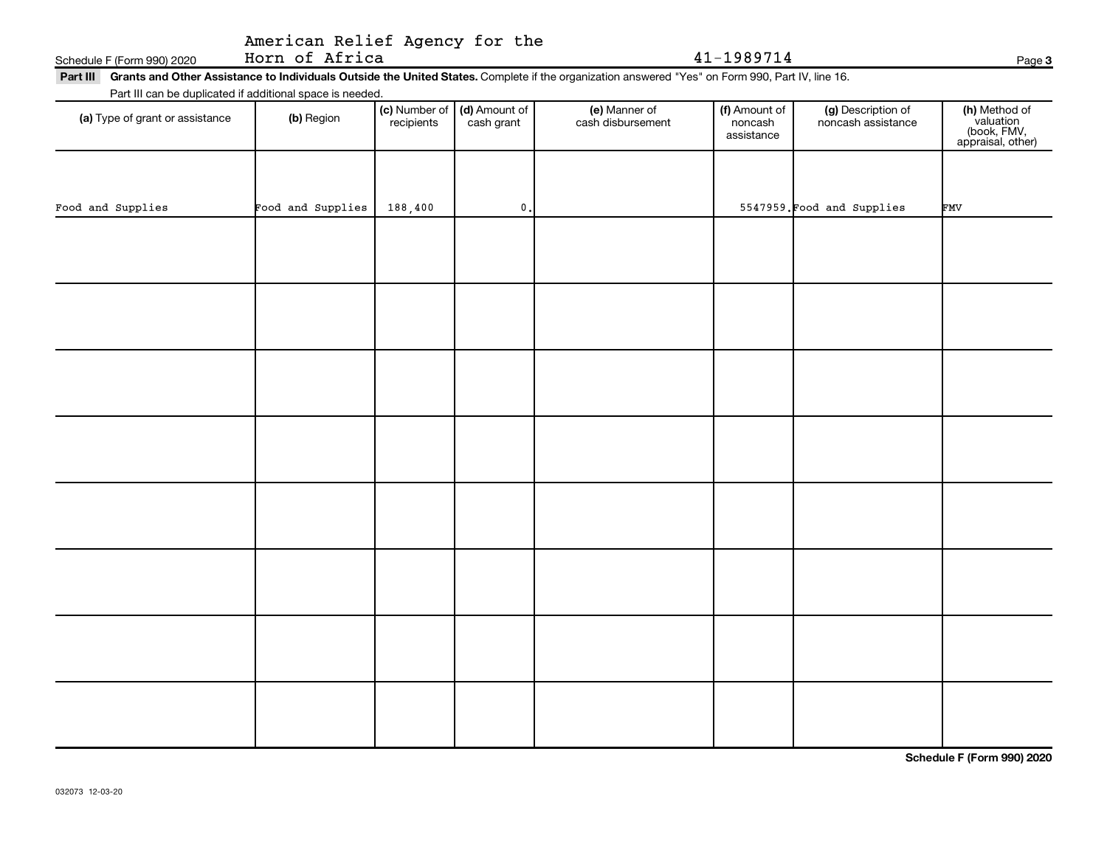## American Relief Agency for the

Horn of Africa Schedule F (Form 990) 2020

## Part III Grants and Other Assistance to Individuals Outside the United States. Complete if the organization answered "Yes" on Form 990, Part IV, line 16. Part III can be duplicated if additional space is needed.

| (a) Type of grant or assistance | (b) Region        | (c) Number of (d) Amount of<br>recipients cash grant |               | (e) Manner of<br>cash disbursement | (f) Amount of<br>noncash<br>assistance | (g) Description of<br>noncash assistance | (h) Method of<br>valuation<br>(book, FMV,<br>appraisal, other) |
|---------------------------------|-------------------|------------------------------------------------------|---------------|------------------------------------|----------------------------------------|------------------------------------------|----------------------------------------------------------------|
|                                 |                   |                                                      |               |                                    |                                        |                                          |                                                                |
| Food and Supplies               | Food and Supplies | 188,400                                              | $\mathbf 0$ . |                                    |                                        | 5547959. Food and Supplies               | FMV                                                            |
|                                 |                   |                                                      |               |                                    |                                        |                                          |                                                                |
|                                 |                   |                                                      |               |                                    |                                        |                                          |                                                                |
|                                 |                   |                                                      |               |                                    |                                        |                                          |                                                                |
|                                 |                   |                                                      |               |                                    |                                        |                                          |                                                                |
|                                 |                   |                                                      |               |                                    |                                        |                                          |                                                                |
|                                 |                   |                                                      |               |                                    |                                        |                                          |                                                                |
|                                 |                   |                                                      |               |                                    |                                        |                                          |                                                                |
|                                 |                   |                                                      |               |                                    |                                        |                                          |                                                                |

Schedule F (Form 990) 2020

Page 3

41-1989714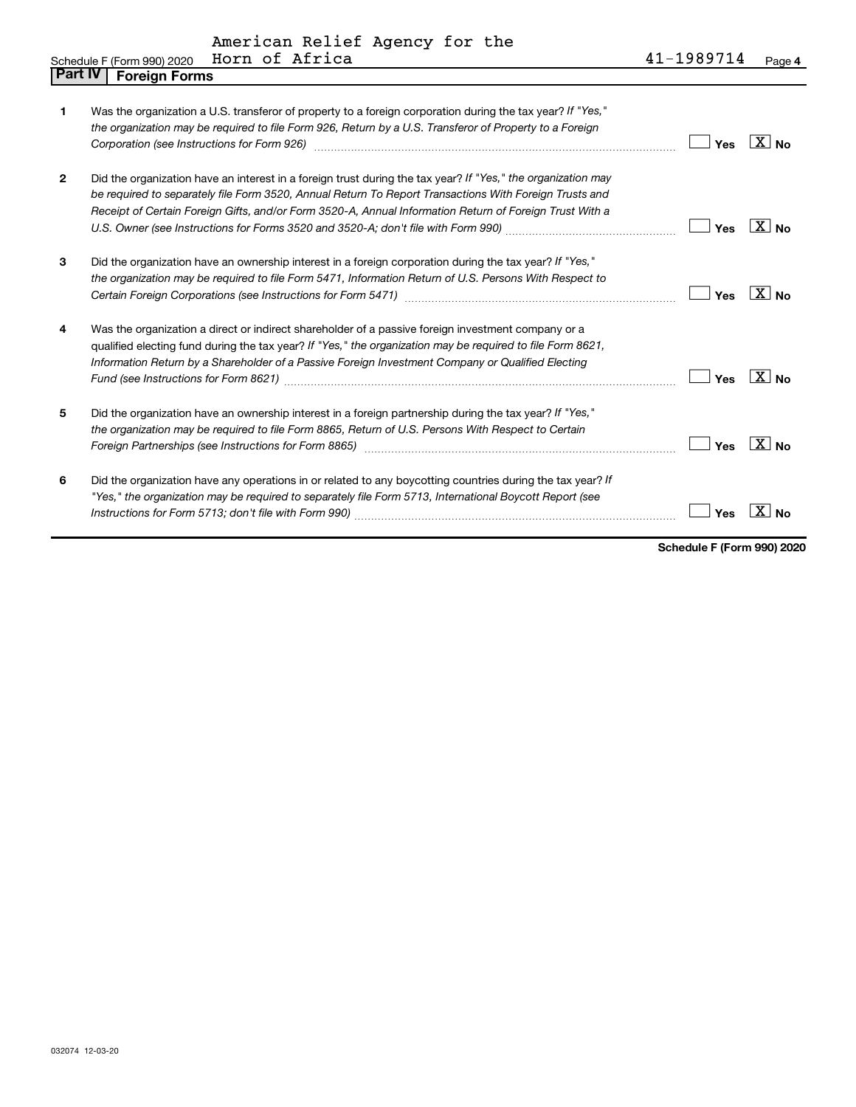American Relief Agency for the<br>Horn of Africa

|         | Horn of Africa<br>Schedule F (Form 990) 2020                                                                                                                                                                                                                                                                                            | 41-1989714 | Page 4                   |
|---------|-----------------------------------------------------------------------------------------------------------------------------------------------------------------------------------------------------------------------------------------------------------------------------------------------------------------------------------------|------------|--------------------------|
| Part IV | <b>Foreign Forms</b>                                                                                                                                                                                                                                                                                                                    |            |                          |
| 1       | Was the organization a U.S. transferor of property to a foreign corporation during the tax year? If "Yes,"<br>the organization may be required to file Form 926, Return by a U.S. Transferor of Property to a Foreign<br>Corporation (see Instructions for Form 926) manufactured controller controller to the control of the control o | Yes        | $\overline{\text{X}}$ No |
| 2       | Did the organization have an interest in a foreign trust during the tax year? If "Yes," the organization may<br>be required to separately file Form 3520, Annual Return To Report Transactions With Foreign Trusts and<br>Receipt of Certain Foreign Gifts, and/or Form 3520-A, Annual Information Return of Foreign Trust With a       | Yes        | $\overline{X}$ No        |
| 3       | Did the organization have an ownership interest in a foreign corporation during the tax year? If "Yes,"<br>the organization may be required to file Form 5471, Information Return of U.S. Persons With Respect to                                                                                                                       | Yes        | $X_{\text{No}}$          |
| 4       | Was the organization a direct or indirect shareholder of a passive foreign investment company or a<br>qualified electing fund during the tax year? If "Yes," the organization may be required to file Form 8621,<br>Information Return by a Shareholder of a Passive Foreign Investment Company or Qualified Electing                   | Yes        | $X $ No                  |
| 5       | Did the organization have an ownership interest in a foreign partnership during the tax year? If "Yes,"<br>the organization may be required to file Form 8865, Return of U.S. Persons With Respect to Certain                                                                                                                           | Yes        | $X _{\text{No}}$         |
| 6       | Did the organization have any operations in or related to any boycotting countries during the tax year? If<br>"Yes," the organization may be required to separately file Form 5713, International Boycott Report (see                                                                                                                   | Yes        | x<br><b>No</b>           |

Schedule F (Form 990) 2020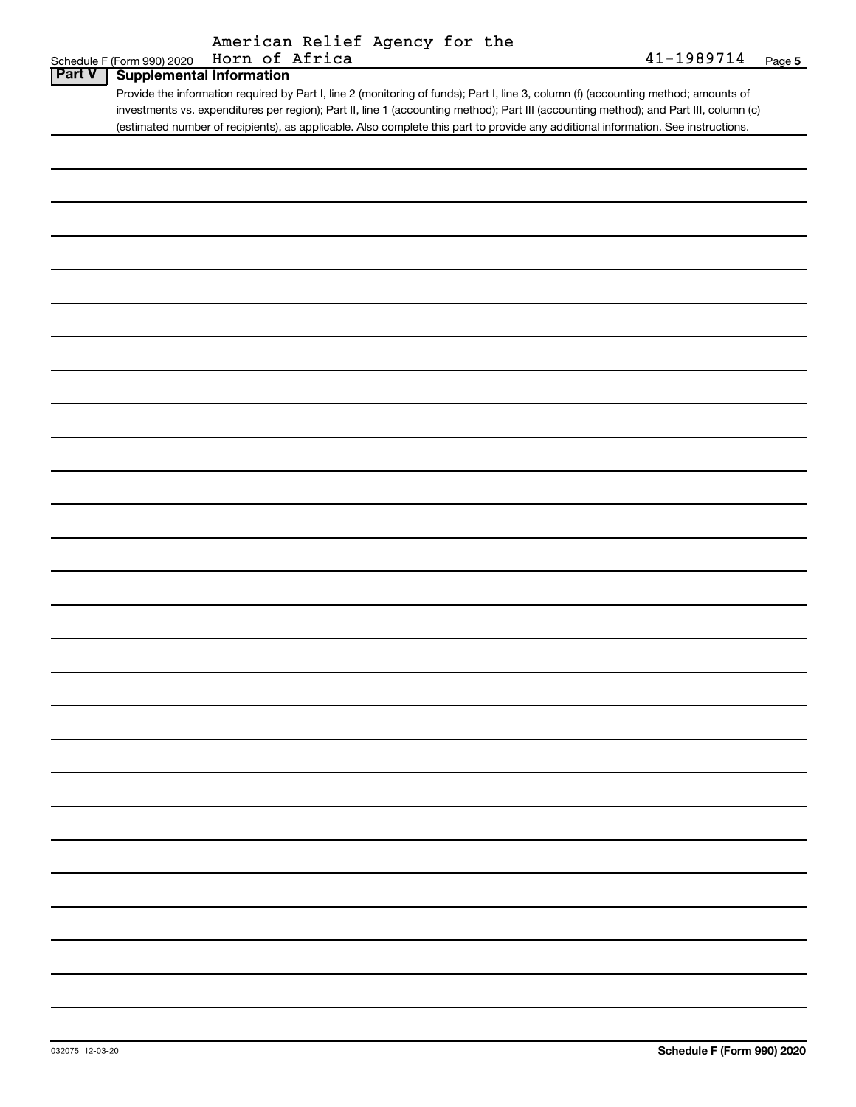| American Relief Agency for the |  |  |
|--------------------------------|--|--|
|                                |  |  |

|               | American keller Agency for the                                                                                                        |            |        |
|---------------|---------------------------------------------------------------------------------------------------------------------------------------|------------|--------|
|               | Horn of Africa<br>Schedule F (Form 990) 2020                                                                                          | 41-1989714 | Page 5 |
| <b>Part V</b> | <b>Supplemental Information</b>                                                                                                       |            |        |
|               |                                                                                                                                       |            |        |
|               | Provide the information required by Part I, line 2 (monitoring of funds); Part I, line 3, column (f) (accounting method; amounts of   |            |        |
|               | investments vs. expenditures per region); Part II, line 1 (accounting method); Part III (accounting method); and Part III, column (c) |            |        |
|               | (estimated number of recipients), as applicable. Also complete this part to provide any additional information. See instructions.     |            |        |
|               |                                                                                                                                       |            |        |
|               |                                                                                                                                       |            |        |
|               |                                                                                                                                       |            |        |
|               |                                                                                                                                       |            |        |
|               |                                                                                                                                       |            |        |
|               |                                                                                                                                       |            |        |
|               |                                                                                                                                       |            |        |
|               |                                                                                                                                       |            |        |
|               |                                                                                                                                       |            |        |
|               |                                                                                                                                       |            |        |
|               |                                                                                                                                       |            |        |
|               |                                                                                                                                       |            |        |
|               |                                                                                                                                       |            |        |
|               |                                                                                                                                       |            |        |
|               |                                                                                                                                       |            |        |
|               |                                                                                                                                       |            |        |
|               |                                                                                                                                       |            |        |
|               |                                                                                                                                       |            |        |
|               |                                                                                                                                       |            |        |
|               |                                                                                                                                       |            |        |
|               |                                                                                                                                       |            |        |
|               |                                                                                                                                       |            |        |
|               |                                                                                                                                       |            |        |
|               |                                                                                                                                       |            |        |
|               |                                                                                                                                       |            |        |
|               |                                                                                                                                       |            |        |
|               |                                                                                                                                       |            |        |
|               |                                                                                                                                       |            |        |
|               |                                                                                                                                       |            |        |
|               |                                                                                                                                       |            |        |
|               |                                                                                                                                       |            |        |
|               |                                                                                                                                       |            |        |
|               |                                                                                                                                       |            |        |
|               |                                                                                                                                       |            |        |
|               |                                                                                                                                       |            |        |
|               |                                                                                                                                       |            |        |
|               |                                                                                                                                       |            |        |
|               |                                                                                                                                       |            |        |
|               |                                                                                                                                       |            |        |
|               |                                                                                                                                       |            |        |
|               |                                                                                                                                       |            |        |
|               |                                                                                                                                       |            |        |
|               |                                                                                                                                       |            |        |
|               |                                                                                                                                       |            |        |
|               |                                                                                                                                       |            |        |
|               |                                                                                                                                       |            |        |
|               |                                                                                                                                       |            |        |
|               |                                                                                                                                       |            |        |
|               |                                                                                                                                       |            |        |
|               |                                                                                                                                       |            |        |
|               |                                                                                                                                       |            |        |
|               |                                                                                                                                       |            |        |
|               |                                                                                                                                       |            |        |
|               |                                                                                                                                       |            |        |
|               |                                                                                                                                       |            |        |
|               |                                                                                                                                       |            |        |
|               |                                                                                                                                       |            |        |
|               |                                                                                                                                       |            |        |
|               |                                                                                                                                       |            |        |
|               |                                                                                                                                       |            |        |
|               |                                                                                                                                       |            |        |
|               |                                                                                                                                       |            |        |
|               |                                                                                                                                       |            |        |
|               |                                                                                                                                       |            |        |
|               |                                                                                                                                       |            |        |
|               |                                                                                                                                       |            |        |
|               |                                                                                                                                       |            |        |
|               |                                                                                                                                       |            |        |
|               |                                                                                                                                       |            |        |
|               |                                                                                                                                       |            |        |
|               |                                                                                                                                       |            |        |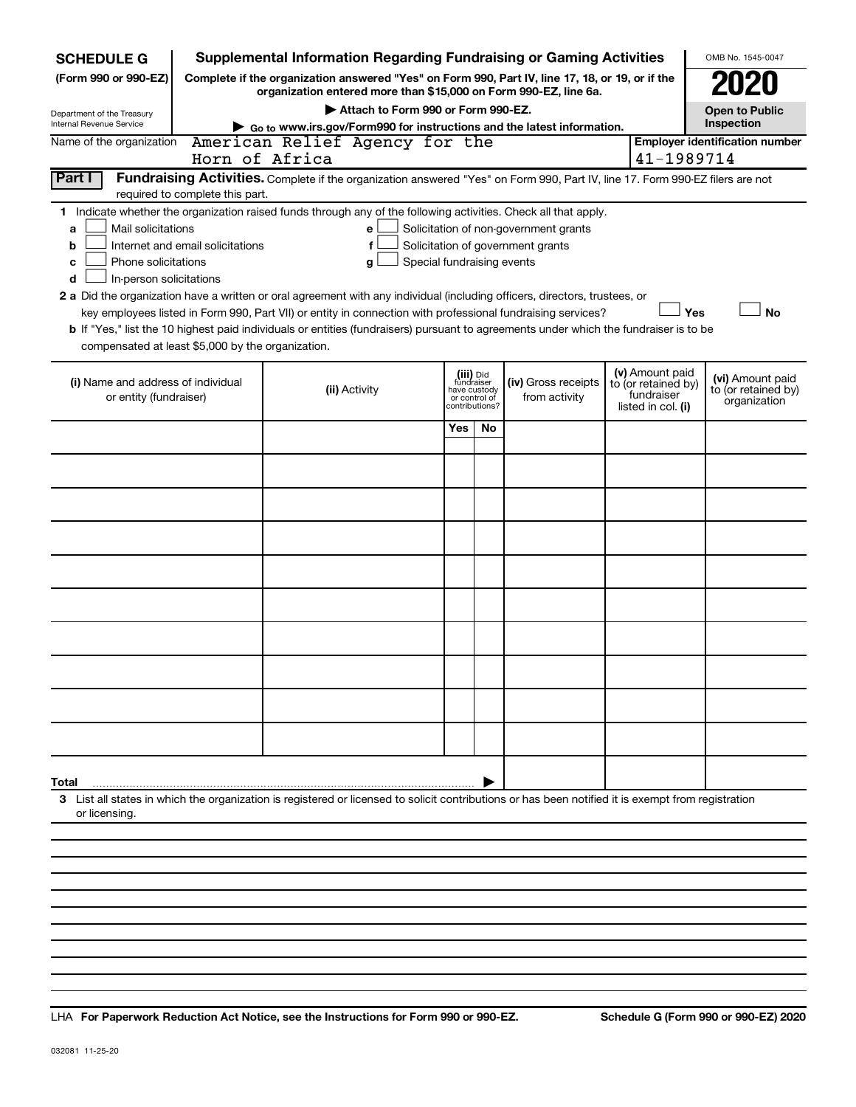| <b>SCHEDULE G</b>                                            |                                                                                                                                                                                                                                                                                                                                                                                                                                                                                                                                                                                                                                                                                                                                                                                                                       |                                                  |                                    |                                                                                                                    |     | Supplemental Information Regarding Fundraising or Gaming Activities                                                                                                 |                                                                            | OMB No. 1545-0047                                       |  |
|--------------------------------------------------------------|-----------------------------------------------------------------------------------------------------------------------------------------------------------------------------------------------------------------------------------------------------------------------------------------------------------------------------------------------------------------------------------------------------------------------------------------------------------------------------------------------------------------------------------------------------------------------------------------------------------------------------------------------------------------------------------------------------------------------------------------------------------------------------------------------------------------------|--------------------------------------------------|------------------------------------|--------------------------------------------------------------------------------------------------------------------|-----|---------------------------------------------------------------------------------------------------------------------------------------------------------------------|----------------------------------------------------------------------------|---------------------------------------------------------|--|
| (Form 990 or 990-EZ)                                         |                                                                                                                                                                                                                                                                                                                                                                                                                                                                                                                                                                                                                                                                                                                                                                                                                       |                                                  |                                    |                                                                                                                    |     | Complete if the organization answered "Yes" on Form 990, Part IV, line 17, 18, or 19, or if the<br>organization entered more than \$15,000 on Form 990-EZ, line 6a. |                                                                            |                                                         |  |
| Department of the Treasury                                   |                                                                                                                                                                                                                                                                                                                                                                                                                                                                                                                                                                                                                                                                                                                                                                                                                       |                                                  | Attach to Form 990 or Form 990-EZ. |                                                                                                                    |     |                                                                                                                                                                     |                                                                            | <b>Open to Public</b>                                   |  |
| Internal Revenue Service                                     |                                                                                                                                                                                                                                                                                                                                                                                                                                                                                                                                                                                                                                                                                                                                                                                                                       |                                                  |                                    |                                                                                                                    |     | Go to www.irs.gov/Form990 for instructions and the latest information.                                                                                              |                                                                            | Inspection                                              |  |
| Name of the organization                                     |                                                                                                                                                                                                                                                                                                                                                                                                                                                                                                                                                                                                                                                                                                                                                                                                                       | American Relief Agency for the<br>Horn of Africa |                                    |                                                                                                                    |     |                                                                                                                                                                     |                                                                            | <b>Employer identification number</b><br>41-1989714     |  |
| Part I                                                       | Fundraising Activities. Complete if the organization answered "Yes" on Form 990, Part IV, line 17. Form 990-EZ filers are not<br>required to complete this part.                                                                                                                                                                                                                                                                                                                                                                                                                                                                                                                                                                                                                                                      |                                                  |                                    |                                                                                                                    |     |                                                                                                                                                                     |                                                                            |                                                         |  |
| a<br>b<br>с<br>d                                             | 1 Indicate whether the organization raised funds through any of the following activities. Check all that apply.<br>Mail solicitations<br>Solicitation of non-government grants<br>e<br>Solicitation of government grants<br>Internet and email solicitations<br>f<br>Phone solicitations<br>Special fundraising events<br>g<br>In-person solicitations<br>2 a Did the organization have a written or oral agreement with any individual (including officers, directors, trustees, or<br>Yes<br><b>No</b><br>key employees listed in Form 990, Part VII) or entity in connection with professional fundraising services?<br>b If "Yes," list the 10 highest paid individuals or entities (fundraisers) pursuant to agreements under which the fundraiser is to be<br>compensated at least \$5,000 by the organization. |                                                  |                                    |                                                                                                                    |     |                                                                                                                                                                     |                                                                            |                                                         |  |
| (i) Name and address of individual<br>or entity (fundraiser) |                                                                                                                                                                                                                                                                                                                                                                                                                                                                                                                                                                                                                                                                                                                                                                                                                       |                                                  | (ii) Activity                      | (iii) Did<br>fundraiser<br>have custody<br>(iv) Gross receipts<br>from activity<br>or control of<br>contributions? |     |                                                                                                                                                                     | (v) Amount paid<br>to (or retained by)<br>fundraiser<br>listed in col. (i) | (vi) Amount paid<br>to (or retained by)<br>organization |  |
|                                                              |                                                                                                                                                                                                                                                                                                                                                                                                                                                                                                                                                                                                                                                                                                                                                                                                                       |                                                  |                                    | Yes                                                                                                                | No. |                                                                                                                                                                     |                                                                            |                                                         |  |
|                                                              |                                                                                                                                                                                                                                                                                                                                                                                                                                                                                                                                                                                                                                                                                                                                                                                                                       |                                                  |                                    |                                                                                                                    |     |                                                                                                                                                                     |                                                                            |                                                         |  |
|                                                              |                                                                                                                                                                                                                                                                                                                                                                                                                                                                                                                                                                                                                                                                                                                                                                                                                       |                                                  |                                    |                                                                                                                    |     |                                                                                                                                                                     |                                                                            |                                                         |  |
|                                                              |                                                                                                                                                                                                                                                                                                                                                                                                                                                                                                                                                                                                                                                                                                                                                                                                                       |                                                  |                                    |                                                                                                                    |     |                                                                                                                                                                     |                                                                            |                                                         |  |
|                                                              |                                                                                                                                                                                                                                                                                                                                                                                                                                                                                                                                                                                                                                                                                                                                                                                                                       |                                                  |                                    |                                                                                                                    |     |                                                                                                                                                                     |                                                                            |                                                         |  |
|                                                              |                                                                                                                                                                                                                                                                                                                                                                                                                                                                                                                                                                                                                                                                                                                                                                                                                       |                                                  |                                    |                                                                                                                    |     |                                                                                                                                                                     |                                                                            |                                                         |  |
|                                                              |                                                                                                                                                                                                                                                                                                                                                                                                                                                                                                                                                                                                                                                                                                                                                                                                                       |                                                  |                                    |                                                                                                                    |     |                                                                                                                                                                     |                                                                            |                                                         |  |
|                                                              |                                                                                                                                                                                                                                                                                                                                                                                                                                                                                                                                                                                                                                                                                                                                                                                                                       |                                                  |                                    |                                                                                                                    |     |                                                                                                                                                                     |                                                                            |                                                         |  |
|                                                              |                                                                                                                                                                                                                                                                                                                                                                                                                                                                                                                                                                                                                                                                                                                                                                                                                       |                                                  |                                    |                                                                                                                    |     |                                                                                                                                                                     |                                                                            |                                                         |  |
|                                                              |                                                                                                                                                                                                                                                                                                                                                                                                                                                                                                                                                                                                                                                                                                                                                                                                                       |                                                  |                                    |                                                                                                                    |     |                                                                                                                                                                     |                                                                            |                                                         |  |
| Total                                                        |                                                                                                                                                                                                                                                                                                                                                                                                                                                                                                                                                                                                                                                                                                                                                                                                                       |                                                  |                                    |                                                                                                                    |     |                                                                                                                                                                     |                                                                            |                                                         |  |
| or licensing.                                                | 3 List all states in which the organization is registered or licensed to solicit contributions or has been notified it is exempt from registration                                                                                                                                                                                                                                                                                                                                                                                                                                                                                                                                                                                                                                                                    |                                                  |                                    |                                                                                                                    |     |                                                                                                                                                                     |                                                                            |                                                         |  |
|                                                              |                                                                                                                                                                                                                                                                                                                                                                                                                                                                                                                                                                                                                                                                                                                                                                                                                       |                                                  |                                    |                                                                                                                    |     |                                                                                                                                                                     |                                                                            |                                                         |  |

LHA For Paperwork Reduction Act Notice, see the Instructions for Form 990 or 990-EZ.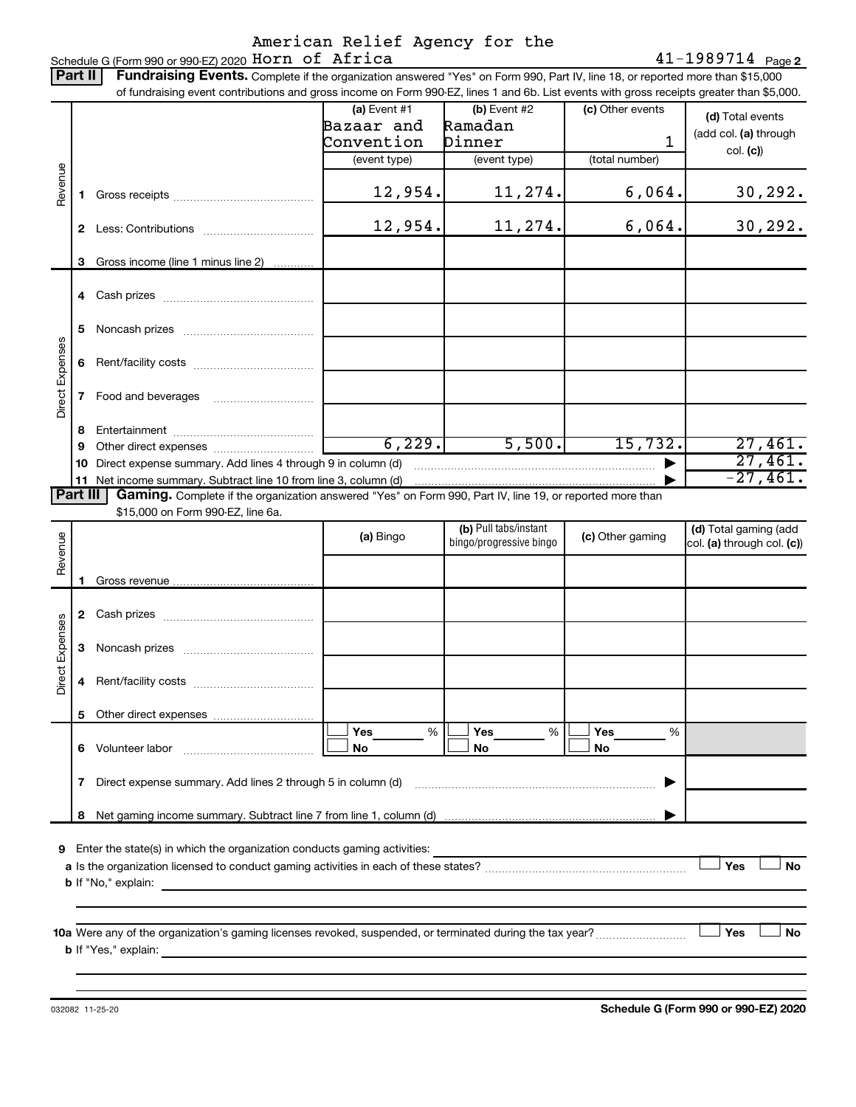# American Relief Agency for the<br>Schedule G (Form 990 or 990 EZ) 2020 Horn of Africa

 $41 - 1989714$  Page 2

|                 | Part II      | Fundraising Events. Complete if the organization answered "Yes" on Form 990, Part IV, line 18, or reported more than \$15,000             |                |                                                  |                  |                                                     |  |
|-----------------|--------------|-------------------------------------------------------------------------------------------------------------------------------------------|----------------|--------------------------------------------------|------------------|-----------------------------------------------------|--|
|                 |              | of fundraising event contributions and gross income on Form 990-EZ, lines 1 and 6b. List events with gross receipts greater than \$5,000. | (a) Event $#1$ | $(b)$ Event #2                                   | (c) Other events |                                                     |  |
|                 |              |                                                                                                                                           | Bazaar and     | Ramadan                                          |                  | (d) Total events                                    |  |
|                 |              |                                                                                                                                           | Convention     | Dinner                                           | 1                | (add col. (a) through                               |  |
|                 |              |                                                                                                                                           | (event type)   |                                                  | (total number)   | col. (c))                                           |  |
|                 |              |                                                                                                                                           |                | (event type)                                     |                  |                                                     |  |
| Revenue         | 1.           |                                                                                                                                           | 12,954.        | 11,274.                                          | 6,064.           | 30, 292.                                            |  |
|                 | $\mathbf{2}$ |                                                                                                                                           | 12,954.        | 11,274.                                          | 6,064.           | 30, 292.                                            |  |
|                 | 3            | Gross income (line 1 minus line 2)                                                                                                        |                |                                                  |                  |                                                     |  |
|                 |              |                                                                                                                                           |                |                                                  |                  |                                                     |  |
|                 | 5            |                                                                                                                                           |                |                                                  |                  |                                                     |  |
|                 | 6            |                                                                                                                                           |                |                                                  |                  |                                                     |  |
| Direct Expenses | 7            |                                                                                                                                           |                |                                                  |                  |                                                     |  |
|                 | 8            |                                                                                                                                           |                |                                                  |                  |                                                     |  |
|                 | 9            |                                                                                                                                           | 6, 229.        | 5,500.                                           | 15,732.          | 27,461.                                             |  |
|                 | 10           | Direct expense summary. Add lines 4 through 9 in column (d)                                                                               |                |                                                  |                  | 27,461.                                             |  |
|                 |              | 11 Net income summary. Subtract line 10 from line 3, column (d)                                                                           |                |                                                  |                  | $-27,461.$                                          |  |
|                 | Part III     | Gaming. Complete if the organization answered "Yes" on Form 990, Part IV, line 19, or reported more than                                  |                |                                                  |                  |                                                     |  |
|                 |              | \$15,000 on Form 990-EZ, line 6a.                                                                                                         |                |                                                  |                  |                                                     |  |
| Revenue         |              |                                                                                                                                           | (a) Bingo      | (b) Pull tabs/instant<br>bingo/progressive bingo | (c) Other gaming | (d) Total gaming (add<br>col. (a) through col. (c)) |  |
|                 |              |                                                                                                                                           |                |                                                  |                  |                                                     |  |
|                 | 1.           |                                                                                                                                           |                |                                                  |                  |                                                     |  |
|                 |              |                                                                                                                                           |                |                                                  |                  |                                                     |  |
| Direct Expenses | 3            |                                                                                                                                           |                |                                                  |                  |                                                     |  |
|                 |              |                                                                                                                                           |                |                                                  |                  |                                                     |  |
|                 | 5.           |                                                                                                                                           | Yes<br>%       | Yes<br>%                                         | Yes<br>$\%$      |                                                     |  |
|                 |              |                                                                                                                                           | No             | No                                               | No               |                                                     |  |
|                 | 7            | Direct expense summary. Add lines 2 through 5 in column (d)                                                                               |                |                                                  |                  |                                                     |  |
|                 | 8            |                                                                                                                                           |                |                                                  |                  |                                                     |  |
|                 |              |                                                                                                                                           |                |                                                  |                  |                                                     |  |
| 9               |              | Enter the state(s) in which the organization conducts gaming activities:                                                                  |                |                                                  |                  |                                                     |  |
|                 |              |                                                                                                                                           |                |                                                  |                  | Yes<br><b>No</b>                                    |  |
|                 |              | <b>b</b> If "No," explain:<br>the control of the control of the control of the control of the control of the control of                   |                |                                                  |                  |                                                     |  |
|                 |              |                                                                                                                                           |                |                                                  |                  |                                                     |  |
|                 |              |                                                                                                                                           |                |                                                  |                  | Yes<br>No                                           |  |
|                 |              |                                                                                                                                           |                |                                                  |                  |                                                     |  |
|                 |              |                                                                                                                                           |                |                                                  |                  |                                                     |  |

032082 11-25-20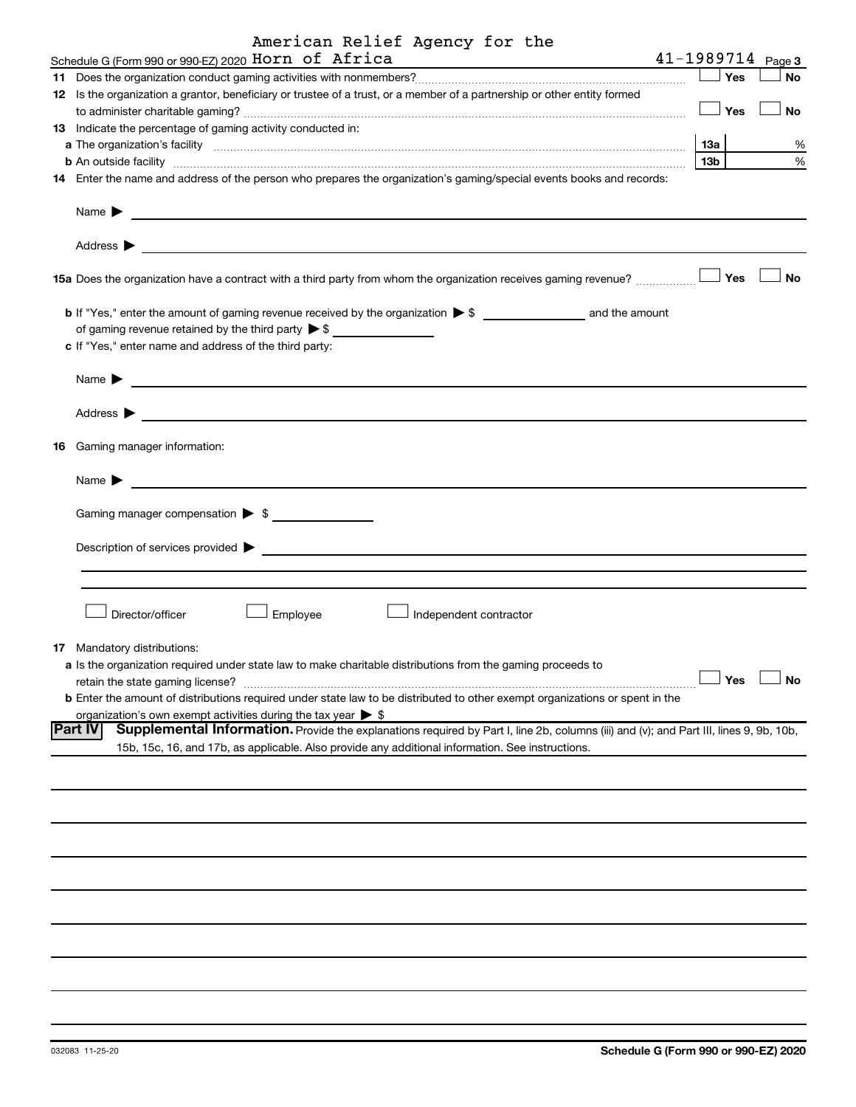|     | American Relief Agency for the<br>Schedule G (Form 990 or 990-EZ) 2020 HOrn of Africa                                                                                                                                                                        |     |         | $41 - 1989714$ Page 3 |  |  |  |  |  |
|-----|--------------------------------------------------------------------------------------------------------------------------------------------------------------------------------------------------------------------------------------------------------------|-----|---------|-----------------------|--|--|--|--|--|
|     |                                                                                                                                                                                                                                                              |     | Yes     | No                    |  |  |  |  |  |
|     | 12 Is the organization a grantor, beneficiary or trustee of a trust, or a member of a partnership or other entity formed                                                                                                                                     |     |         |                       |  |  |  |  |  |
|     |                                                                                                                                                                                                                                                              |     | — ∣ Yes | No                    |  |  |  |  |  |
|     | 13 Indicate the percentage of gaming activity conducted in:                                                                                                                                                                                                  |     |         |                       |  |  |  |  |  |
|     |                                                                                                                                                                                                                                                              | 1За |         | %                     |  |  |  |  |  |
|     | <b>b</b> An outside facility <i>www.communicality www.communicality.communicality www.communicality www.communicality.communicality www.communicality.com</i>                                                                                                | 13b |         | %                     |  |  |  |  |  |
|     | 14 Enter the name and address of the person who prepares the organization's gaming/special events books and records:                                                                                                                                         |     |         |                       |  |  |  |  |  |
|     | Name $\blacktriangleright$<br><u> 1989 - Johann Stoff, deutscher Stoffen und der Stoffen und der Stoffen und der Stoffen und der Stoffen und der</u>                                                                                                         |     |         |                       |  |  |  |  |  |
|     | Address $\blacktriangleright$<br><u> 1989 - Johann Stoff, Amerikaansk politiker († 1908)</u>                                                                                                                                                                 |     |         |                       |  |  |  |  |  |
|     | 15a Does the organization have a contract with a third party from whom the organization receives gaming revenue?                                                                                                                                             |     | Yes     | <b>No</b>             |  |  |  |  |  |
|     |                                                                                                                                                                                                                                                              |     |         |                       |  |  |  |  |  |
|     | of gaming revenue retained by the third party $\triangleright$ \$                                                                                                                                                                                            |     |         |                       |  |  |  |  |  |
|     | c If "Yes," enter name and address of the third party:                                                                                                                                                                                                       |     |         |                       |  |  |  |  |  |
|     |                                                                                                                                                                                                                                                              |     |         |                       |  |  |  |  |  |
|     | Name $\blacktriangleright$                                                                                                                                                                                                                                   |     |         |                       |  |  |  |  |  |
|     | Address $\blacktriangleright$                                                                                                                                                                                                                                |     |         |                       |  |  |  |  |  |
| 16. | Gaming manager information:                                                                                                                                                                                                                                  |     |         |                       |  |  |  |  |  |
|     | Name $\blacktriangleright$                                                                                                                                                                                                                                   |     |         |                       |  |  |  |  |  |
|     |                                                                                                                                                                                                                                                              |     |         |                       |  |  |  |  |  |
|     | Gaming manager compensation > \$                                                                                                                                                                                                                             |     |         |                       |  |  |  |  |  |
|     | Description of services provided ><br><u> 1989 - Johann Stoff, deutscher Stoff, der Stoff, der Stoff, der Stoff, der Stoff, der Stoff, der Stoff, der S</u>                                                                                                  |     |         |                       |  |  |  |  |  |
|     |                                                                                                                                                                                                                                                              |     |         |                       |  |  |  |  |  |
|     | Director/officer<br>Employee<br>Independent contractor                                                                                                                                                                                                       |     |         |                       |  |  |  |  |  |
|     | 17 Mandatory distributions:                                                                                                                                                                                                                                  |     |         |                       |  |  |  |  |  |
|     | a Is the organization required under state law to make charitable distributions from the gaming proceeds to                                                                                                                                                  |     |         |                       |  |  |  |  |  |
|     | retain the state gaming license?                                                                                                                                                                                                                             |     | Yes     | <b>No</b>             |  |  |  |  |  |
|     | <b>b</b> Enter the amount of distributions required under state law to be distributed to other exempt organizations or spent in the                                                                                                                          |     |         |                       |  |  |  |  |  |
|     | organization's own exempt activities during the tax year $\triangleright$ \$                                                                                                                                                                                 |     |         |                       |  |  |  |  |  |
|     | <b>Part IV</b><br>Supplemental Information. Provide the explanations required by Part I, line 2b, columns (iii) and (v); and Part III, lines 9, 9b, 10b,<br>15b, 15c, 16, and 17b, as applicable. Also provide any additional information. See instructions. |     |         |                       |  |  |  |  |  |
|     |                                                                                                                                                                                                                                                              |     |         |                       |  |  |  |  |  |
|     |                                                                                                                                                                                                                                                              |     |         |                       |  |  |  |  |  |
|     |                                                                                                                                                                                                                                                              |     |         |                       |  |  |  |  |  |
|     |                                                                                                                                                                                                                                                              |     |         |                       |  |  |  |  |  |
|     |                                                                                                                                                                                                                                                              |     |         |                       |  |  |  |  |  |
|     |                                                                                                                                                                                                                                                              |     |         |                       |  |  |  |  |  |
|     |                                                                                                                                                                                                                                                              |     |         |                       |  |  |  |  |  |
|     |                                                                                                                                                                                                                                                              |     |         |                       |  |  |  |  |  |
|     |                                                                                                                                                                                                                                                              |     |         |                       |  |  |  |  |  |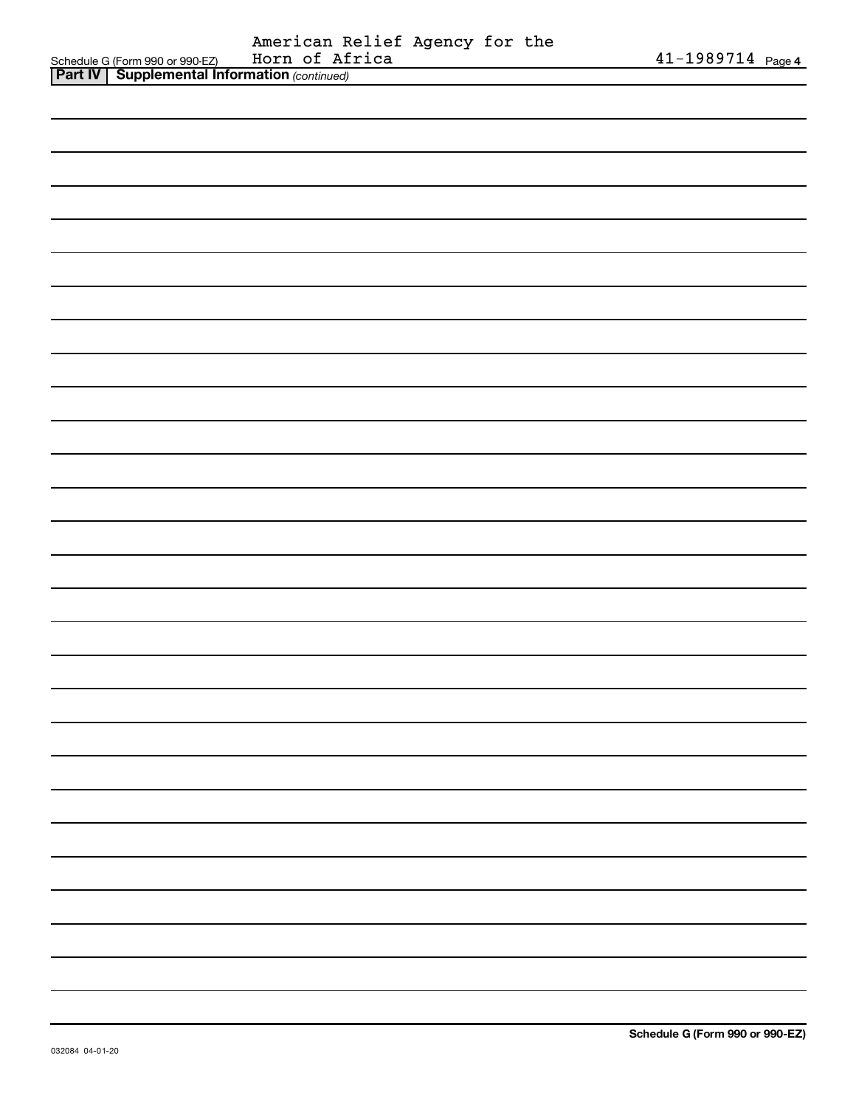|                                                       | American Relief Agency for the |  |  |
|-------------------------------------------------------|--------------------------------|--|--|
| Schedule G (Form 990 or 990-EZ)                       | Horn of Africa                 |  |  |
| <b>Part IV   Supplemental Information (continued)</b> |                                |  |  |

| <b>POLIT</b> | <b>Supplemental implification</b> (commacd) |  |
|--------------|---------------------------------------------|--|
|              |                                             |  |
|              |                                             |  |
|              |                                             |  |
|              |                                             |  |
|              |                                             |  |
|              |                                             |  |
|              |                                             |  |
|              |                                             |  |
|              |                                             |  |
|              |                                             |  |
|              |                                             |  |
|              |                                             |  |
|              |                                             |  |
|              |                                             |  |
|              |                                             |  |
|              |                                             |  |
|              |                                             |  |
|              |                                             |  |
|              |                                             |  |
|              |                                             |  |
|              |                                             |  |
|              |                                             |  |
|              |                                             |  |
|              |                                             |  |
|              |                                             |  |
|              |                                             |  |
|              |                                             |  |
|              |                                             |  |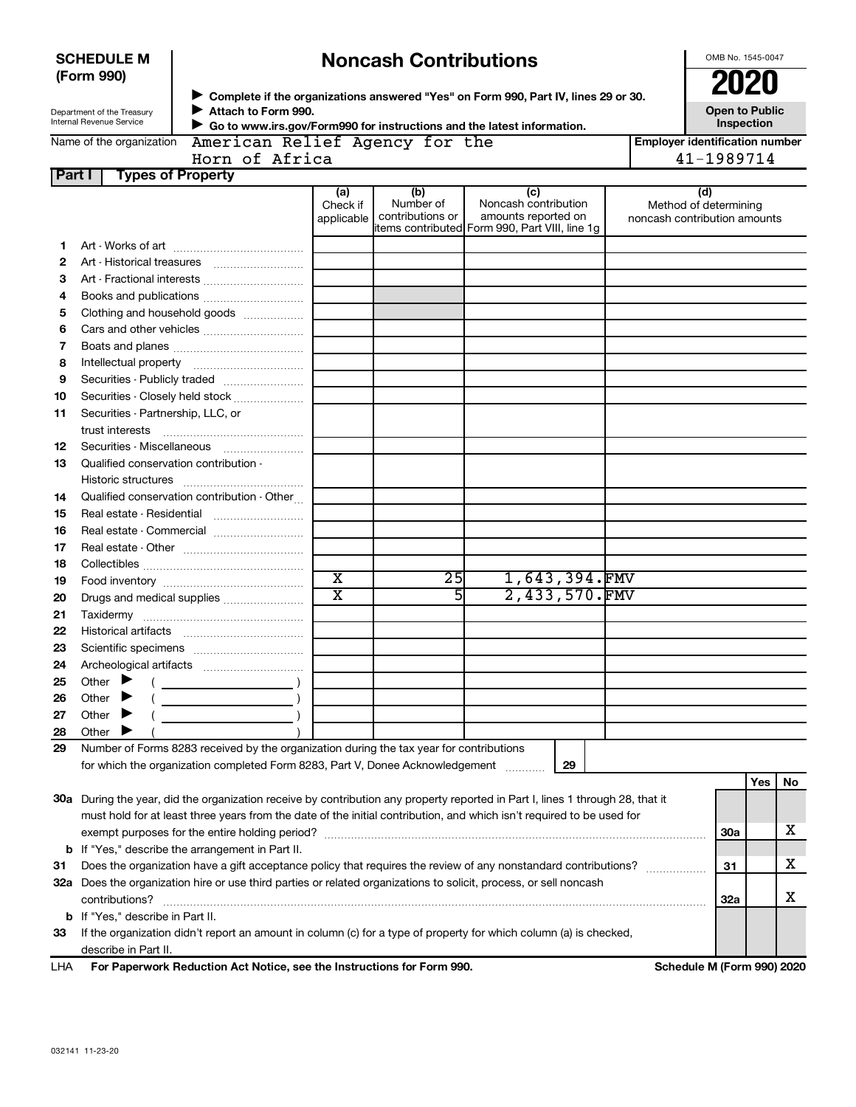|                                                                                             | <b>SCHEDULE M</b>                                         | <b>Noncash Contributions</b>                                                                                                   |                         |                               |                                                                                               |                                     |                                                       | OMB No. 1545-0047 |    |  |
|---------------------------------------------------------------------------------------------|-----------------------------------------------------------|--------------------------------------------------------------------------------------------------------------------------------|-------------------------|-------------------------------|-----------------------------------------------------------------------------------------------|-------------------------------------|-------------------------------------------------------|-------------------|----|--|
| (Form 990)<br>Attach to Form 990.<br>Department of the Treasury<br>Internal Revenue Service |                                                           |                                                                                                                                |                         |                               |                                                                                               |                                     |                                                       | <b>2020</b>       |    |  |
|                                                                                             |                                                           | Complete if the organizations answered "Yes" on Form 990, Part IV, lines 29 or 30.                                             |                         |                               |                                                                                               |                                     |                                                       |                   |    |  |
|                                                                                             |                                                           | Go to www.irs.gov/Form990 for instructions and the latest information.                                                         |                         |                               |                                                                                               | <b>Open to Public</b><br>Inspection |                                                       |                   |    |  |
|                                                                                             | Name of the organization                                  | American Relief Agency for the                                                                                                 |                         |                               |                                                                                               |                                     | <b>Employer identification number</b>                 |                   |    |  |
|                                                                                             |                                                           | Horn of Africa                                                                                                                 |                         |                               |                                                                                               |                                     | 41-1989714                                            |                   |    |  |
| Part I                                                                                      |                                                           | <b>Types of Property</b>                                                                                                       |                         |                               |                                                                                               |                                     |                                                       |                   |    |  |
|                                                                                             |                                                           |                                                                                                                                | (a)                     | (b)                           | (c)                                                                                           |                                     | (d)                                                   |                   |    |  |
|                                                                                             |                                                           |                                                                                                                                | Check if<br>applicable  | Number of<br>contributions or | Noncash contribution<br>amounts reported on<br>items contributed Form 990, Part VIII, line 1g |                                     | Method of determining<br>noncash contribution amounts |                   |    |  |
| 1.                                                                                          |                                                           |                                                                                                                                |                         |                               |                                                                                               |                                     |                                                       |                   |    |  |
| 2                                                                                           |                                                           |                                                                                                                                |                         |                               |                                                                                               |                                     |                                                       |                   |    |  |
| з                                                                                           |                                                           |                                                                                                                                |                         |                               |                                                                                               |                                     |                                                       |                   |    |  |
| 4                                                                                           |                                                           |                                                                                                                                |                         |                               |                                                                                               |                                     |                                                       |                   |    |  |
| 5                                                                                           |                                                           | Clothing and household goods                                                                                                   |                         |                               |                                                                                               |                                     |                                                       |                   |    |  |
| 6                                                                                           |                                                           |                                                                                                                                |                         |                               |                                                                                               |                                     |                                                       |                   |    |  |
| 7                                                                                           |                                                           |                                                                                                                                |                         |                               |                                                                                               |                                     |                                                       |                   |    |  |
| 8                                                                                           |                                                           |                                                                                                                                |                         |                               |                                                                                               |                                     |                                                       |                   |    |  |
| 9                                                                                           |                                                           |                                                                                                                                |                         |                               |                                                                                               |                                     |                                                       |                   |    |  |
|                                                                                             |                                                           | Securities - Publicly traded                                                                                                   |                         |                               |                                                                                               |                                     |                                                       |                   |    |  |
| 10                                                                                          |                                                           | Securities - Closely held stock                                                                                                |                         |                               |                                                                                               |                                     |                                                       |                   |    |  |
| 11                                                                                          | Securities - Partnership, LLC, or<br>trust interests      |                                                                                                                                |                         |                               |                                                                                               |                                     |                                                       |                   |    |  |
| 12                                                                                          |                                                           |                                                                                                                                |                         |                               |                                                                                               |                                     |                                                       |                   |    |  |
| 13                                                                                          | Qualified conservation contribution -                     |                                                                                                                                |                         |                               |                                                                                               |                                     |                                                       |                   |    |  |
|                                                                                             |                                                           |                                                                                                                                |                         |                               |                                                                                               |                                     |                                                       |                   |    |  |
| 14                                                                                          |                                                           | Qualified conservation contribution - Other                                                                                    |                         |                               |                                                                                               |                                     |                                                       |                   |    |  |
| 15                                                                                          |                                                           |                                                                                                                                |                         |                               |                                                                                               |                                     |                                                       |                   |    |  |
| 16                                                                                          |                                                           | Real estate - Commercial                                                                                                       |                         |                               |                                                                                               |                                     |                                                       |                   |    |  |
| 17                                                                                          |                                                           |                                                                                                                                |                         |                               |                                                                                               |                                     |                                                       |                   |    |  |
| 18                                                                                          |                                                           |                                                                                                                                |                         |                               |                                                                                               |                                     |                                                       |                   |    |  |
| 19                                                                                          |                                                           |                                                                                                                                | $\overline{\text{x}}$   | $\overline{25}$               | 1,643,394.FMV                                                                                 |                                     |                                                       |                   |    |  |
| 20                                                                                          |                                                           |                                                                                                                                | $\overline{\mathtt{x}}$ | 5                             | 2,433,570.FMV                                                                                 |                                     |                                                       |                   |    |  |
| 21                                                                                          |                                                           | Drugs and medical supplies                                                                                                     |                         |                               |                                                                                               |                                     |                                                       |                   |    |  |
| 22                                                                                          |                                                           |                                                                                                                                |                         |                               |                                                                                               |                                     |                                                       |                   |    |  |
| 23                                                                                          |                                                           |                                                                                                                                |                         |                               |                                                                                               |                                     |                                                       |                   |    |  |
| 24                                                                                          |                                                           |                                                                                                                                |                         |                               |                                                                                               |                                     |                                                       |                   |    |  |
|                                                                                             | Other                                                     |                                                                                                                                |                         |                               |                                                                                               |                                     |                                                       |                   |    |  |
| 25<br>26                                                                                    | Other                                                     |                                                                                                                                |                         |                               |                                                                                               |                                     |                                                       |                   |    |  |
|                                                                                             | Other                                                     |                                                                                                                                |                         |                               |                                                                                               |                                     |                                                       |                   |    |  |
| 27                                                                                          | Other                                                     |                                                                                                                                |                         |                               |                                                                                               |                                     |                                                       |                   |    |  |
| 28                                                                                          |                                                           |                                                                                                                                |                         |                               |                                                                                               |                                     |                                                       |                   |    |  |
| 29                                                                                          |                                                           | Number of Forms 8283 received by the organization during the tax year for contributions                                        |                         |                               |                                                                                               |                                     |                                                       |                   |    |  |
|                                                                                             |                                                           | for which the organization completed Form 8283, Part V, Donee Acknowledgement                                                  |                         |                               | 29                                                                                            |                                     |                                                       |                   |    |  |
|                                                                                             |                                                           |                                                                                                                                |                         |                               |                                                                                               |                                     |                                                       | Yes               | No |  |
|                                                                                             |                                                           | 30a During the year, did the organization receive by contribution any property reported in Part I, lines 1 through 28, that it |                         |                               |                                                                                               |                                     |                                                       |                   |    |  |
|                                                                                             |                                                           | must hold for at least three years from the date of the initial contribution, and which isn't required to be used for          |                         |                               |                                                                                               |                                     |                                                       |                   | x  |  |
|                                                                                             |                                                           |                                                                                                                                |                         |                               |                                                                                               |                                     | 30a                                                   |                   |    |  |
|                                                                                             |                                                           | <b>b</b> If "Yes," describe the arrangement in Part II.                                                                        |                         |                               |                                                                                               |                                     |                                                       |                   | x  |  |
| 31                                                                                          |                                                           | Does the organization have a gift acceptance policy that requires the review of any nonstandard contributions?                 |                         |                               |                                                                                               |                                     | 31                                                    |                   |    |  |
| 32a                                                                                         |                                                           | Does the organization hire or use third parties or related organizations to solicit, process, or sell noncash                  |                         |                               |                                                                                               |                                     |                                                       |                   | х  |  |
|                                                                                             | contributions?<br><b>b</b> If "Yes," describe in Part II. |                                                                                                                                |                         |                               |                                                                                               |                                     | 32a                                                   |                   |    |  |
|                                                                                             |                                                           |                                                                                                                                |                         |                               |                                                                                               |                                     |                                                       |                   |    |  |
| 33                                                                                          |                                                           | If the organization didn't report an amount in column (c) for a type of property for which column (a) is checked,              |                         |                               |                                                                                               |                                     |                                                       |                   |    |  |
| LHA                                                                                         | describe in Part II.                                      | For Paperwork Reduction Act Notice, see the Instructions for Form 990.                                                         |                         |                               |                                                                                               |                                     | Schedule M (Form 990) 2020                            |                   |    |  |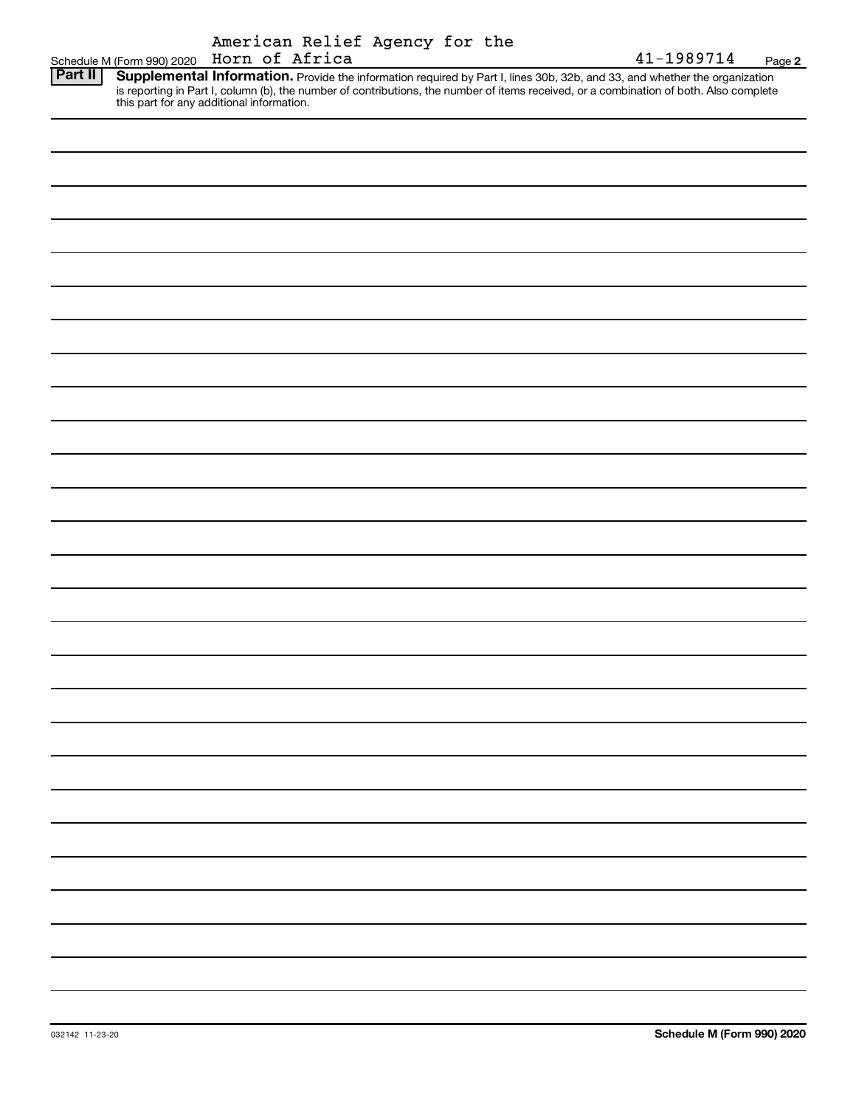| American Relief Agency for the |  |  |
|--------------------------------|--|--|
| Horn of Africa                 |  |  |

|                | Schedule M (Form 990) 2020 Horn of Africa |  |                                                                                                                                                                                                                                                                                                                | 41-1989714 | Page 2 |
|----------------|-------------------------------------------|--|----------------------------------------------------------------------------------------------------------------------------------------------------------------------------------------------------------------------------------------------------------------------------------------------------------------|------------|--------|
| <b>Part II</b> |                                           |  | Supplemental Information. Provide the information required by Part I, lines 30b, 32b, and 33, and whether the organization<br>is reporting in Part I, column (b), the number of contributions, the number of items received, or a combination of both. Also complete this part for any additional information. |            |        |
|                |                                           |  |                                                                                                                                                                                                                                                                                                                |            |        |
|                |                                           |  |                                                                                                                                                                                                                                                                                                                |            |        |
|                |                                           |  |                                                                                                                                                                                                                                                                                                                |            |        |
|                |                                           |  |                                                                                                                                                                                                                                                                                                                |            |        |
|                |                                           |  |                                                                                                                                                                                                                                                                                                                |            |        |
|                |                                           |  |                                                                                                                                                                                                                                                                                                                |            |        |
|                |                                           |  |                                                                                                                                                                                                                                                                                                                |            |        |
|                |                                           |  |                                                                                                                                                                                                                                                                                                                |            |        |
|                |                                           |  |                                                                                                                                                                                                                                                                                                                |            |        |
|                |                                           |  |                                                                                                                                                                                                                                                                                                                |            |        |
|                |                                           |  |                                                                                                                                                                                                                                                                                                                |            |        |
|                |                                           |  |                                                                                                                                                                                                                                                                                                                |            |        |
|                |                                           |  |                                                                                                                                                                                                                                                                                                                |            |        |
|                |                                           |  |                                                                                                                                                                                                                                                                                                                |            |        |
|                |                                           |  |                                                                                                                                                                                                                                                                                                                |            |        |
|                |                                           |  |                                                                                                                                                                                                                                                                                                                |            |        |
|                |                                           |  |                                                                                                                                                                                                                                                                                                                |            |        |
|                |                                           |  |                                                                                                                                                                                                                                                                                                                |            |        |
|                |                                           |  |                                                                                                                                                                                                                                                                                                                |            |        |
|                |                                           |  |                                                                                                                                                                                                                                                                                                                |            |        |
|                |                                           |  |                                                                                                                                                                                                                                                                                                                |            |        |
|                |                                           |  |                                                                                                                                                                                                                                                                                                                |            |        |